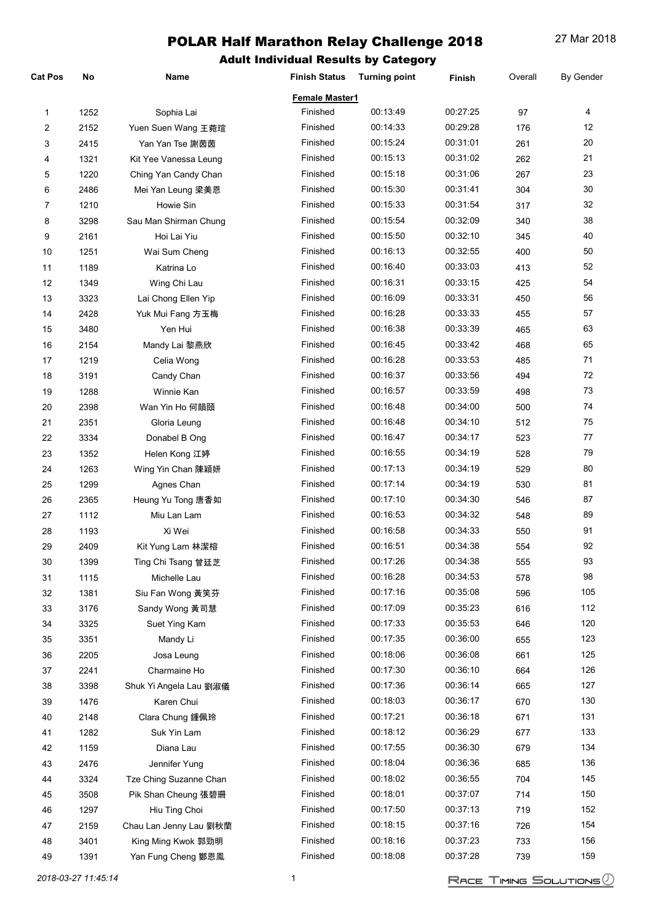| Cat Pos | No   | Name                   | <b>Finish Status</b> | <b>Turning point</b> | <b>Finish</b> | Overall | <b>By Gender</b> |
|---------|------|------------------------|----------------------|----------------------|---------------|---------|------------------|
|         |      |                        | Female Master1       |                      |               |         |                  |
| 1       | 1252 | Sophia Lai             | Finished             | 00:13:49             | 00:27:25      | 97      | 4                |
| 2       | 2152 | Yuen Suen Wang 王菀瑄     | Finished             | 00:14:33             | 00:29:28      | 176     | 12               |
| 3       | 2415 | Yan Yan Tse 謝茵茵        | Finished             | 00:15:24             | 00:31:01      | 261     | 20               |
| 4       | 1321 | Kit Yee Vanessa Leung  | Finished             | 00:15:13             | 00:31:02      | 262     | 21               |
| 5       | 1220 | Ching Yan Candy Chan   | Finished             | 00:15:18             | 00:31:06      | 267     | 23               |
| 6       | 2486 | Mei Yan Leung 梁美恩      | Finished             | 00:15:30             | 00:31:41      | 304     | 30               |
| 7       | 1210 | Howie Sin              | Finished             | 00:15:33             | 00:31:54      | 317     | 32               |
| 8       | 3298 | Sau Man Shirman Chung  | Finished             | 00:15:54             | 00:32:09      | 340     | 38               |
| 9       | 2161 | Hoi Lai Yiu            | Finished             | 00:15:50             | 00:32:10      | 345     | 40               |
| 10      | 1251 | Wai Sum Cheng          | Finished             | 00:16:13             | 00:32:55      | 400     | 50               |
| 11      | 1189 | Katrina Lo             | Finished             | 00:16:40             | 00:33:03      | 413     | 52               |
| 12      | 1349 | Wing Chi Lau           | Finished             | 00:16:31             | 00:33:15      | 425     | 54               |
| 13      | 3323 | Lai Chong Ellen Yip    | Finished             | 00:16:09             | 00:33:31      | 450     | 56               |
| 14      | 2428 | Yuk Mui Fang 方玉梅       | Finished             | 00:16:28             | 00:33:33      | 455     | 57               |
| 15      | 3480 | Yen Hui                | Finished             | 00:16:38             | 00:33:39      | 465     | 63               |
| 16      | 2154 | Mandy Lai 黎燕欣          | Finished             | 00:16:45             | 00:33:42      | 468     | 65               |
| 17      | 1219 | Celia Wong             | Finished             | 00:16:28             | 00:33:53      | 485     | 71               |
| 18      | 3191 | Candy Chan             | Finished             | 00:16:37             | 00:33:56      | 494     | 72               |
| 19      | 1288 | Winnie Kan             | Finished             | 00:16:57             | 00:33:59      | 498     | 73               |
| 20      | 2398 | Wan Yin Ho 何韻頤         | Finished             | 00:16:48             | 00:34:00      | 500     | 74               |
| 21      | 2351 | Gloria Leung           | Finished             | 00:16:48             | 00:34:10      | 512     | 75               |
| 22      | 3334 | Donabel B Ong          | Finished             | 00:16:47             | 00:34:17      | 523     | 77               |
| 23      | 1352 | Helen Kong 江婷          | Finished             | 00:16:55             | 00:34:19      | 528     | 79               |
| 24      | 1263 | Wing Yin Chan 陳穎妍      | Finished             | 00:17:13             | 00:34:19      | 529     | 80               |
| 25      | 1299 | Agnes Chan             | Finished             | 00:17:14             | 00:34:19      | 530     | 81               |
| 26      | 2365 | Heung Yu Tong 唐香如      | Finished             | 00:17:10             | 00:34:30      | 546     | 87               |
| 27      | 1112 | Miu Lan Lam            | Finished             | 00:16:53             | 00:34:32      | 548     | 89               |
| 28      | 1193 | Xi Wei                 | Finished             | 00:16:58             | 00:34:33      | 550     | 91               |
| 29      | 2409 | Kit Yung Lam 林潔榕       | Finished             | 00:16:51             | 00:34:38      | 554     | 92               |
| 30      | 1399 | Ting Chi Tsang 曾廷芝     | Finished             | 00:17:26             | 00:34:38      | 555     | 93               |
| 31      | 1115 | Michelle Lau           | Finished             | 00:16:28             | 00:34:53      | 578     | 98               |
| 32      | 1381 | Siu Fan Wong 黃笑芬       | Finished             | 00:17:16             | 00:35:08      | 596     | 105              |
| 33      | 3176 | Sandy Wong 黃司慧         | Finished             | 00:17:09             | 00:35:23      | 616     | 112              |
| 34      | 3325 | Suet Ying Kam          | Finished             | 00:17:33             | 00:35:53      | 646     | 120              |
| 35      | 3351 | Mandy Li               | Finished             | 00:17:35             | 00:36:00      | 655     | 123              |
| 36      | 2205 | Josa Leung             | Finished             | 00:18:06             | 00:36:08      | 661     | 125              |
| 37      | 2241 | Charmaine Ho           | Finished             | 00:17:30             | 00:36:10      | 664     | 126              |
| 38      | 3398 | Shuk Yi Angela Lau 劉淑儀 | Finished             | 00:17:36             | 00:36:14      | 665     | 127              |
| 39      | 1476 | Karen Chui             | Finished             | 00:18:03             | 00:36:17      | 670     | 130              |
| 40      | 2148 | Clara Chung 鍾佩玲        | Finished             | 00:17:21             | 00:36:18      | 671     | 131              |
| 41      | 1282 | Suk Yin Lam            | Finished             | 00:18:12             | 00:36:29      | 677     | 133              |
| 42      | 1159 | Diana Lau              | Finished             | 00:17:55             | 00:36:30      | 679     | 134              |
| 43      | 2476 | Jennifer Yung          | Finished             | 00:18:04             | 00:36:36      | 685     | 136              |
| 44      | 3324 | Tze Ching Suzanne Chan | Finished             | 00:18:02             | 00:36:55      | 704     | 145              |
| 45      | 3508 | Pik Shan Cheung 張碧珊    | Finished             | 00:18:01             | 00:37:07      | 714     | 150              |
| 46      | 1297 | Hiu Ting Choi          | Finished             | 00:17:50             | 00:37:13      | 719     | 152              |
| 47      | 2159 | Chau Lan Jenny Lau 劉秋蘭 | Finished             | 00:18:15             | 00:37:16      | 726     | 154              |
| 48      | 3401 | King Ming Kwok 郭勁明     | Finished             | 00:18:16             | 00:37:23      | 733     | 156              |
| 49      | 1391 | Yan Fung Cheng 鄭恩鳳     | Finished             | 00:18:08             | 00:37:28      | 739     | 159              |
|         |      |                        |                      |                      |               |         |                  |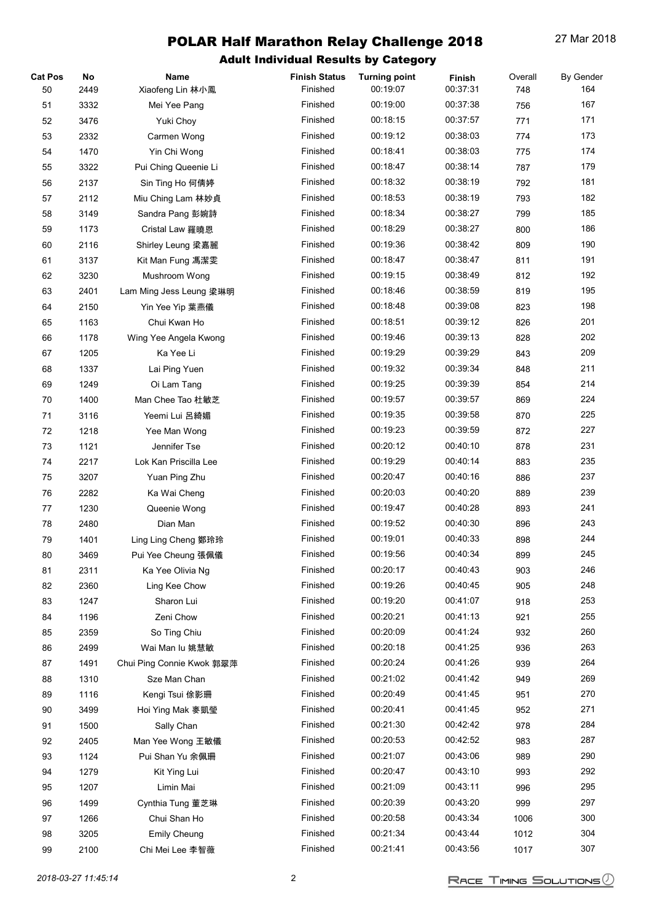| <b>Cat Pos</b> | No   | Name                          | <b>Finish Status</b> | <b>Turning point</b> | Finish   | Overall    | <b>By Gender</b> |
|----------------|------|-------------------------------|----------------------|----------------------|----------|------------|------------------|
| 50             | 2449 | Xiaofeng Lin 林小鳳              | Finished             | 00:19:07             | 00:37:31 | 748        | 164              |
| 51             | 3332 | Mei Yee Pang                  | Finished             | 00:19:00             | 00:37:38 | 756        | 167              |
| 52             | 3476 | Yuki Choy                     | Finished             | 00:18:15             | 00:37:57 | 771        | 171              |
| 53             | 2332 | Carmen Wong                   | Finished             | 00:19:12             | 00:38:03 | 774        | 173              |
| 54             | 1470 | Yin Chi Wong                  | Finished             | 00:18:41             | 00:38:03 | 775        | 174              |
| 55             | 3322 | Pui Ching Queenie Li          | Finished             | 00:18:47             | 00:38:14 | 787        | 179              |
| 56             | 2137 | Sin Ting Ho 何倩婷               | Finished             | 00:18:32             | 00:38:19 | 792        | 181              |
| 57             | 2112 | Miu Ching Lam 林妙貞             | Finished             | 00:18:53             | 00:38:19 | 793        | 182              |
| 58             | 3149 | Sandra Pang 彭婉詩               | Finished             | 00:18:34             | 00:38:27 | 799        | 185              |
| 59             | 1173 | Cristal Law 羅曉恩               | Finished             | 00:18:29             | 00:38:27 | 800        | 186              |
| 60             | 2116 | Shirley Leung 梁嘉麗             | Finished             | 00:19:36             | 00:38:42 | 809        | 190              |
| 61             | 3137 | Kit Man Fung 馮潔雯              | Finished             | 00:18:47             | 00:38:47 | 811        | 191              |
| 62             | 3230 | Mushroom Wong                 | Finished             | 00:19:15             | 00:38:49 | 812        | 192              |
| 63             | 2401 | Lam Ming Jess Leung 梁琳明       | Finished             | 00:18:46             | 00:38:59 | 819        | 195              |
| 64             | 2150 | Yin Yee Yip 葉燕儀               | Finished             | 00:18:48             | 00:39:08 | 823        | 198              |
| 65             | 1163 | Chui Kwan Ho                  | Finished             | 00:18:51             | 00:39:12 | 826        | 201              |
| 66             | 1178 | Wing Yee Angela Kwong         | Finished             | 00:19:46             | 00:39:13 | 828        | 202              |
| 67             | 1205 | Ka Yee Li                     | Finished             | 00:19:29             | 00:39:29 | 843        | 209              |
| 68             | 1337 | Lai Ping Yuen                 | Finished             | 00:19:32             | 00:39:34 | 848        | 211              |
| 69             | 1249 | Oi Lam Tang                   | Finished             | 00:19:25             | 00:39:39 | 854        | 214              |
| 70             | 1400 | Man Chee Tao 杜敏芝              | Finished             | 00:19:57             | 00:39:57 | 869        | 224              |
| 71             | 3116 | Yeemi Lui 呂綺媚                 | Finished             | 00:19:35             | 00:39:58 | 870        | 225              |
| 72             | 1218 | Yee Man Wong                  | Finished             | 00:19:23             | 00:39:59 | 872        | 227              |
| 73             | 1121 | Jennifer Tse                  | Finished             | 00:20:12             | 00:40:10 | 878        | 231              |
| 74             | 2217 | Lok Kan Priscilla Lee         | Finished             | 00:19:29             | 00:40:14 | 883        | 235              |
| 75             | 3207 |                               | Finished             | 00:20:47             | 00:40:16 |            | 237              |
| 76             | 2282 | Yuan Ping Zhu<br>Ka Wai Cheng | Finished             | 00:20:03             | 00:40:20 | 886<br>889 | 239              |
|                |      | Queenie Wong                  | Finished             | 00:19:47             | 00:40:28 | 893        | 241              |
| 77             | 1230 |                               | Finished             | 00:19:52             | 00:40:30 |            | 243              |
| 78             | 2480 | Dian Man                      | Finished             |                      |          | 896        |                  |
| 79             | 1401 | Ling Ling Cheng 鄭玲玲           |                      | 00:19:01             | 00:40:33 | 898        | 244              |
| 80             | 3469 | Pui Yee Cheung 張佩儀            | Finished             | 00:19:56<br>00:20:17 | 00:40:34 | 899        | 245              |
| 81             | 2311 | Ka Yee Olivia Ng              | Finished             |                      | 00:40:43 | 903        | 246              |
| 82             | 2360 | Ling Kee Chow                 | Finished             | 00:19:26             | 00:40:45 | 905        | 248              |
| 83             | 1247 | Sharon Lui                    | Finished             | 00:19:20             | 00:41:07 | 918        | 253              |
| 84             | 1196 | Zeni Chow                     | Finished             | 00:20:21             | 00:41:13 | 921        | 255              |
| 85             | 2359 | So Ting Chiu                  | Finished             | 00:20:09             | 00:41:24 | 932        | 260              |
| 86             | 2499 | Wai Man lu 姚慧敏                | Finished             | 00:20:18             | 00:41:25 | 936        | 263              |
| 87             | 1491 | Chui Ping Connie Kwok 郭翠萍     | Finished             | 00:20:24             | 00:41:26 | 939        | 264              |
| 88             | 1310 | Sze Man Chan                  | Finished             | 00:21:02             | 00:41:42 | 949        | 269              |
| 89             | 1116 | Kengi Tsui 俆影珊                | Finished             | 00:20:49             | 00:41:45 | 951        | 270              |
| 90             | 3499 | Hoi Ying Mak 麥凱瑩              | Finished             | 00:20:41             | 00:41:45 | 952        | 271              |
| 91             | 1500 | Sally Chan                    | Finished             | 00:21:30             | 00:42:42 | 978        | 284              |
| 92             | 2405 | Man Yee Wong 王敏儀              | Finished             | 00:20:53             | 00:42:52 | 983        | 287              |
| 93             | 1124 | Pui Shan Yu 余佩珊               | Finished             | 00:21:07             | 00:43:06 | 989        | 290              |
| 94             | 1279 | Kit Ying Lui                  | Finished             | 00:20:47             | 00:43:10 | 993        | 292              |
| 95             | 1207 | Limin Mai                     | Finished             | 00:21:09             | 00:43:11 | 996        | 295              |
| 96             | 1499 | Cynthia Tung 董芝琳              | Finished             | 00:20:39             | 00:43:20 | 999        | 297              |
| 97             | 1266 | Chui Shan Ho                  | Finished             | 00:20:58             | 00:43:34 | 1006       | 300              |
| 98             | 3205 | <b>Emily Cheung</b>           | Finished             | 00:21:34             | 00:43:44 | 1012       | 304              |
| 99             | 2100 | Chi Mei Lee 李智薇               | Finished             | 00:21:41             | 00:43:56 | 1017       | 307              |
|                |      |                               |                      |                      |          |            |                  |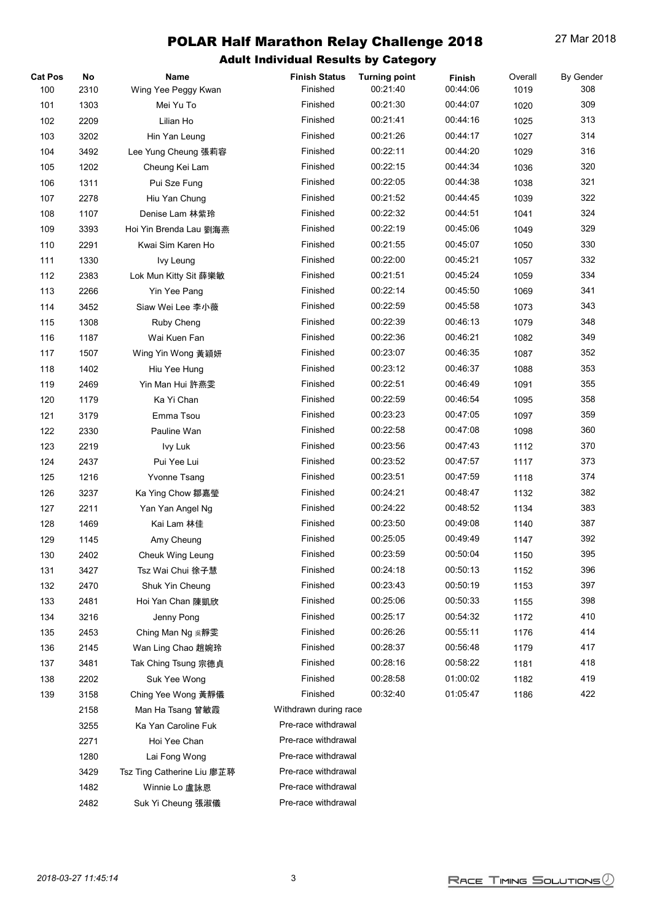| <b>Cat Pos</b> | No   | Name                       | <b>Finish Status</b>  | <b>Turning point</b> | Finish   | Overall | By Gender |
|----------------|------|----------------------------|-----------------------|----------------------|----------|---------|-----------|
| 100            | 2310 | Wing Yee Peggy Kwan        | Finished              | 00:21:40             | 00:44:06 | 1019    | 308       |
| 101            | 1303 | Mei Yu To                  | Finished              | 00:21:30             | 00:44:07 | 1020    | 309       |
| 102            | 2209 | Lilian Ho                  | Finished              | 00:21:41             | 00:44:16 | 1025    | 313       |
| 103            | 3202 | Hin Yan Leung              | Finished              | 00:21:26             | 00:44:17 | 1027    | 314       |
| 104            | 3492 | Lee Yung Cheung 張莉容        | Finished              | 00:22:11             | 00:44:20 | 1029    | 316       |
| 105            | 1202 | Cheung Kei Lam             | Finished              | 00:22:15             | 00:44:34 | 1036    | 320       |
| 106            | 1311 | Pui Sze Fung               | Finished              | 00:22:05             | 00:44:38 | 1038    | 321       |
| 107            | 2278 | Hiu Yan Chung              | Finished              | 00:21:52             | 00:44:45 | 1039    | 322       |
| 108            | 1107 | Denise Lam 林紫玲             | Finished              | 00:22:32             | 00:44:51 | 1041    | 324       |
| 109            | 3393 | Hoi Yin Brenda Lau 劉海燕     | Finished              | 00:22:19             | 00:45:06 | 1049    | 329       |
| 110            | 2291 | Kwai Sim Karen Ho          | Finished              | 00:21:55             | 00:45:07 | 1050    | 330       |
| 111            | 1330 | Ivy Leung                  | Finished              | 00:22:00             | 00:45:21 | 1057    | 332       |
| 112            | 2383 | Lok Mun Kitty Sit 薛樂敏      | Finished              | 00:21:51             | 00:45:24 | 1059    | 334       |
| 113            | 2266 | Yin Yee Pang               | Finished              | 00:22:14             | 00:45:50 | 1069    | 341       |
| 114            | 3452 | Siaw Wei Lee 李小薇           | Finished              | 00:22:59             | 00:45:58 | 1073    | 343       |
| 115            | 1308 | Ruby Cheng                 | Finished              | 00:22:39             | 00:46:13 | 1079    | 348       |
| 116            | 1187 | Wai Kuen Fan               | Finished              | 00:22:36             | 00:46:21 | 1082    | 349       |
| 117            | 1507 | Wing Yin Wong 黃穎妍          | Finished              | 00:23:07             | 00:46:35 | 1087    | 352       |
| 118            | 1402 | Hiu Yee Hung               | Finished              | 00:23:12             | 00:46:37 | 1088    | 353       |
| 119            | 2469 | Yin Man Hui 許燕雯            | Finished              | 00:22:51             | 00:46:49 | 1091    | 355       |
| 120            | 1179 | Ka Yi Chan                 | Finished              | 00:22:59             | 00:46:54 | 1095    | 358       |
| 121            | 3179 | Emma Tsou                  | Finished              | 00:23:23             | 00:47:05 | 1097    | 359       |
| 122            | 2330 | Pauline Wan                | Finished              | 00:22:58             | 00:47:08 | 1098    | 360       |
| 123            | 2219 | Ivy Luk                    | Finished              | 00:23:56             | 00:47:43 | 1112    | 370       |
| 124            | 2437 | Pui Yee Lui                | Finished              | 00:23:52             | 00:47:57 | 1117    | 373       |
| 125            | 1216 | <b>Yvonne Tsang</b>        | Finished              | 00:23:51             | 00:47:59 | 1118    | 374       |
| 126            | 3237 | Ka Ying Chow 鄒嘉瑩           | Finished              | 00:24:21             | 00:48:47 | 1132    | 382       |
| 127            | 2211 | Yan Yan Angel Ng           | Finished              | 00:24:22             | 00:48:52 | 1134    | 383       |
| 128            | 1469 | Kai Lam 林佳                 | Finished              | 00:23:50             | 00:49:08 | 1140    | 387       |
| 129            | 1145 | Amy Cheung                 | Finished              | 00:25:05             | 00:49:49 | 1147    | 392       |
| 130            | 2402 | <b>Cheuk Wing Leung</b>    | Finished              | 00:23:59             | 00:50:04 | 1150    | 395       |
| 131            | 3427 | Tsz Wai Chui 徐子慧           | Finished              | 00:24:18             | 00:50:13 | 1152    | 396       |
| 132            | 2470 | Shuk Yin Cheung            | Finished              | 00:23:43             | 00:50:19 | 1153    | 397       |
| 133            | 2481 | Hoi Yan Chan 陳凱欣           | Finished              | 00:25:06             | 00:50:33 | 1155    | 398       |
| 134            | 3216 | Jenny Pong                 | Finished              | 00:25:17             | 00:54:32 | 1172    | 410       |
| 135            | 2453 | Ching Man Ng 吳靜雯           | Finished              | 00:26:26             | 00:55:11 | 1176    | 414       |
| 136            | 2145 | Wan Ling Chao 趙婉玲          | Finished              | 00:28:37             | 00:56:48 | 1179    | 417       |
| 137            | 3481 | Tak Ching Tsung 宗德貞        | Finished              | 00:28:16             | 00:58:22 | 1181    | 418       |
| 138            | 2202 | Suk Yee Wong               | Finished              | 00:28:58             | 01:00:02 | 1182    | 419       |
| 139            | 3158 | Ching Yee Wong 黃靜儀         | Finished              | 00:32:40             | 01:05:47 | 1186    | 422       |
|                | 2158 | Man Ha Tsang 曾敏霞           | Withdrawn during race |                      |          |         |           |
|                | 3255 | Ka Yan Caroline Fuk        | Pre-race withdrawal   |                      |          |         |           |
|                | 2271 | Hoi Yee Chan               | Pre-race withdrawal   |                      |          |         |           |
|                | 1280 | Lai Fong Wong              | Pre-race withdrawal   |                      |          |         |           |
|                | 3429 | Tsz Ting Catherine Liu 廖芷聤 | Pre-race withdrawal   |                      |          |         |           |
|                | 1482 | Winnie Lo 盧詠恩              | Pre-race withdrawal   |                      |          |         |           |
|                | 2482 | Suk Yi Cheung 張淑儀          | Pre-race withdrawal   |                      |          |         |           |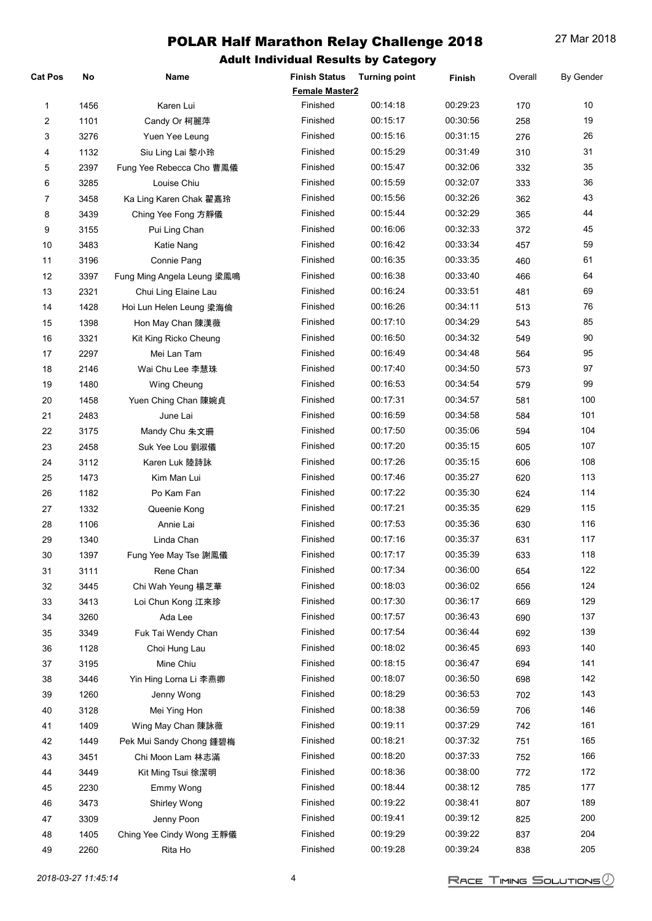| Cat Pos | No           | Name                       | <b>Finish Status</b>  | <b>Turning point</b> | Finish               | Overall    | <b>By Gender</b> |
|---------|--------------|----------------------------|-----------------------|----------------------|----------------------|------------|------------------|
|         |              |                            | <b>Female Master2</b> |                      |                      |            |                  |
| 1       | 1456         | Karen Lui                  | Finished              | 00:14:18             | 00:29:23             | 170        | 10               |
| 2       | 1101         | Candy Or 柯麗萍               | Finished              | 00:15:17             | 00:30:56             | 258        | 19               |
| 3       | 3276         | Yuen Yee Leung             | Finished              | 00:15:16             | 00:31:15             | 276        | 26               |
| 4       | 1132         | Siu Ling Lai 黎小玲           | Finished              | 00:15:29             | 00:31:49             | 310        | 31               |
| 5       | 2397         | Fung Yee Rebecca Cho 曹鳳儀   | Finished              | 00:15:47             | 00:32:06             | 332        | 35               |
| 6       | 3285         | Louise Chiu                | Finished              | 00:15:59             | 00:32:07             | 333        | 36               |
| 7       | 3458         | Ka Ling Karen Chak 翟嘉玲     | Finished              | 00:15:56             | 00:32:26             | 362        | 43               |
| 8       | 3439         | Ching Yee Fong 方靜儀         | Finished              | 00:15:44             | 00:32:29             | 365        | 44               |
| 9       | 3155         | Pui Ling Chan              | Finished              | 00:16:06             | 00:32:33             | 372        | 45               |
| 10      | 3483         | Katie Nang                 | Finished              | 00:16:42             | 00:33:34             | 457        | 59               |
| 11      | 3196         | Connie Pang                | Finished              | 00:16:35             | 00:33:35             | 460        | 61               |
| 12      | 3397         | Fung Ming Angela Leung 梁鳳鳴 | Finished              | 00:16:38             | 00:33:40             | 466        | 64               |
| 13      | 2321         | Chui Ling Elaine Lau       | Finished              | 00:16:24             | 00:33:51             | 481        | 69               |
| 14      | 1428         | Hoi Lun Helen Leung 梁海倫    | Finished              | 00:16:26             | 00:34:11             | 513        | 76               |
| 15      | 1398         | Hon May Chan 陳漢薇           | Finished              | 00:17:10             | 00:34:29             | 543        | 85               |
| 16      | 3321         | Kit King Ricko Cheung      | Finished              | 00:16:50             | 00:34:32             | 549        | 90               |
| $17\,$  | 2297         | Mei Lan Tam                | Finished              | 00:16:49             | 00:34:48             | 564        | 95               |
| 18      | 2146         | Wai Chu Lee 李慧珠            | Finished              | 00:17:40             | 00:34:50             | 573        | 97               |
| 19      | 1480         | Wing Cheung                | Finished              | 00:16:53             | 00:34:54             | 579        | 99               |
| 20      | 1458         | Yuen Ching Chan 陳婉貞        | Finished              | 00:17:31             | 00:34:57             | 581        | 100              |
| 21      | 2483         | June Lai                   | Finished              | 00:16:59             | 00:34:58             | 584        | 101              |
| 22      | 3175         | Mandy Chu 朱文珊              | Finished              | 00:17:50             | 00:35:06             | 594        | 104              |
| 23      | 2458         | Suk Yee Lou 劉淑儀            | Finished              | 00:17:20             | 00:35:15             | 605        | 107              |
| 24      | 3112         | Karen Luk 陸詩詠              | Finished              | 00:17:26             | 00:35:15             | 606        | 108              |
| 25      | 1473         | Kim Man Lui                | Finished              | 00:17:46             | 00:35:27             | 620        | 113              |
| 26      | 1182         | Po Kam Fan                 | Finished              | 00:17:22             | 00:35:30             | 624        | 114              |
| 27      | 1332         | Queenie Kong               | Finished              | 00:17:21             | 00:35:35             | 629        | 115              |
| 28      | 1106         | Annie Lai                  | Finished              | 00:17:53             | 00:35:36             | 630        | 116              |
| 29      | 1340         | Linda Chan                 | Finished              | 00:17:16             | 00:35:37             | 631        | 117              |
| 30      | 1397         | Fung Yee May Tse 謝鳳儀       | Finished              | 00:17:17             | 00:35:39             | 633        | 118              |
| 31      | 3111         | Rene Chan                  | Finished              | 00:17:34             | 00:36:00             | 654        | 122              |
| 32      | 3445         | Chi Wah Yeung 楊芝華          | Finished              | 00:18:03             | 00:36:02             | 656        | 124              |
| 33      | 3413         | Loi Chun Kong 江來珍          | Finished              | 00:17:30             | 00:36:17             | 669        | 129              |
|         |              | Ada Lee                    | Finished              | 00:17:57             | 00:36:43             |            | 137              |
| 34      | 3260<br>3349 | Fuk Tai Wendy Chan         | Finished              | 00:17:54             | 00:36:44             | 690        | 139              |
| 35      |              |                            | Finished              | 00:18:02             | 00:36:45             | 692<br>693 | 140              |
| 36      | 1128         | Choi Hung Lau              | Finished              | 00:18:15             | 00:36:47             |            | 141              |
| 37      | 3195         | Mine Chiu                  | Finished              | 00:18:07             | 00:36:50             | 694        | 142              |
| 38      | 3446         | Yin Hing Lorna Li 李燕卿      | Finished              | 00:18:29             | 00:36:53             | 698        | 143              |
| 39      | 1260         | Jenny Wong                 |                       |                      |                      | 702        |                  |
| 40      | 3128         | Mei Ying Hon               | Finished<br>Finished  | 00:18:38<br>00:19:11 | 00:36:59<br>00:37:29 | 706        | 146<br>161       |
| 41      | 1409         | Wing May Chan 陳詠薇          | Finished              | 00:18:21             | 00:37:32             | 742        | 165              |
| 42      | 1449         | Pek Mui Sandy Chong 鍾碧梅    |                       |                      |                      | 751        |                  |
| 43      | 3451         | Chi Moon Lam 林志滿           | Finished              | 00:18:20             | 00:37:33             | 752        | 166              |
| 44      | 3449         | Kit Ming Tsui 徐潔明          | Finished              | 00:18:36             | 00:38:00             | 772        | 172              |
| 45      | 2230         | Emmy Wong                  | Finished              | 00:18:44             | 00:38:12             | 785        | 177              |
| 46      | 3473         | Shirley Wong               | Finished              | 00:19:22             | 00:38:41             | 807        | 189              |
| 47      | 3309         | Jenny Poon                 | Finished              | 00:19:41             | 00:39:12             | 825        | 200              |
| 48      | 1405         | Ching Yee Cindy Wong 王靜儀   | Finished              | 00:19:29             | 00:39:22             | 837        | 204              |
| 49      | 2260         | Rita Ho                    | Finished              | 00:19:28             | 00:39:24             | 838        | 205              |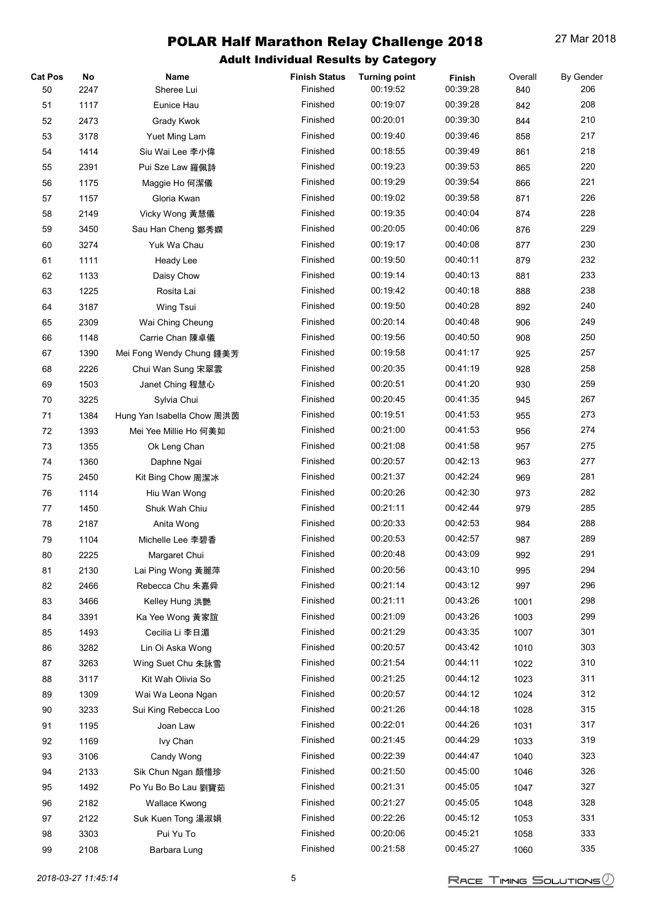| <b>Cat Pos</b> | No   | Name                       | <b>Finish Status</b> | <b>Turning point</b> | Finish   | Overall | <b>By Gender</b> |
|----------------|------|----------------------------|----------------------|----------------------|----------|---------|------------------|
| 50             | 2247 | Sheree Lui                 | Finished             | 00:19:52             | 00:39:28 | 840     | 206              |
| 51             | 1117 | Eunice Hau                 | Finished             | 00:19:07             | 00:39:28 | 842     | 208              |
| 52             | 2473 | Grady Kwok                 | Finished             | 00:20:01             | 00:39:30 | 844     | 210              |
| 53             | 3178 | Yuet Ming Lam              | Finished             | 00:19:40             | 00:39:46 | 858     | 217              |
| 54             | 1414 | Siu Wai Lee 李小偉            | Finished             | 00:18:55             | 00:39:49 | 861     | 218              |
| 55             | 2391 | Pui Sze Law 羅佩詩            | Finished             | 00:19:23             | 00:39:53 | 865     | 220              |
| 56             | 1175 | Maggie Ho 何潔儀              | Finished             | 00:19:29             | 00:39:54 | 866     | 221              |
| 57             | 1157 | Gloria Kwan                | Finished             | 00:19:02             | 00:39:58 | 871     | 226              |
| 58             | 2149 | Vicky Wong 黃慧儀             | Finished             | 00:19:35             | 00:40:04 | 874     | 228              |
| 59             | 3450 | Sau Han Cheng 鄭秀嫻          | Finished             | 00:20:05             | 00:40:06 | 876     | 229              |
| 60             | 3274 | Yuk Wa Chau                | Finished             | 00:19:17             | 00:40:08 | 877     | 230              |
| 61             | 1111 | Heady Lee                  | Finished             | 00:19:50             | 00:40:11 | 879     | 232              |
| 62             | 1133 | Daisy Chow                 | Finished             | 00:19:14             | 00:40:13 | 881     | 233              |
| 63             | 1225 | Rosita Lai                 | Finished             | 00:19:42             | 00:40:18 | 888     | 238              |
| 64             | 3187 | Wing Tsui                  | Finished             | 00:19:50             | 00:40:28 | 892     | 240              |
| 65             | 2309 | Wai Ching Cheung           | Finished             | 00:20:14             | 00:40:48 | 906     | 249              |
| 66             | 1148 | Carrie Chan 陳卓儀            | Finished             | 00:19:56             | 00:40:50 | 908     | 250              |
| 67             | 1390 | Mei Fong Wendy Chung 鍾美芳   | Finished             | 00:19:58             | 00:41:17 | 925     | 257              |
| 68             | 2226 | Chui Wan Sung 宋翠雲          | Finished             | 00:20:35             | 00:41:19 | 928     | 258              |
| 69             | 1503 | Janet Ching 程慧心            | Finished             | 00:20:51             | 00:41:20 | 930     | 259              |
| 70             | 3225 | Sylvia Chui                | Finished             | 00:20:45             | 00:41:35 | 945     | 267              |
| 71             | 1384 | Hung Yan Isabella Chow 周洪茵 | Finished             | 00:19:51             | 00:41:53 | 955     | 273              |
| 72             | 1393 | Mei Yee Millie Ho 何美如      | Finished             | 00:21:00             | 00:41:53 | 956     | 274              |
| 73             | 1355 | Ok Leng Chan               | Finished             | 00:21:08             | 00:41:58 | 957     | 275              |
| 74             | 1360 | Daphne Ngai                | Finished             | 00:20:57             | 00:42:13 | 963     | 277              |
| 75             | 2450 | Kit Bing Chow 周潔冰          | Finished             | 00:21:37             | 00:42:24 | 969     | 281              |
| 76             | 1114 | Hiu Wan Wong               | Finished             | 00:20:26             | 00:42:30 | 973     | 282              |
| 77             | 1450 | Shuk Wah Chiu              | Finished             | 00:21:11             | 00:42:44 | 979     | 285              |
| 78             | 2187 | Anita Wong                 | Finished             | 00:20:33             | 00:42:53 | 984     | 288              |
| 79             | 1104 | Michelle Lee 李碧香           | Finished             | 00:20:53             | 00:42:57 | 987     | 289              |
| 80             | 2225 | Margaret Chui              | Finished             | 00:20:48             | 00:43:09 | 992     | 291              |
| 81             | 2130 | Lai Ping Wong 黃麗萍          | Finished             | 00:20:56             | 00:43:10 | 995     | 294              |
| 82             | 2466 | Rebecca Chu 朱嘉舜            | Finished             | 00:21:14             | 00:43:12 | 997     | 296              |
| 83             | 3466 | Kelley Hung 洪艷             | Finished             | 00:21:11             | 00:43:26 | 1001    | 298              |
| 84             | 3391 | Ka Yee Wong 黃家誼            | Finished             | 00:21:09             | 00:43:26 | 1003    | 299              |
| 85             | 1493 | Cecilia Li 李日湄             | Finished             | 00:21:29             | 00:43:35 | 1007    | 301              |
| 86             | 3282 | Lin Oi Aska Wong           | Finished             | 00:20:57             | 00:43:42 | 1010    | 303              |
| 87             | 3263 | Wing Suet Chu 朱詠雪          | Finished             | 00:21:54             | 00:44:11 | 1022    | 310              |
| 88             | 3117 | Kit Wah Olivia So          | Finished             | 00:21:25             | 00:44:12 | 1023    | 311              |
| 89             | 1309 | Wai Wa Leona Ngan          | Finished             | 00:20:57             | 00:44:12 | 1024    | 312              |
| 90             | 3233 | Sui King Rebecca Loo       | Finished             | 00:21:26             | 00:44:18 | 1028    | 315              |
| 91             | 1195 | Joan Law                   | Finished             | 00:22:01             | 00:44:26 | 1031    | 317              |
| 92             | 1169 | Ivy Chan                   | Finished             | 00:21:45             | 00:44:29 | 1033    | 319              |
| 93             | 3106 | Candy Wong                 | Finished             | 00:22:39             | 00:44:47 | 1040    | 323              |
| 94             | 2133 | Sik Chun Ngan 顏惜珍          | Finished             | 00:21:50             | 00:45:00 | 1046    | 326              |
| 95             | 1492 | Po Yu Bo Bo Lau 劉寶茹        | Finished             | 00:21:31             | 00:45:05 | 1047    | 327              |
| 96             | 2182 | Wallace Kwong              | Finished             | 00:21:27             | 00:45:05 | 1048    | 328              |
| 97             | 2122 | Suk Kuen Tong 湯淑娟          | Finished             | 00:22:26             | 00:45:12 | 1053    | 331              |
| 98             | 3303 | Pui Yu To                  | Finished             | 00:20:06             | 00:45:21 | 1058    | 333              |
| 99             | 2108 | Barbara Lung               | Finished             | 00:21:58             | 00:45:27 | 1060    | 335              |
|                |      |                            |                      |                      |          |         |                  |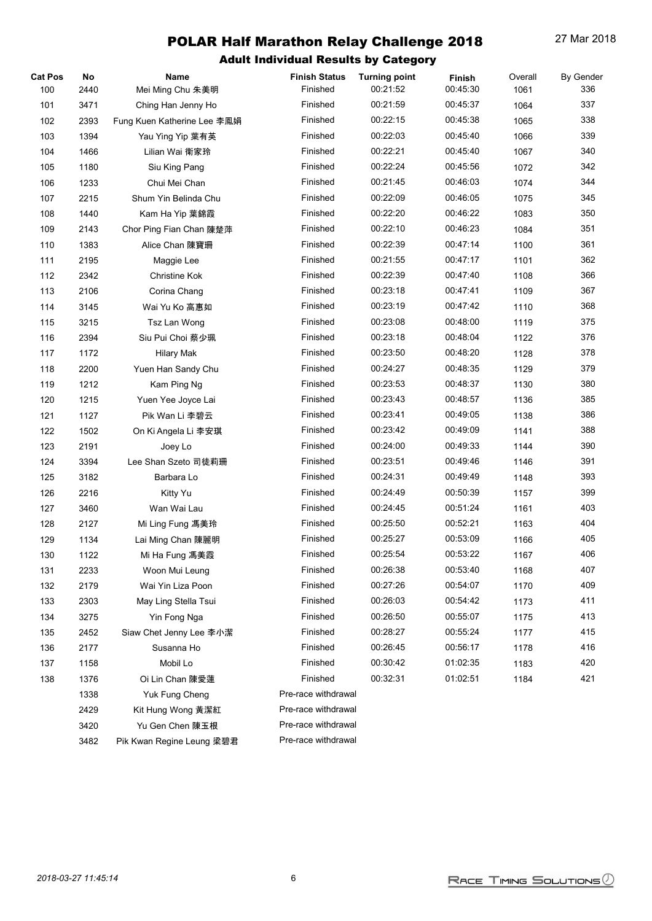| <b>Cat Pos</b> | No   | Name                        | <b>Finish Status</b> | <b>Turning point</b> | Finish   | Overall | By Gender |
|----------------|------|-----------------------------|----------------------|----------------------|----------|---------|-----------|
| 100            | 2440 | Mei Ming Chu 朱美明            | Finished             | 00:21:52             | 00:45:30 | 1061    | 336       |
| 101            | 3471 | Ching Han Jenny Ho          | Finished             | 00:21:59             | 00:45:37 | 1064    | 337       |
| 102            | 2393 | Fung Kuen Katherine Lee 李鳳娟 | Finished             | 00:22:15             | 00:45:38 | 1065    | 338       |
| 103            | 1394 | Yau Ying Yip 葉有英            | Finished             | 00:22:03             | 00:45:40 | 1066    | 339       |
| 104            | 1466 | Lilian Wai 衛家玲              | Finished             | 00:22:21             | 00:45:40 | 1067    | 340       |
| 105            | 1180 | Siu King Pang               | Finished             | 00:22:24             | 00:45:56 | 1072    | 342       |
| 106            | 1233 | Chui Mei Chan               | Finished             | 00:21:45             | 00:46:03 | 1074    | 344       |
| 107            | 2215 | Shum Yin Belinda Chu        | Finished             | 00:22:09             | 00:46:05 | 1075    | 345       |
| 108            | 1440 | Kam Ha Yip 葉錦霞              | Finished             | 00:22:20             | 00:46:22 | 1083    | 350       |
| 109            | 2143 | Chor Ping Fian Chan 陳楚萍     | Finished             | 00:22:10             | 00:46:23 | 1084    | 351       |
| 110            | 1383 | Alice Chan 陳寶珊              | Finished             | 00:22:39             | 00:47:14 | 1100    | 361       |
| 111            | 2195 | Maggie Lee                  | Finished             | 00:21:55             | 00:47:17 | 1101    | 362       |
| 112            | 2342 | Christine Kok               | Finished             | 00:22:39             | 00:47:40 | 1108    | 366       |
| 113            | 2106 | Corina Chang                | Finished             | 00:23:18             | 00:47:41 | 1109    | 367       |
| 114            | 3145 | Wai Yu Ko 高惠如               | Finished             | 00:23:19             | 00:47:42 | 1110    | 368       |
| 115            | 3215 | Tsz Lan Wong                | Finished             | 00:23:08             | 00:48:00 | 1119    | 375       |
| 116            | 2394 | Siu Pui Choi 蔡少珮            | Finished             | 00:23:18             | 00:48:04 | 1122    | 376       |
| 117            | 1172 | <b>Hilary Mak</b>           | Finished             | 00:23:50             | 00:48:20 | 1128    | 378       |
| 118            | 2200 | Yuen Han Sandy Chu          | Finished             | 00:24:27             | 00:48:35 | 1129    | 379       |
| 119            | 1212 | Kam Ping Ng                 | Finished             | 00:23:53             | 00:48:37 | 1130    | 380       |
| 120            | 1215 | Yuen Yee Joyce Lai          | Finished             | 00:23:43             | 00:48:57 | 1136    | 385       |
| 121            | 1127 | Pik Wan Li 李碧云              | Finished             | 00:23:41             | 00:49:05 | 1138    | 386       |
| 122            | 1502 | On Ki Angela Li 李安琪         | Finished             | 00:23:42             | 00:49:09 | 1141    | 388       |
| 123            | 2191 | Joey Lo                     | Finished             | 00:24:00             | 00:49:33 | 1144    | 390       |
| 124            | 3394 | Lee Shan Szeto 司徒莉珊         | Finished             | 00:23:51             | 00:49:46 | 1146    | 391       |
| 125            | 3182 | Barbara Lo                  | Finished             | 00:24:31             | 00:49:49 | 1148    | 393       |
| 126            | 2216 | Kitty Yu                    | Finished             | 00:24:49             | 00:50:39 | 1157    | 399       |
| 127            | 3460 | Wan Wai Lau                 | Finished             | 00:24:45             | 00:51:24 | 1161    | 403       |
| 128            | 2127 | Mi Ling Fung 馮美玲            | Finished             | 00:25:50             | 00:52:21 | 1163    | 404       |
| 129            | 1134 | Lai Ming Chan 陳麗明           | Finished             | 00:25:27             | 00:53:09 | 1166    | 405       |
| 130            | 1122 | Mi Ha Fung 馮美霞              | Finished             | 00:25:54             | 00:53:22 | 1167    | 406       |
| 131            | 2233 | Woon Mui Leung              | Finished             | 00:26:38             | 00:53:40 | 1168    | 407       |
| 132            | 2179 | Wai Yin Liza Poon           | Finished             | 00:27:26             | 00:54:07 | 1170    | 409       |
| 133            | 2303 | May Ling Stella Tsui        | Finished             | 00:26:03             | 00:54:42 | 1173    | 411       |
| 134            | 3275 | Yin Fong Nga                | Finished             | 00:26:50             | 00:55:07 | 1175    | 413       |
| 135            | 2452 | Siaw Chet Jenny Lee 李小潔     | Finished             | 00:28:27             | 00:55:24 | 1177    | 415       |
| 136            | 2177 | Susanna Ho                  | Finished             | 00:26:45             | 00:56:17 | 1178    | 416       |
| 137            | 1158 | Mobil Lo                    | Finished             | 00:30:42             | 01:02:35 | 1183    | 420       |
| 138            | 1376 | Oi Lin Chan 陳愛蓮             | Finished             | 00:32:31             | 01:02:51 | 1184    | 421       |
|                | 1338 | Yuk Fung Cheng              | Pre-race withdrawal  |                      |          |         |           |
|                | 2429 | Kit Hung Wong 黃潔紅           | Pre-race withdrawal  |                      |          |         |           |
|                | 3420 | Yu Gen Chen 陳玉根             | Pre-race withdrawal  |                      |          |         |           |
|                | 3482 | Pik Kwan Regine Leung 梁碧君   | Pre-race withdrawal  |                      |          |         |           |
|                |      |                             |                      |                      |          |         |           |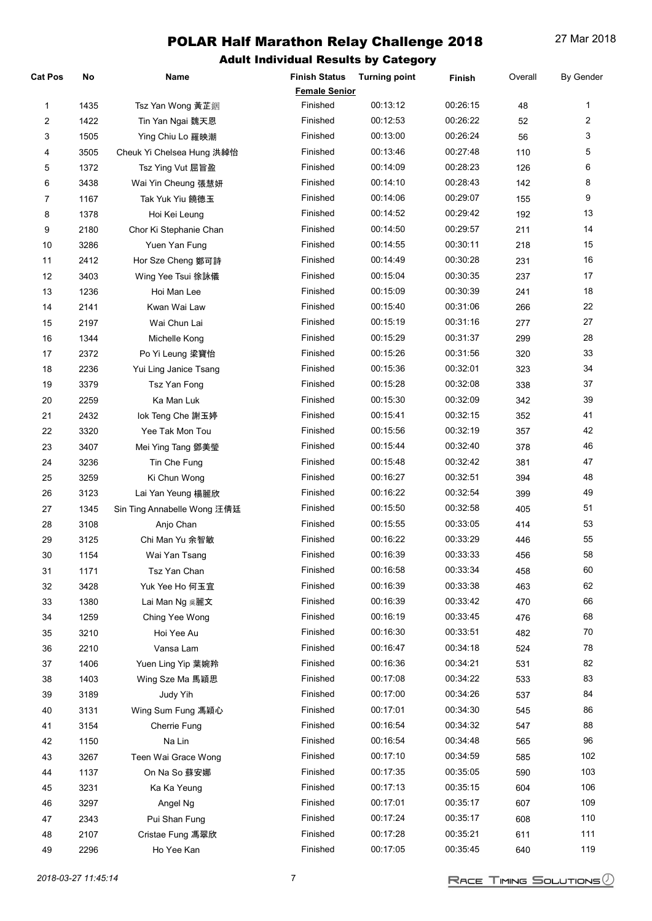| <b>Cat Pos</b> | No   | Name                                 | <b>Finish Status</b> | <b>Turning point</b> | Finish   | Overall    | By Gender      |
|----------------|------|--------------------------------------|----------------------|----------------------|----------|------------|----------------|
|                |      |                                      | <b>Female Senior</b> |                      |          |            |                |
| 1              | 1435 | Tsz Yan Wong 黃芷銦                     | Finished             | 00:13:12             | 00:26:15 | 48         | 1              |
| 2              | 1422 | Tin Yan Ngai 魏天恩                     | Finished             | 00:12:53             | 00:26:22 | 52         | $\overline{c}$ |
| 3              | 1505 | Ying Chiu Lo 羅映潮                     | Finished             | 00:13:00             | 00:26:24 | 56         | 3              |
| 4              | 3505 | Cheuk Yi Chelsea Hung 洪綽怡            | Finished             | 00:13:46             | 00:27:48 | 110        | 5              |
| 5              | 1372 | Tsz Ying Vut 屈旨盈                     | Finished             | 00:14:09             | 00:28:23 | 126        | 6              |
| 6              | 3438 | Wai Yin Cheung 張慧妍                   | Finished             | 00:14:10             | 00:28:43 | 142        | 8              |
| 7              | 1167 | Tak Yuk Yiu 饒德玉                      | Finished             | 00:14:06             | 00:29:07 | 155        | 9              |
| 8              | 1378 | Hoi Kei Leung                        | Finished             | 00:14:52             | 00:29:42 | 192        | 13             |
| 9              | 2180 | Chor Ki Stephanie Chan               | Finished             | 00:14:50             | 00:29:57 | 211        | 14             |
| 10             | 3286 | Yuen Yan Fung                        | Finished             | 00:14:55             | 00:30:11 | 218        | 15             |
| 11             | 2412 | Hor Sze Cheng 鄭可詩                    | Finished             | 00:14:49             | 00:30:28 | 231        | 16             |
| 12             | 3403 | Wing Yee Tsui 徐詠儀                    | Finished             | 00:15:04             | 00:30:35 | 237        | 17             |
| 13             | 1236 | Hoi Man Lee                          | Finished             | 00:15:09             | 00:30:39 | 241        | 18             |
| 14             | 2141 | Kwan Wai Law                         | Finished             | 00:15:40             | 00:31:06 | 266        | 22             |
| 15             | 2197 | Wai Chun Lai                         | Finished             | 00:15:19             | 00:31:16 | 277        | 27             |
| 16             | 1344 | Michelle Kong                        | Finished             | 00:15:29             | 00:31:37 | 299        | 28             |
| 17             | 2372 | Po Yi Leung 梁寶怡                      | Finished             | 00:15:26             | 00:31:56 | 320        | 33             |
| 18             | 2236 | Yui Ling Janice Tsang                | Finished             | 00:15:36             | 00:32:01 | 323        | 34             |
| 19             | 3379 | Tsz Yan Fong                         | Finished             | 00:15:28             | 00:32:08 | 338        | 37             |
| $20\,$         | 2259 | Ka Man Luk                           | Finished             | 00:15:30             | 00:32:09 | 342        | 39             |
| 21             | 2432 | lok Teng Che 謝玉婷                     | Finished             | 00:15:41             | 00:32:15 | 352        | 41             |
| 22             | 3320 | Yee Tak Mon Tou                      | Finished             | 00:15:56             | 00:32:19 | 357        | 42             |
| 23             | 3407 | Mei Ying Tang 鄧美瑩                    | Finished             | 00:15:44             | 00:32:40 | 378        | 46             |
| 24             | 3236 | Tin Che Fung                         | Finished             | 00:15:48             | 00:32:42 | 381        | 47             |
| 25             | 3259 | Ki Chun Wong                         | Finished             | 00:16:27             | 00:32:51 | 394        | 48             |
| 26             | 3123 | Lai Yan Yeung 楊麗欣                    | Finished             | 00:16:22             | 00:32:54 | 399        | 49             |
| 27             | 1345 | Sin Ting Annabelle Wong 汪倩廷          | Finished             | 00:15:50             | 00:32:58 | 405        | 51             |
| 28             | 3108 | Anjo Chan                            | Finished             | 00:15:55             | 00:33:05 | 414        | 53             |
| 29             | 3125 | Chi Man Yu 余智敏                       | Finished             | 00:16:22             | 00:33:29 | 446        | 55             |
| 30             | 1154 | Wai Yan Tsang                        | Finished             | 00:16:39             | 00:33:33 | 456        | 58             |
| 31             | 1171 | Tsz Yan Chan                         | Finished             | 00:16:58             | 00:33:34 | 458        | 60             |
| 32             | 3428 | Yuk Yee Ho 何玉宜                       | Finished             | 00:16:39             | 00:33:38 | 463        | 62             |
| $33\,$         | 1380 |                                      | Finished             | 00:16:39             | 00:33:42 | 470        | 66             |
| 34             | 1259 | Lai Man Ng 吳麗文<br>Ching Yee Wong     | Finished             | 00:16:19             | 00:33:45 | 476        | 68             |
| 35             | 3210 | Hoi Yee Au                           | Finished             | 00:16:30             | 00:33:51 |            | 70             |
| $36\,$         | 2210 | Vansa Lam                            | Finished             | 00:16:47             | 00:34:18 | 482<br>524 | 78             |
| 37             | 1406 |                                      | Finished             | 00:16:36             | 00:34:21 | 531        | 82             |
|                |      | Yuen Ling Yip 葉婉羚<br>Wing Sze Ma 馬穎思 | Finished             | 00:17:08             | 00:34:22 |            | 83             |
| 38             | 1403 |                                      | Finished             | 00:17:00             | 00:34:26 | 533        | 84             |
| 39             | 3189 | Judy Yih                             | Finished             | 00:17:01             | 00:34:30 | 537        | 86             |
| 40             | 3131 | Wing Sum Fung 馮穎心                    | Finished             | 00:16:54             | 00:34:32 | 545        | 88             |
| 41             | 3154 | Cherrie Fung                         | Finished             | 00:16:54             | 00:34:48 | 547        | 96             |
| 42             | 1150 | Na Lin                               | Finished             | 00:17:10             | 00:34:59 | 565        | 102            |
| 43             | 3267 | Teen Wai Grace Wong                  |                      |                      |          | 585        |                |
| 44             | 1137 | On Na So 蘇安娜                         | Finished             | 00:17:35             | 00:35:05 | 590        | 103            |
| 45             | 3231 | Ka Ka Yeung                          | Finished             | 00:17:13             | 00:35:15 | 604        | 106            |
| 46             | 3297 | Angel Ng                             | Finished             | 00:17:01             | 00:35:17 | 607        | 109            |
| 47             | 2343 | Pui Shan Fung                        | Finished             | 00:17:24             | 00:35:17 | 608        | 110            |
| 48             | 2107 | Cristae Fung 馮翠欣                     | Finished             | 00:17:28             | 00:35:21 | 611        | 111            |
| 49             | 2296 | Ho Yee Kan                           | Finished             | 00:17:05             | 00:35:45 | 640        | 119            |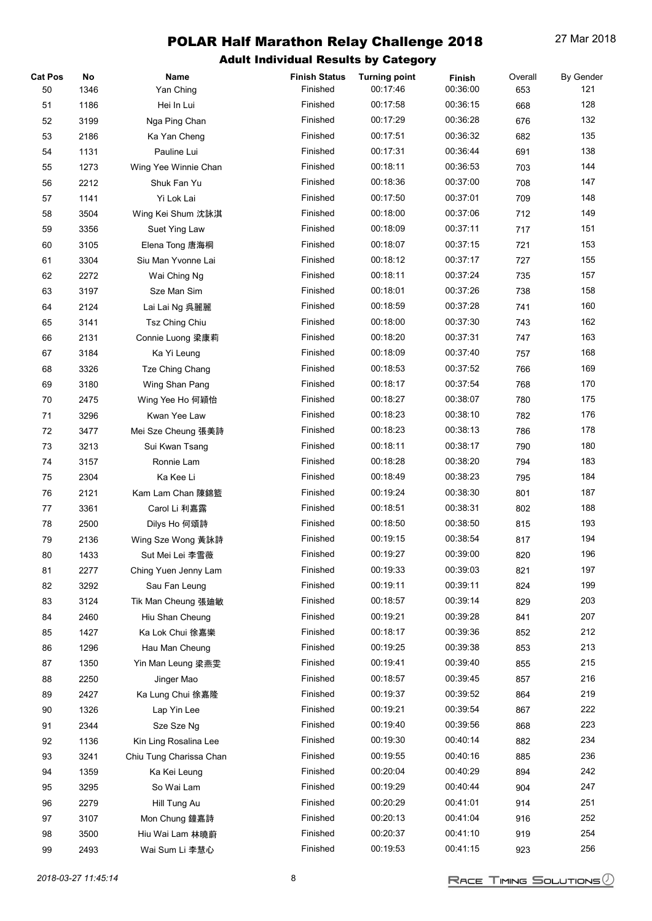| <b>Cat Pos</b> | No   | Name                    | <b>Finish Status</b> | <b>Turning point</b> | Finish   | Overall | <b>By Gender</b> |
|----------------|------|-------------------------|----------------------|----------------------|----------|---------|------------------|
| 50             | 1346 | Yan Ching               | Finished             | 00:17:46             | 00:36:00 | 653     | 121              |
| 51             | 1186 | Hei In Lui              | Finished             | 00:17:58             | 00:36:15 | 668     | 128              |
| 52             | 3199 | Nga Ping Chan           | Finished             | 00:17:29             | 00:36:28 | 676     | 132              |
| 53             | 2186 | Ka Yan Cheng            | Finished             | 00:17:51             | 00:36:32 | 682     | 135              |
| 54             | 1131 | Pauline Lui             | Finished             | 00:17:31             | 00:36:44 | 691     | 138              |
| 55             | 1273 | Wing Yee Winnie Chan    | Finished             | 00:18:11             | 00:36:53 | 703     | 144              |
| 56             | 2212 | Shuk Fan Yu             | Finished             | 00:18:36             | 00:37:00 | 708     | 147              |
| 57             | 1141 | Yi Lok Lai              | Finished             | 00:17:50             | 00:37:01 | 709     | 148              |
| 58             | 3504 | Wing Kei Shum 沈詠淇       | Finished             | 00:18:00             | 00:37:06 | 712     | 149              |
| 59             | 3356 | Suet Ying Law           | Finished             | 00:18:09             | 00:37:11 | 717     | 151              |
| 60             | 3105 | Elena Tong 唐海桐          | Finished             | 00:18:07             | 00:37:15 | 721     | 153              |
| 61             | 3304 | Siu Man Yvonne Lai      | Finished             | 00:18:12             | 00:37:17 | 727     | 155              |
| 62             | 2272 | Wai Ching Ng            | Finished             | 00:18:11             | 00:37:24 | 735     | 157              |
| 63             | 3197 | Sze Man Sim             | Finished             | 00:18:01             | 00:37:26 | 738     | 158              |
| 64             | 2124 | Lai Lai Ng 呉麗麗          | Finished             | 00:18:59             | 00:37:28 | 741     | 160              |
| 65             | 3141 | <b>Tsz Ching Chiu</b>   | Finished             | 00:18:00             | 00:37:30 | 743     | 162              |
| 66             | 2131 | Connie Luong 梁康莉        | Finished             | 00:18:20             | 00:37:31 | 747     | 163              |
| 67             | 3184 | Ka Yi Leung             | Finished             | 00:18:09             | 00:37:40 | 757     | 168              |
| 68             | 3326 | Tze Ching Chang         | Finished             | 00:18:53             | 00:37:52 | 766     | 169              |
| 69             | 3180 | Wing Shan Pang          | Finished             | 00:18:17             | 00:37:54 | 768     | 170              |
| 70             | 2475 | Wing Yee Ho 何穎怡         | Finished             | 00:18:27             | 00:38:07 | 780     | 175              |
| 71             | 3296 | Kwan Yee Law            | Finished             | 00:18:23             | 00:38:10 | 782     | 176              |
| 72             | 3477 | Mei Sze Cheung 張美詩      | Finished             | 00:18:23             | 00:38:13 | 786     | 178              |
| 73             | 3213 | Sui Kwan Tsang          | Finished             | 00:18:11             | 00:38:17 | 790     | 180              |
| 74             | 3157 | Ronnie Lam              | Finished             | 00:18:28             | 00:38:20 | 794     | 183              |
| 75             | 2304 | Ka Kee Li               | Finished             | 00:18:49             | 00:38:23 | 795     | 184              |
| 76             | 2121 | Kam Lam Chan 陳錦籃        | Finished             | 00:19:24             | 00:38:30 | 801     | 187              |
| 77             | 3361 | Carol Li 利嘉露            | Finished             | 00:18:51             | 00:38:31 | 802     | 188              |
| 78             | 2500 | Dilys Ho 何頌詩            | Finished             | 00:18:50             | 00:38:50 | 815     | 193              |
| 79             | 2136 | Wing Sze Wong 黃詠詩       | Finished             | 00:19:15             | 00:38:54 | 817     | 194              |
| 80             | 1433 | Sut Mei Lei 李雪薇         | Finished             | 00:19:27             | 00:39:00 | 820     | 196              |
| 81             | 2277 | Ching Yuen Jenny Lam    | Finished             | 00:19:33             | 00:39:03 | 821     | 197              |
| 82             | 3292 | Sau Fan Leung           | Finished             | 00:19:11             | 00:39:11 | 824     | 199              |
| 83             | 3124 | Tik Man Cheung 張廸敏      | Finished             | 00:18:57             | 00:39:14 | 829     | 203              |
| 84             | 2460 | Hiu Shan Cheung         | Finished             | 00:19:21             | 00:39:28 | 841     | 207              |
| 85             | 1427 | Ka Lok Chui 徐嘉樂         | Finished             | 00:18:17             | 00:39:36 | 852     | 212              |
| 86             | 1296 | Hau Man Cheung          | Finished             | 00:19:25             | 00:39:38 | 853     | 213              |
| 87             | 1350 | Yin Man Leung 梁燕雯       | Finished             | 00:19:41             | 00:39:40 | 855     | 215              |
| 88             | 2250 | Jinger Mao              | Finished             | 00:18:57             | 00:39:45 | 857     | 216              |
| 89             | 2427 | Ka Lung Chui 徐嘉隆        | Finished             | 00:19:37             | 00:39:52 | 864     | 219              |
| 90             | 1326 | Lap Yin Lee             | Finished             | 00:19:21             | 00:39:54 | 867     | 222              |
| 91             | 2344 | Sze Sze Ng              | Finished             | 00:19:40             | 00:39:56 | 868     | 223              |
| 92             | 1136 | Kin Ling Rosalina Lee   | Finished             | 00:19:30             | 00:40:14 | 882     | 234              |
| 93             | 3241 | Chiu Tung Charissa Chan | Finished             | 00:19:55             | 00:40:16 | 885     | 236              |
| 94             | 1359 | Ka Kei Leung            | Finished             | 00:20:04             | 00:40:29 | 894     | 242              |
| 95             | 3295 | So Wai Lam              | Finished             | 00:19:29             | 00:40:44 | 904     | 247              |
| 96             | 2279 | Hill Tung Au            | Finished             | 00:20:29             | 00:41:01 | 914     | 251              |
| 97             | 3107 | Mon Chung 鐘嘉詩           | Finished             | 00:20:13             | 00:41:04 | 916     | 252              |
| 98             | 3500 | Hiu Wai Lam 林曉蔚         | Finished             | 00:20:37             | 00:41:10 | 919     | 254              |
| 99             | 2493 | Wai Sum Li 李慧心          | Finished             | 00:19:53             | 00:41:15 | 923     | 256              |
|                |      |                         |                      |                      |          |         |                  |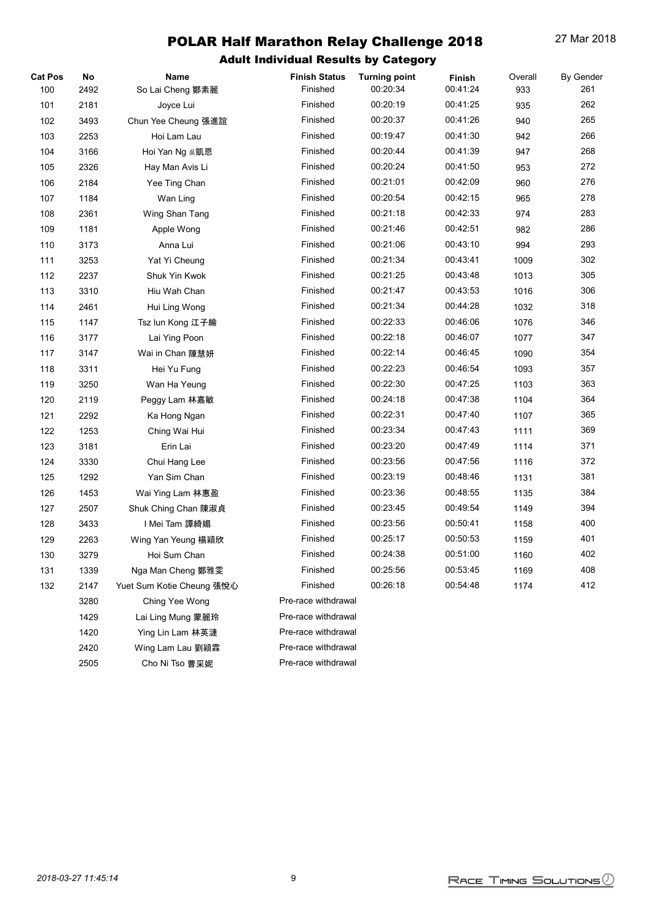| <b>Cat Pos</b> | No   | Name                      | <b>Finish Status</b> | <b>Turning point</b> | Finish   | Overall | <b>By Gender</b> |
|----------------|------|---------------------------|----------------------|----------------------|----------|---------|------------------|
| 100            | 2492 | So Lai Cheng 鄭素麗          | Finished             | 00:20:34             | 00:41:24 | 933     | 261              |
| 101            | 2181 | Joyce Lui                 | Finished             | 00:20:19             | 00:41:25 | 935     | 262              |
| 102            | 3493 | Chun Yee Cheung 張進誼       | Finished             | 00:20:37             | 00:41:26 | 940     | 265              |
| 103            | 2253 | Hoi Lam Lau               | Finished             | 00:19:47             | 00:41:30 | 942     | 266              |
| 104            | 3166 | Hoi Yan Ng 吳凱恩            | Finished             | 00:20:44             | 00:41:39 | 947     | 268              |
| 105            | 2326 | Hay Man Avis Li           | Finished             | 00:20:24             | 00:41:50 | 953     | 272              |
| 106            | 2184 | Yee Ting Chan             | Finished             | 00:21:01             | 00:42:09 | 960     | 276              |
| 107            | 1184 | Wan Ling                  | Finished             | 00:20:54             | 00:42:15 | 965     | 278              |
| 108            | 2361 | Wing Shan Tang            | Finished             | 00:21:18             | 00:42:33 | 974     | 283              |
| 109            | 1181 | Apple Wong                | Finished             | 00:21:46             | 00:42:51 | 982     | 286              |
| 110            | 3173 | Anna Lui                  | Finished             | 00:21:06             | 00:43:10 | 994     | 293              |
| 111            | 3253 | Yat Yi Cheung             | Finished             | 00:21:34             | 00:43:41 | 1009    | 302              |
| 112            | 2237 | Shuk Yin Kwok             | Finished             | 00:21:25             | 00:43:48 | 1013    | 305              |
| 113            | 3310 | Hiu Wah Chan              | Finished             | 00:21:47             | 00:43:53 | 1016    | 306              |
| 114            | 2461 | Hui Ling Wong             | Finished             | 00:21:34             | 00:44:28 | 1032    | 318              |
| 115            | 1147 | Tsz lun Kong 江子綸          | Finished             | 00:22:33             | 00:46:06 | 1076    | 346              |
| 116            | 3177 | Lai Ying Poon             | Finished             | 00:22:18             | 00:46:07 | 1077    | 347              |
| 117            | 3147 | Wai in Chan 陳慧妍           | Finished             | 00:22:14             | 00:46:45 | 1090    | 354              |
| 118            | 3311 | Hei Yu Fung               | Finished             | 00:22:23             | 00:46:54 | 1093    | 357              |
| 119            | 3250 | Wan Ha Yeung              | Finished             | 00:22:30             | 00:47:25 | 1103    | 363              |
| 120            | 2119 | Peggy Lam 林嘉敏             | Finished             | 00:24:18             | 00:47:38 | 1104    | 364              |
| 121            | 2292 | Ka Hong Ngan              | Finished             | 00:22:31             | 00:47:40 | 1107    | 365              |
| 122            | 1253 | Ching Wai Hui             | Finished             | 00:23:34             | 00:47:43 | 1111    | 369              |
| 123            | 3181 | Erin Lai                  | Finished             | 00:23:20             | 00:47:49 | 1114    | 371              |
| 124            | 3330 | Chui Hang Lee             | Finished             | 00:23:56             | 00:47:56 | 1116    | 372              |
| 125            | 1292 | Yan Sim Chan              | Finished             | 00:23:19             | 00:48:46 | 1131    | 381              |
| 126            | 1453 | Wai Ying Lam 林惠盈          | Finished             | 00:23:36             | 00:48:55 | 1135    | 384              |
| 127            | 2507 | Shuk Ching Chan 陳淑貞       | Finished             | 00:23:45             | 00:49:54 | 1149    | 394              |
| 128            | 3433 | I Mei Tam 譚綺媚             | Finished             | 00:23:56             | 00:50:41 | 1158    | 400              |
| 129            | 2263 | Wing Yan Yeung 楊穎欣        | Finished             | 00:25:17             | 00:50:53 | 1159    | 401              |
| 130            | 3279 | Hoi Sum Chan              | Finished             | 00:24:38             | 00:51:00 | 1160    | 402              |
| 131            | 1339 | Nga Man Cheng 鄭雅雯         | Finished             | 00:25:56             | 00:53:45 | 1169    | 408              |
| 132            | 2147 | Yuet Sum Kotie Cheung 張悅心 | Finished             | 00:26:18             | 00:54:48 | 1174    | 412              |
|                | 3280 | Ching Yee Wong            | Pre-race withdrawal  |                      |          |         |                  |
|                | 1429 | Lai Ling Mung 蒙麗玲         | Pre-race withdrawal  |                      |          |         |                  |
|                | 1420 | Ying Lin Lam 林英漣          | Pre-race withdrawal  |                      |          |         |                  |
|                | 2420 | Wing Lam Lau 劉穎霖          | Pre-race withdrawal  |                      |          |         |                  |
|                | 2505 | Cho Ni Tso 曹采妮            | Pre-race withdrawal  |                      |          |         |                  |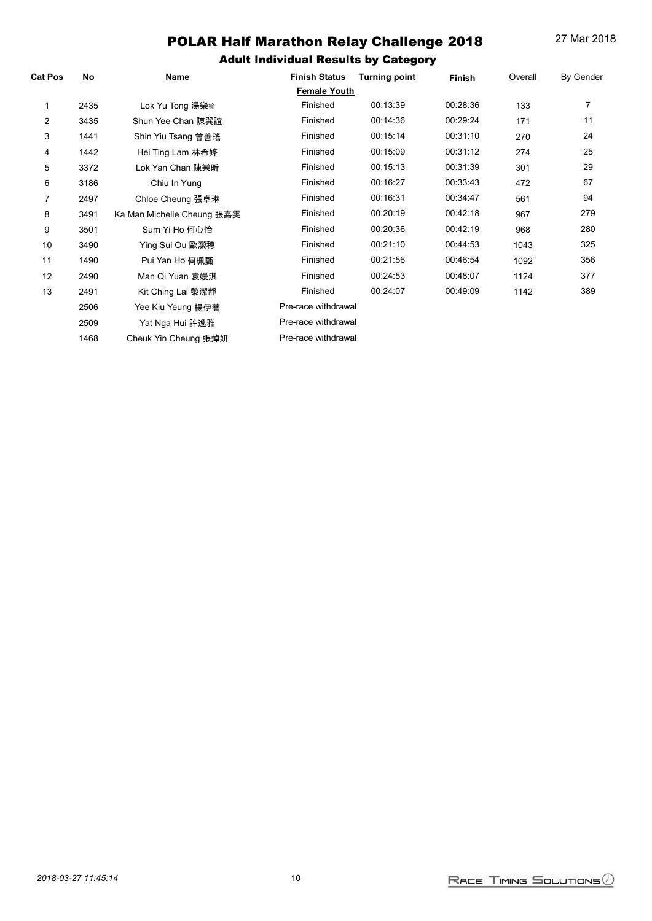| <b>Cat Pos</b> | No   | Name                       | <b>Finish Status</b> | <b>Turning point</b> | <b>Finish</b> | Overall | <b>By Gender</b> |
|----------------|------|----------------------------|----------------------|----------------------|---------------|---------|------------------|
|                |      |                            | <b>Female Youth</b>  |                      |               |         |                  |
|                | 2435 | Lok Yu Tong 湯樂榆            | Finished             | 00:13:39             | 00:28:36      | 133     | 7                |
| $\overline{2}$ | 3435 | Shun Yee Chan 陳巽誼          | Finished             | 00:14:36             | 00:29:24      | 171     | 11               |
| 3              | 1441 | Shin Yiu Tsang 曾善瑤         | Finished             | 00:15:14             | 00:31:10      | 270     | 24               |
| 4              | 1442 | Hei Ting Lam 林希婷           | Finished             | 00:15:09             | 00:31:12      | 274     | 25               |
| 5              | 3372 | Lok Yan Chan 陳樂昕           | Finished             | 00:15:13             | 00:31:39      | 301     | 29               |
| 6              | 3186 | Chiu In Yung               | Finished             | 00:16:27             | 00:33:43      | 472     | 67               |
| 7              | 2497 | Chloe Cheung 張卓琳           | Finished             | 00:16:31             | 00:34:47      | 561     | 94               |
| 8              | 3491 | Ka Man Michelle Cheung 張嘉雯 | Finished             | 00:20:19             | 00:42:18      | 967     | 279              |
| 9              | 3501 | Sum Yi Ho 何心怡              | Finished             | 00:20:36             | 00:42:19      | 968     | 280              |
| 10             | 3490 | Ying Sui Ou 歐瀠穗            | Finished             | 00:21:10             | 00:44:53      | 1043    | 325              |
| 11             | 1490 | Pui Yan Ho 何珮甄             | Finished             | 00:21:56             | 00:46:54      | 1092    | 356              |
| 12             | 2490 | Man Qi Yuan 袁嫚淇            | Finished             | 00:24:53             | 00:48:07      | 1124    | 377              |
| 13             | 2491 | Kit Ching Lai 黎潔靜          | Finished             | 00:24:07             | 00:49:09      | 1142    | 389              |
|                | 2506 | Yee Kiu Yeung 楊伊蕎          | Pre-race withdrawal  |                      |               |         |                  |
|                | 2509 | Yat Nga Hui 許逸雅            | Pre-race withdrawal  |                      |               |         |                  |
|                | 1468 | Cheuk Yin Cheung 張焯妍       | Pre-race withdrawal  |                      |               |         |                  |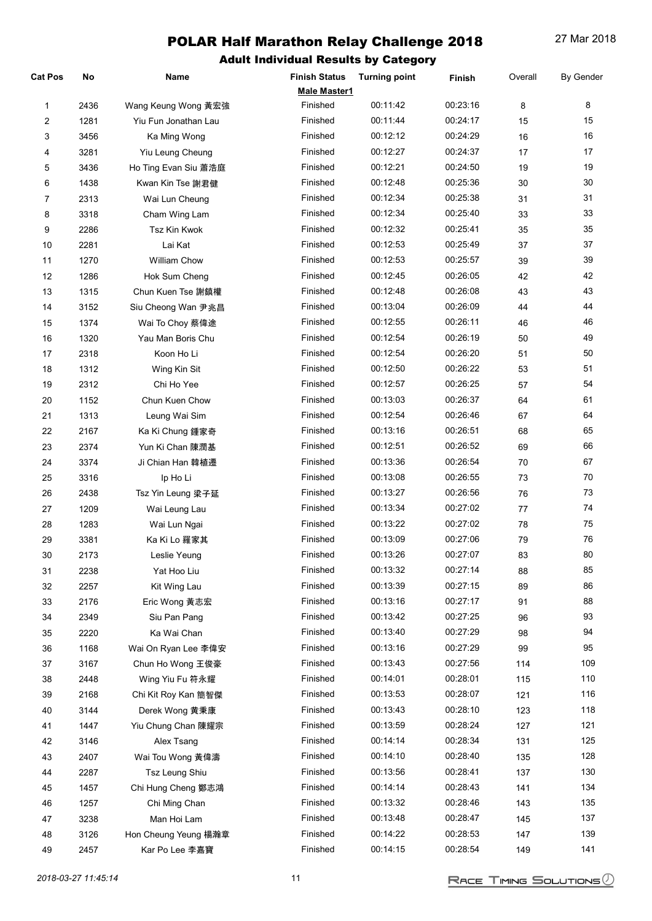| <b>Cat Pos</b> | No   | <b>Name</b>          | <b>Finish Status</b><br>Male Master1 | <b>Turning point</b> | Finish   | Overall | <b>By Gender</b> |
|----------------|------|----------------------|--------------------------------------|----------------------|----------|---------|------------------|
| 1              | 2436 | Wang Keung Wong 黃宏強  | Finished                             | 00:11:42             | 00:23:16 | 8       | 8                |
| 2              | 1281 | Yiu Fun Jonathan Lau | Finished                             | 00:11:44             | 00:24:17 | 15      | 15               |
| 3              | 3456 | Ka Ming Wong         | Finished                             | 00:12:12             | 00:24:29 | 16      | 16               |
| 4              | 3281 | Yiu Leung Cheung     | Finished                             | 00:12:27             | 00:24:37 | 17      | 17               |
| 5              | 3436 | Ho Ting Evan Siu 蕭浩庭 | Finished                             | 00:12:21             | 00:24:50 | 19      | 19               |
| 6              | 1438 | Kwan Kin Tse 謝君健     | Finished                             | 00:12:48             | 00:25:36 | 30      | 30               |
| $\overline{7}$ | 2313 | Wai Lun Cheung       | Finished                             | 00:12:34             | 00:25:38 | 31      | 31               |
| 8              | 3318 | Cham Wing Lam        | Finished                             | 00:12:34             | 00:25:40 | 33      | 33               |
| 9              | 2286 | Tsz Kin Kwok         | Finished                             | 00:12:32             | 00:25:41 | 35      | 35               |
| 10             | 2281 | Lai Kat              | Finished                             | 00:12:53             | 00:25:49 | 37      | 37               |
| 11             | 1270 | William Chow         | Finished                             | 00:12:53             | 00:25:57 | 39      | 39               |
| 12             | 1286 | Hok Sum Cheng        | Finished                             | 00:12:45             | 00:26:05 | 42      | 42               |
| 13             | 1315 | Chun Kuen Tse 謝鎮權    | Finished                             | 00:12:48             | 00:26:08 | 43      | 43               |
| 14             | 3152 | Siu Cheong Wan 尹兆昌   | Finished                             | 00:13:04             | 00:26:09 | 44      | 44               |
| 15             | 1374 | Wai To Choy 蔡偉途      | Finished                             | 00:12:55             | 00:26:11 | 46      | 46               |
| 16             | 1320 | Yau Man Boris Chu    | Finished                             | 00:12:54             | 00:26:19 | 50      | 49               |
|                |      | Koon Ho Li           | Finished                             | 00:12:54             | 00:26:20 | 51      | 50               |
| 17             | 2318 |                      | Finished                             | 00:12:50             | 00:26:22 |         | 51               |
| 18             | 1312 | Wing Kin Sit         |                                      |                      |          | 53      |                  |
| 19             | 2312 | Chi Ho Yee           | Finished                             | 00:12:57             | 00:26:25 | 57      | 54               |
| 20             | 1152 | Chun Kuen Chow       | Finished                             | 00:13:03             | 00:26:37 | 64      | 61               |
| 21             | 1313 | Leung Wai Sim        | Finished                             | 00:12:54             | 00:26:46 | 67      | 64               |
| 22             | 2167 | Ka Ki Chung 鍾家奇      | Finished                             | 00:13:16             | 00:26:51 | 68      | 65               |
| 23             | 2374 | Yun Ki Chan 陳潤基      | Finished                             | 00:12:51             | 00:26:52 | 69      | 66               |
| 24             | 3374 | Ji Chian Han 韓植遷     | Finished                             | 00:13:36             | 00:26:54 | 70      | 67               |
| 25             | 3316 | Ip Ho Li             | Finished                             | 00:13:08             | 00:26:55 | 73      | 70               |
| 26             | 2438 | Tsz Yin Leung 梁子延    | Finished                             | 00:13:27             | 00:26:56 | 76      | 73               |
| 27             | 1209 | Wai Leung Lau        | Finished                             | 00:13:34             | 00:27:02 | 77      | 74               |
| 28             | 1283 | Wai Lun Ngai         | Finished                             | 00:13:22             | 00:27:02 | 78      | 75               |
| 29             | 3381 | Ka Ki Lo 羅家其         | Finished                             | 00:13:09             | 00:27:06 | 79      | 76               |
| 30             | 2173 | Leslie Yeung         | Finished                             | 00:13:26             | 00:27:07 | 83      | 80               |
| 31             | 2238 | Yat Hoo Liu          | Finished                             | 00:13:32             | 00:27:14 | 88      | 85               |
| 32             | 2257 | Kit Wing Lau         | Finished                             | 00:13:39             | 00:27:15 | 89      | 86               |
| 33             | 2176 | Eric Wong 黃志宏        | Finished                             | 00:13:16             | 00:27:17 | 91      | 88               |
| 34             | 2349 | Siu Pan Pang         | Finished                             | 00:13:42             | 00:27:25 | 96      | 93               |
| 35             | 2220 | Ka Wai Chan          | Finished                             | 00:13:40             | 00:27:29 | 98      | 94               |
| 36             | 1168 | Wai On Ryan Lee 李偉安  | Finished                             | 00:13:16             | 00:27:29 | 99      | 95               |
| 37             | 3167 | Chun Ho Wong 王俊豪     | Finished                             | 00:13:43             | 00:27:56 | 114     | 109              |
| 38             | 2448 | Wing Yiu Fu 符永耀      | Finished                             | 00:14:01             | 00:28:01 | 115     | 110              |
| 39             | 2168 | Chi Kit Roy Kan 簡智傑  | Finished                             | 00:13:53             | 00:28:07 | 121     | 116              |
| 40             | 3144 | Derek Wong 黄秉康       | Finished                             | 00:13:43             | 00:28:10 | 123     | 118              |
| 41             | 1447 | Yiu Chung Chan 陳耀宗   | Finished                             | 00:13:59             | 00:28:24 | 127     | 121              |
| 42             | 3146 | Alex Tsang           | Finished                             | 00:14:14             | 00:28:34 | 131     | 125              |
| 43             | 2407 | Wai Tou Wong 黃偉濤     | Finished                             | 00:14:10             | 00:28:40 | 135     | 128              |
| 44             | 2287 | Tsz Leung Shiu       | Finished                             | 00:13:56             | 00:28:41 | 137     | 130              |
| 45             | 1457 | Chi Hung Cheng 鄭志鴻   | Finished                             | 00:14:14             | 00:28:43 | 141     | 134              |
| 46             | 1257 | Chi Ming Chan        | Finished                             | 00:13:32             | 00:28:46 | 143     | 135              |
| 47             | 3238 | Man Hoi Lam          | Finished                             | 00:13:48             | 00:28:47 | 145     | 137              |
| 48             | 3126 | Hon Cheung Yeung 楊瀚章 | Finished                             | 00:14:22             | 00:28:53 | 147     | 139              |
| 49             | 2457 | Kar Po Lee 李嘉寶       | Finished                             | 00:14:15             | 00:28:54 | 149     | 141              |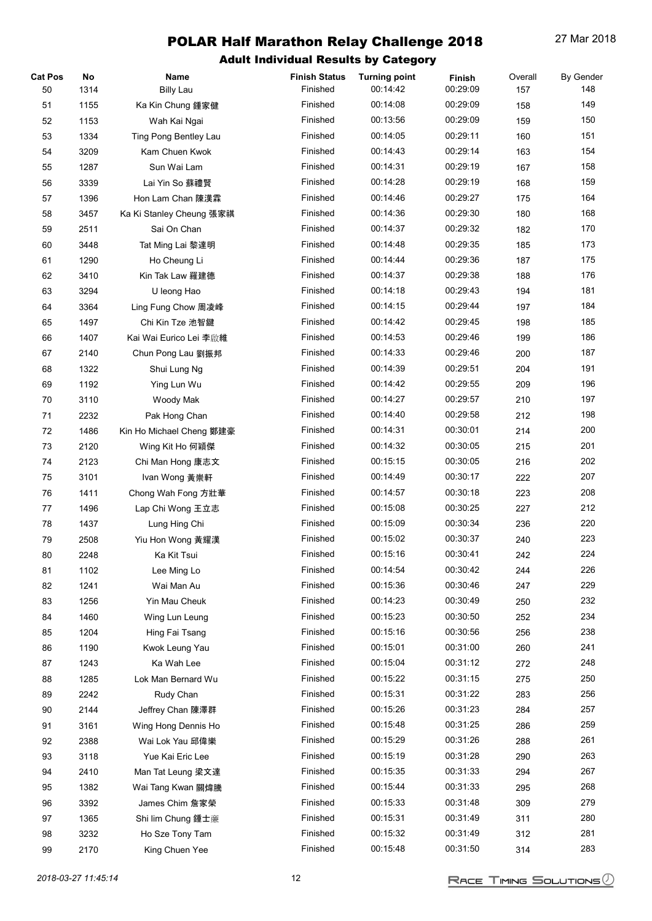| <b>Cat Pos</b> | No   | Name                     | <b>Finish Status</b> | <b>Turning point</b> | Finish   | Overall | <b>By Gender</b> |
|----------------|------|--------------------------|----------------------|----------------------|----------|---------|------------------|
| 50             | 1314 | <b>Billy Lau</b>         | Finished             | 00:14:42             | 00:29:09 | 157     | 148              |
| 51             | 1155 | Ka Kin Chung 鍾家健         | Finished             | 00:14:08             | 00:29:09 | 158     | 149              |
| 52             | 1153 | Wah Kai Ngai             | Finished             | 00:13:56             | 00:29:09 | 159     | 150              |
| 53             | 1334 | Ting Pong Bentley Lau    | Finished             | 00:14:05             | 00:29:11 | 160     | 151              |
| 54             | 3209 | Kam Chuen Kwok           | Finished             | 00:14:43             | 00:29:14 | 163     | 154              |
| 55             | 1287 | Sun Wai Lam              | Finished             | 00:14:31             | 00:29:19 | 167     | 158              |
| 56             | 3339 | Lai Yin So 蘇禮賢           | Finished             | 00:14:28             | 00:29:19 | 168     | 159              |
| 57             | 1396 | Hon Lam Chan 陳漢霖         | Finished             | 00:14:46             | 00:29:27 | 175     | 164              |
| 58             | 3457 | Ka Ki Stanley Cheung 張家祺 | Finished             | 00:14:36             | 00:29:30 | 180     | 168              |
| 59             | 2511 | Sai On Chan              | Finished             | 00:14:37             | 00:29:32 | 182     | 170              |
| 60             | 3448 | Tat Ming Lai 黎達明         | Finished             | 00:14:48             | 00:29:35 | 185     | 173              |
| 61             | 1290 | Ho Cheung Li             | Finished             | 00:14:44             | 00:29:36 | 187     | 175              |
| 62             | 3410 | Kin Tak Law 羅建德          | Finished             | 00:14:37             | 00:29:38 | 188     | 176              |
| 63             | 3294 | U leong Hao              | Finished             | 00:14:18             | 00:29:43 | 194     | 181              |
| 64             | 3364 | Ling Fung Chow 周凌峰       | Finished             | 00:14:15             | 00:29:44 | 197     | 184              |
| 65             | 1497 | Chi Kin Tze 池智鍵          | Finished             | 00:14:42             | 00:29:45 | 198     | 185              |
| 66             | 1407 | Kai Wai Eurico Lei 李啟維   | Finished             | 00:14:53             | 00:29:46 | 199     | 186              |
| 67             | 2140 | Chun Pong Lau 劉振邦        | Finished             | 00:14:33             | 00:29:46 | 200     | 187              |
| 68             | 1322 | Shui Lung Ng             | Finished             | 00:14:39             | 00:29:51 | 204     | 191              |
| 69             | 1192 | Ying Lun Wu              | Finished             | 00:14:42             | 00:29:55 | 209     | 196              |
| 70             | 3110 | Woody Mak                | Finished             | 00:14:27             | 00:29:57 | 210     | 197              |
| 71             | 2232 | Pak Hong Chan            | Finished             | 00:14:40             | 00:29:58 | 212     | 198              |
| 72             | 1486 | Kin Ho Michael Cheng 鄭建豪 | Finished             | 00:14:31             | 00:30:01 | 214     | 200              |
| 73             | 2120 | Wing Kit Ho 何穎傑          | Finished             | 00:14:32             | 00:30:05 | 215     | 201              |
| 74             | 2123 | Chi Man Hong 康志文         | Finished             | 00:15:15             | 00:30:05 | 216     | 202              |
| 75             | 3101 | Ivan Wong 黃崇軒            | Finished             | 00:14:49             | 00:30:17 | 222     | 207              |
| 76             | 1411 | Chong Wah Fong 方壯華       | Finished             | 00:14:57             | 00:30:18 | 223     | 208              |
| 77             | 1496 | Lap Chi Wong 王立志         | Finished             | 00:15:08             | 00:30:25 | 227     | 212              |
| 78             | 1437 | Lung Hing Chi            | Finished             | 00:15:09             | 00:30:34 | 236     | 220              |
| 79             | 2508 | Yiu Hon Wong 黃耀漢         | Finished             | 00:15:02             | 00:30:37 | 240     | 223              |
| 80             | 2248 | Ka Kit Tsui              | Finished             | 00:15:16             | 00:30:41 | 242     | 224              |
| 81             | 1102 | Lee Ming Lo              | Finished             | 00:14:54             | 00:30:42 | 244     | 226              |
| 82             | 1241 | Wai Man Au               | Finished             | 00:15:36             | 00:30:46 | 247     | 229              |
| 83             | 1256 | Yin Mau Cheuk            | Finished             | 00:14:23             | 00:30:49 | 250     | 232              |
| 84             | 1460 | Wing Lun Leung           | Finished             | 00:15:23             | 00:30:50 | 252     | 234              |
| 85             | 1204 | Hing Fai Tsang           | Finished             | 00:15:16             | 00:30:56 | 256     | 238              |
| 86             | 1190 | Kwok Leung Yau           | Finished             | 00:15:01             | 00:31:00 | 260     | 241              |
| 87             | 1243 | Ka Wah Lee               | Finished             | 00:15:04             | 00:31:12 | 272     | 248              |
| 88             | 1285 | Lok Man Bernard Wu       | Finished             | 00:15:22             | 00:31:15 | 275     | 250              |
| 89             | 2242 | Rudy Chan                | Finished             | 00:15:31             | 00:31:22 | 283     | 256              |
| 90             | 2144 | Jeffrey Chan 陳澤群         | Finished             | 00:15:26             | 00:31:23 | 284     | 257              |
| 91             | 3161 | Wing Hong Dennis Ho      | Finished             | 00:15:48             | 00:31:25 | 286     | 259              |
| 92             | 2388 | Wai Lok Yau 邱偉樂          | Finished             | 00:15:29             | 00:31:26 | 288     | 261              |
| 93             | 3118 | Yue Kai Eric Lee         | Finished             | 00:15:19             | 00:31:28 | 290     | 263              |
| 94             | 2410 | Man Tat Leung 梁文達        | Finished             | 00:15:35             | 00:31:33 | 294     | 267              |
| 95             | 1382 | Wai Tang Kwan 關煒騰        | Finished             | 00:15:44             | 00:31:33 | 295     | 268              |
| 96             | 3392 | James Chim 詹家榮           | Finished             | 00:15:33             | 00:31:48 | 309     | 279              |
| 97             | 1365 | Shi lim Chung 鍾士廉        | Finished             | 00:15:31             | 00:31:49 | 311     | 280              |
| 98             | 3232 | Ho Sze Tony Tam          | Finished             | 00:15:32             | 00:31:49 | 312     | 281              |
| 99             | 2170 | King Chuen Yee           | Finished             | 00:15:48             | 00:31:50 | 314     | 283              |
|                |      |                          |                      |                      |          |         |                  |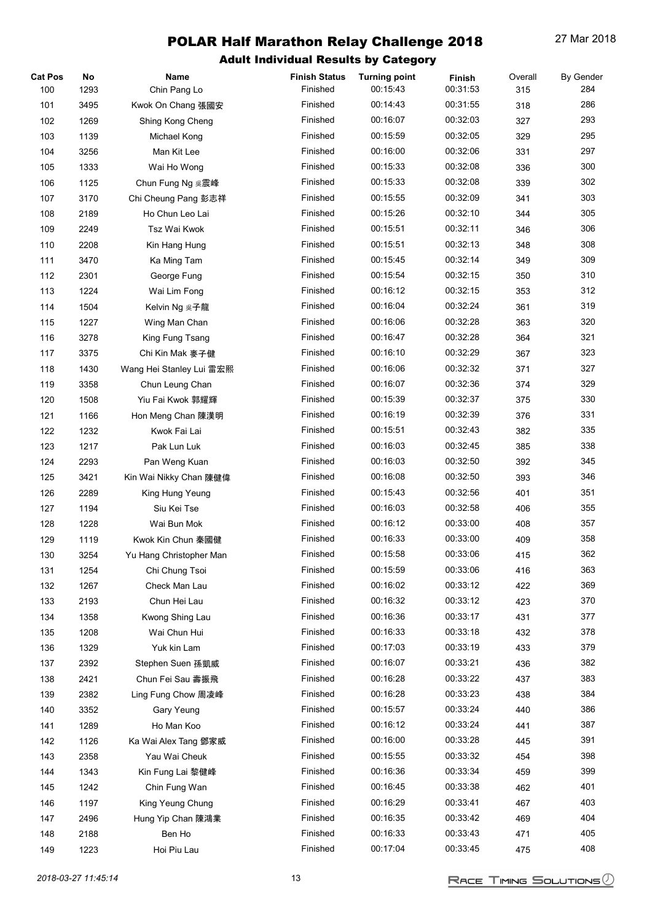| <b>Cat Pos</b> | No   | Name                     | <b>Finish Status</b> | <b>Turning point</b> | Finish   | Overall | <b>By Gender</b> |
|----------------|------|--------------------------|----------------------|----------------------|----------|---------|------------------|
| 100            | 1293 | Chin Pang Lo             | Finished             | 00:15:43             | 00:31:53 | 315     | 284              |
| 101            | 3495 | Kwok On Chang 張國安        | Finished             | 00:14:43             | 00:31:55 | 318     | 286              |
| 102            | 1269 | Shing Kong Cheng         | Finished             | 00:16:07             | 00:32:03 | 327     | 293              |
| 103            | 1139 | Michael Kong             | Finished             | 00:15:59             | 00:32:05 | 329     | 295              |
| 104            | 3256 | Man Kit Lee              | Finished             | 00:16:00             | 00:32:06 | 331     | 297              |
| 105            | 1333 | Wai Ho Wong              | Finished             | 00:15:33             | 00:32:08 | 336     | 300              |
| 106            | 1125 | Chun Fung Ng 吳震峰         | Finished             | 00:15:33             | 00:32:08 | 339     | 302              |
| 107            | 3170 | Chi Cheung Pang 彭志祥      | Finished             | 00:15:55             | 00:32:09 | 341     | 303              |
| 108            | 2189 | Ho Chun Leo Lai          | Finished             | 00:15:26             | 00:32:10 | 344     | 305              |
| 109            | 2249 | Tsz Wai Kwok             | Finished             | 00:15:51             | 00:32:11 | 346     | 306              |
| 110            | 2208 | Kin Hang Hung            | Finished             | 00:15:51             | 00:32:13 | 348     | 308              |
| 111            | 3470 | Ka Ming Tam              | Finished             | 00:15:45             | 00:32:14 | 349     | 309              |
| 112            | 2301 | George Fung              | Finished             | 00:15:54             | 00:32:15 | 350     | 310              |
| 113            | 1224 | Wai Lim Fong             | Finished             | 00:16:12             | 00:32:15 | 353     | 312              |
| 114            | 1504 | Kelvin Ng 吳子龍            | Finished             | 00:16:04             | 00:32:24 | 361     | 319              |
| 115            | 1227 | Wing Man Chan            | Finished             | 00:16:06             | 00:32:28 | 363     | 320              |
| 116            | 3278 | King Fung Tsang          | Finished             | 00:16:47             | 00:32:28 | 364     | 321              |
| 117            | 3375 | Chi Kin Mak 麥子健          | Finished             | 00:16:10             | 00:32:29 | 367     | 323              |
| 118            | 1430 | Wang Hei Stanley Lui 雷宏熙 | Finished             | 00:16:06             | 00:32:32 | 371     | 327              |
| 119            | 3358 | Chun Leung Chan          | Finished             | 00:16:07             | 00:32:36 | 374     | 329              |
| 120            | 1508 | Yiu Fai Kwok 郭耀輝         | Finished             | 00:15:39             | 00:32:37 | 375     | 330              |
| 121            | 1166 | Hon Meng Chan 陳漢明        | Finished             | 00:16:19             | 00:32:39 | 376     | 331              |
| 122            | 1232 | Kwok Fai Lai             | Finished             | 00:15:51             | 00:32:43 | 382     | 335              |
| 123            | 1217 | Pak Lun Luk              | Finished             | 00:16:03             | 00:32:45 | 385     | 338              |
| 124            | 2293 | Pan Weng Kuan            | Finished             | 00:16:03             | 00:32:50 | 392     | 345              |
| 125            | 3421 | Kin Wai Nikky Chan 陳健偉   | Finished             | 00:16:08             | 00:32:50 | 393     | 346              |
| 126            | 2289 | King Hung Yeung          | Finished             | 00:15:43             | 00:32:56 | 401     | 351              |
| 127            | 1194 | Siu Kei Tse              | Finished             | 00:16:03             | 00:32:58 | 406     | 355              |
| 128            | 1228 | Wai Bun Mok              | Finished             | 00:16:12             | 00:33:00 | 408     | 357              |
| 129            | 1119 | Kwok Kin Chun 秦國健        | Finished             | 00:16:33             | 00:33:00 | 409     | 358              |
| 130            | 3254 | Yu Hang Christopher Man  | Finished             | 00:15:58             | 00:33:06 | 415     | 362              |
| 131            | 1254 | Chi Chung Tsoi           | Finished             | 00:15:59             | 00:33:06 | 416     | 363              |
| 132            | 1267 | Check Man Lau            | Finished             | 00:16:02             | 00:33:12 | 422     | 369              |
| 133            | 2193 | Chun Hei Lau             | Finished             | 00:16:32             | 00:33:12 | 423     | 370              |
| 134            | 1358 | Kwong Shing Lau          | Finished             | 00:16:36             | 00:33:17 | 431     | 377              |
| 135            | 1208 | Wai Chun Hui             | Finished             | 00:16:33             | 00:33:18 | 432     | 378              |
| 136            | 1329 | Yuk kin Lam              | Finished             | 00:17:03             | 00:33:19 | 433     | 379              |
| 137            | 2392 | Stephen Suen 孫凱威         | Finished             | 00:16:07             | 00:33:21 | 436     | 382              |
| 138            | 2421 | Chun Fei Sau 壽振飛         | Finished             | 00:16:28             | 00:33:22 | 437     | 383              |
| 139            | 2382 | Ling Fung Chow 周凌峰       | Finished             | 00:16:28             | 00:33:23 | 438     | 384              |
| 140            | 3352 | Gary Yeung               | Finished             | 00:15:57             | 00:33:24 | 440     | 386              |
| 141            | 1289 | Ho Man Koo               | Finished             | 00:16:12             | 00:33:24 | 441     | 387              |
| 142            | 1126 | Ka Wai Alex Tang 鄧家威     | Finished             | 00:16:00             | 00:33:28 | 445     | 391              |
| 143            | 2358 | Yau Wai Cheuk            | Finished             | 00:15:55             | 00:33:32 | 454     | 398              |
| 144            | 1343 | Kin Fung Lai 黎健峰         | Finished             | 00:16:36             | 00:33:34 | 459     | 399              |
| 145            | 1242 | Chin Fung Wan            | Finished             | 00:16:45             | 00:33:38 | 462     | 401              |
| 146            | 1197 | King Yeung Chung         | Finished             | 00:16:29             | 00:33:41 | 467     | 403              |
| 147            | 2496 | Hung Yip Chan 陳鴻業        | Finished             | 00:16:35             | 00:33:42 | 469     | 404              |
| 148            | 2188 | Ben Ho                   | Finished             | 00:16:33             | 00:33:43 | 471     | 405              |
| 149            | 1223 | Hoi Piu Lau              | Finished             | 00:17:04             | 00:33:45 | 475     | 408              |
|                |      |                          |                      |                      |          |         |                  |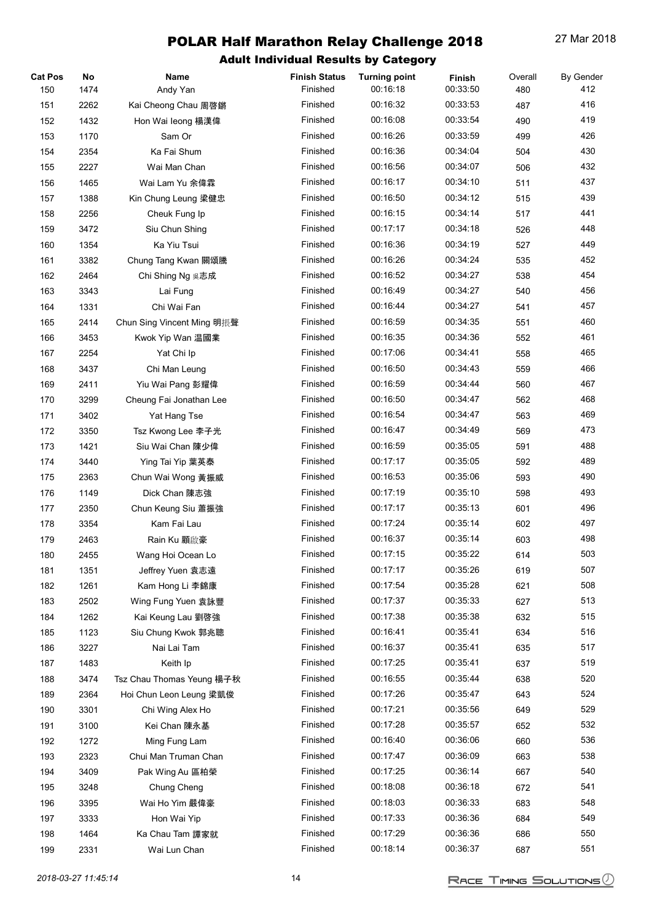| <b>Cat Pos</b> | No   | Name                       | <b>Finish Status</b> | <b>Turning point</b> | Finish   | Overall | <b>By Gender</b> |
|----------------|------|----------------------------|----------------------|----------------------|----------|---------|------------------|
| 150            | 1474 | Andy Yan                   | Finished             | 00:16:18             | 00:33:50 | 480     | 412              |
| 151            | 2262 | Kai Cheong Chau 周啓鏘        | Finished             | 00:16:32             | 00:33:53 | 487     | 416              |
| 152            | 1432 | Hon Wai leong 楊漢偉          | Finished             | 00:16:08             | 00:33:54 | 490     | 419              |
| 153            | 1170 | Sam Or                     | Finished             | 00:16:26             | 00:33:59 | 499     | 426              |
| 154            | 2354 | Ka Fai Shum                | Finished             | 00:16:36             | 00:34:04 | 504     | 430              |
| 155            | 2227 | Wai Man Chan               | Finished             | 00:16:56             | 00:34:07 | 506     | 432              |
| 156            | 1465 | Wai Lam Yu 余偉霖             | Finished             | 00:16:17             | 00:34:10 | 511     | 437              |
| 157            | 1388 | Kin Chung Leung 梁健忠        | Finished             | 00:16:50             | 00:34:12 | 515     | 439              |
| 158            | 2256 | Cheuk Fung Ip              | Finished             | 00:16:15             | 00:34:14 | 517     | 441              |
| 159            | 3472 | Siu Chun Shing             | Finished             | 00:17:17             | 00:34:18 | 526     | 448              |
| 160            | 1354 | Ka Yiu Tsui                | Finished             | 00:16:36             | 00:34:19 | 527     | 449              |
| 161            | 3382 | Chung Tang Kwan 關頌騰        | Finished             | 00:16:26             | 00:34:24 | 535     | 452              |
| 162            | 2464 | Chi Shing Ng 吳志成           | Finished             | 00:16:52             | 00:34:27 | 538     | 454              |
| 163            | 3343 | Lai Fung                   | Finished             | 00:16:49             | 00:34:27 | 540     | 456              |
| 164            | 1331 | Chi Wai Fan                | Finished             | 00:16:44             | 00:34:27 | 541     | 457              |
| 165            | 2414 | Chun Sing Vincent Ming 明振聲 | Finished             | 00:16:59             | 00:34:35 | 551     | 460              |
| 166            | 3453 | Kwok Yip Wan 温國業           | Finished             | 00:16:35             | 00:34:36 | 552     | 461              |
| 167            | 2254 | Yat Chi Ip                 | Finished             | 00:17:06             | 00:34:41 | 558     | 465              |
| 168            | 3437 | Chi Man Leung              | Finished             | 00:16:50             | 00:34:43 | 559     | 466              |
| 169            | 2411 | Yiu Wai Pang 彭耀偉           | Finished             | 00:16:59             | 00:34:44 | 560     | 467              |
| 170            | 3299 | Cheung Fai Jonathan Lee    | Finished             | 00:16:50             | 00:34:47 | 562     | 468              |
| 171            | 3402 | Yat Hang Tse               | Finished             | 00:16:54             | 00:34:47 | 563     | 469              |
|                |      |                            | Finished             | 00:16:47             | 00:34:49 |         | 473              |
| 172            | 3350 | Tsz Kwong Lee 李子光          | Finished             |                      |          | 569     | 488              |
| 173            | 1421 | Siu Wai Chan 陳少偉           |                      | 00:16:59             | 00:35:05 | 591     |                  |
| 174            | 3440 | Ying Tai Yip 葉英泰           | Finished             | 00:17:17             | 00:35:05 | 592     | 489              |
| 175            | 2363 | Chun Wai Wong 黃振威          | Finished             | 00:16:53             | 00:35:06 | 593     | 490              |
| 176            | 1149 | Dick Chan 陳志強              | Finished             | 00:17:19             | 00:35:10 | 598     | 493              |
| 177            | 2350 | Chun Keung Siu 蕭振強         | Finished             | 00:17:17             | 00:35:13 | 601     | 496              |
| 178            | 3354 | Kam Fai Lau                | Finished             | 00:17:24             | 00:35:14 | 602     | 497              |
| 179            | 2463 | Rain Ku 顧啟豪                | Finished             | 00:16:37             | 00:35:14 | 603     | 498              |
| 180            | 2455 | Wang Hoi Ocean Lo          | Finished             | 00:17:15             | 00:35:22 | 614     | 503              |
| 181            | 1351 | Jeffrey Yuen 袁志遠           | Finished             | 00:17:17             | 00:35:26 | 619     | 507              |
| 182            | 1261 | Kam Hong Li 李錦康            | Finished             | 00:17:54             | 00:35:28 | 621     | 508              |
| 183            | 2502 | Wing Fung Yuen 袁詠豐         | Finished             | 00:17:37             | 00:35:33 | 627     | 513              |
| 184            | 1262 | Kai Keung Lau 劉啓強          | Finished             | 00:17:38             | 00:35:38 | 632     | 515              |
| 185            | 1123 | Siu Chung Kwok 郭兆聰         | Finished             | 00:16:41             | 00:35:41 | 634     | 516              |
| 186            | 3227 | Nai Lai Tam                | Finished             | 00:16:37             | 00:35:41 | 635     | 517              |
| 187            | 1483 | Keith Ip                   | Finished             | 00:17:25             | 00:35:41 | 637     | 519              |
| 188            | 3474 | Tsz Chau Thomas Yeung 楊子秋  | Finished             | 00:16:55             | 00:35:44 | 638     | 520              |
| 189            | 2364 | Hoi Chun Leon Leung 梁凱俊    | Finished             | 00:17:26             | 00:35:47 | 643     | 524              |
| 190            | 3301 | Chi Wing Alex Ho           | Finished             | 00:17:21             | 00:35:56 | 649     | 529              |
| 191            | 3100 | Kei Chan 陳永基               | Finished             | 00:17:28             | 00:35:57 | 652     | 532              |
| 192            | 1272 | Ming Fung Lam              | Finished             | 00:16:40             | 00:36:06 | 660     | 536              |
| 193            | 2323 | Chui Man Truman Chan       | Finished             | 00:17:47             | 00:36:09 | 663     | 538              |
| 194            | 3409 | Pak Wing Au 區柏榮            | Finished             | 00:17:25             | 00:36:14 | 667     | 540              |
| 195            | 3248 | Chung Cheng                | Finished             | 00:18:08             | 00:36:18 | 672     | 541              |
| 196            | 3395 | Wai Ho Yim 嚴偉豪             | Finished             | 00:18:03             | 00:36:33 | 683     | 548              |
| 197            | 3333 | Hon Wai Yip                | Finished             | 00:17:33             | 00:36:36 | 684     | 549              |
| 198            | 1464 | Ka Chau Tam 譚家就            | Finished             | 00:17:29             | 00:36:36 | 686     | 550              |
| 199            | 2331 | Wai Lun Chan               | Finished             | 00:18:14             | 00:36:37 | 687     | 551              |
|                |      |                            |                      |                      |          |         |                  |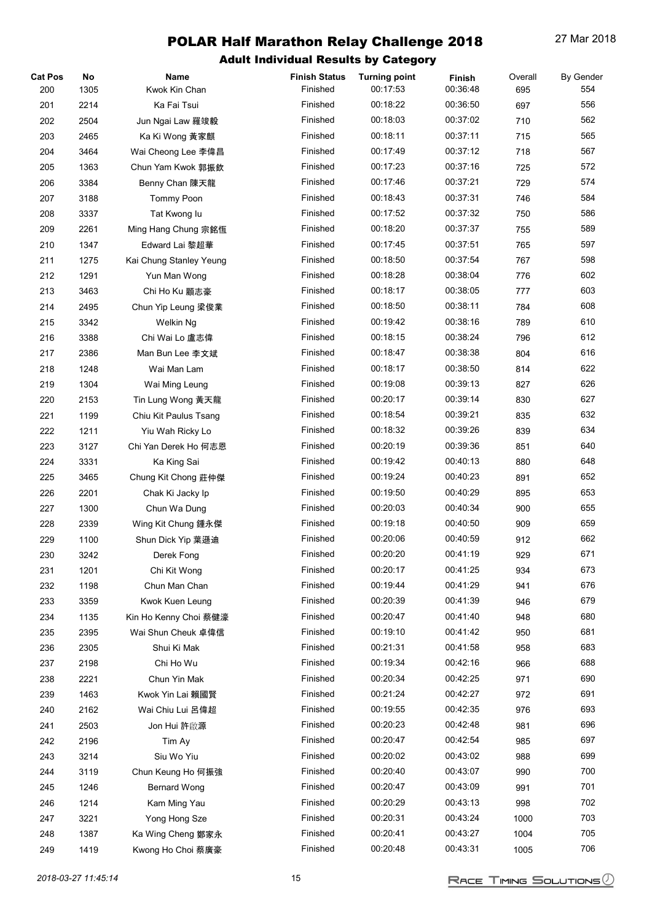| <b>Cat Pos</b><br>200 | No<br>1305   | Name<br>Kwok Kin Chan                    | <b>Finish Status</b><br>Finished | <b>Turning point</b><br>00:17:53 | Finish<br>00:36:48   | Overall<br>695 | <b>By Gender</b><br>554 |
|-----------------------|--------------|------------------------------------------|----------------------------------|----------------------------------|----------------------|----------------|-------------------------|
| 201                   | 2214         | Ka Fai Tsui                              | Finished                         | 00:18:22                         | 00:36:50             | 697            | 556                     |
| 202                   | 2504         | Jun Ngai Law 羅竣毅                         | Finished                         | 00:18:03                         | 00:37:02             | 710            | 562                     |
| 203                   | 2465         | Ka Ki Wong 黃家麒                           | Finished                         | 00:18:11                         | 00:37:11             | 715            | 565                     |
| 204                   | 3464         | Wai Cheong Lee 李偉昌                       | Finished                         | 00:17:49                         | 00:37:12             | 718            | 567                     |
| 205                   | 1363         | Chun Yam Kwok 郭振欽                        | Finished                         | 00:17:23                         | 00:37:16             | 725            | 572                     |
| 206                   | 3384         | Benny Chan 陳天龍                           | Finished                         | 00:17:46                         | 00:37:21             | 729            | 574                     |
| 207                   | 3188         | Tommy Poon                               | Finished                         | 00:18:43                         | 00:37:31             | 746            | 584                     |
| 208                   | 3337         | Tat Kwong lu                             | Finished                         | 00:17:52                         | 00:37:32             | 750            | 586                     |
| 209                   | 2261         | Ming Hang Chung 宗銘恆                      | Finished                         | 00:18:20                         | 00:37:37             | 755            | 589                     |
| 210                   | 1347         | Edward Lai 黎超華                           | Finished                         | 00:17:45                         | 00:37:51             | 765            | 597                     |
| 211                   | 1275         | Kai Chung Stanley Yeung                  | Finished                         | 00:18:50                         | 00:37:54             | 767            | 598                     |
| 212                   | 1291         | Yun Man Wong                             | Finished                         | 00:18:28                         | 00:38:04             | 776            | 602                     |
| 213                   | 3463         | Chi Ho Ku 顧志豪                            | Finished                         | 00:18:17                         | 00:38:05             | 777            | 603                     |
| 214                   | 2495         | Chun Yip Leung 梁俊業                       | Finished                         | 00:18:50                         | 00:38:11             | 784            | 608                     |
| 215                   | 3342         | Welkin Ng                                | Finished                         | 00:19:42                         | 00:38:16             | 789            | 610                     |
| 216                   | 3388         | Chi Wai Lo 盧志偉                           | Finished                         | 00:18:15                         | 00:38:24             | 796            | 612                     |
| 217                   | 2386         | Man Bun Lee 李文斌                          | Finished                         | 00:18:47                         | 00:38:38             | 804            | 616                     |
| 218                   | 1248         | Wai Man Lam                              | Finished                         | 00:18:17                         | 00:38:50             | 814            | 622                     |
| 219                   | 1304         | Wai Ming Leung                           | Finished                         | 00:19:08                         | 00:39:13             | 827            | 626                     |
| 220                   | 2153         | Tin Lung Wong 黃天龍                        | Finished                         | 00:20:17                         | 00:39:14             | 830            | 627                     |
| 221                   | 1199         | Chiu Kit Paulus Tsang                    | Finished                         | 00:18:54                         | 00:39:21             | 835            | 632                     |
| 222                   | 1211         | Yiu Wah Ricky Lo                         | Finished                         | 00:18:32                         | 00:39:26             | 839            | 634                     |
| 223                   | 3127         | Chi Yan Derek Ho 何志恩                     | Finished                         | 00:20:19                         | 00:39:36             | 851            | 640                     |
| 224                   | 3331         | Ka King Sai                              | Finished                         | 00:19:42                         | 00:40:13             | 880            | 648                     |
| 225                   | 3465         | Chung Kit Chong 莊仲傑                      | Finished                         | 00:19:24                         | 00:40:23             | 891            | 652                     |
| 226                   | 2201         | Chak Ki Jacky Ip                         | Finished                         | 00:19:50                         | 00:40:29             | 895            | 653                     |
| 227                   | 1300         | Chun Wa Dung                             | Finished                         | 00:20:03                         | 00:40:34             | 900            | 655                     |
| 228                   | 2339         | Wing Kit Chung 鍾永傑                       | Finished                         | 00:19:18                         | 00:40:50             | 909            | 659                     |
| 229                   | 1100         | Shun Dick Yip 葉遜迪                        | Finished                         | 00:20:06                         | 00:40:59             | 912            | 662                     |
| 230                   | 3242         | Derek Fong                               | Finished                         | 00:20:20                         | 00:41:19             | 929            | 671                     |
| 231                   | 1201         | Chi Kit Wong                             | Finished                         | 00:20:17                         | 00:41:25             | 934            | 673                     |
| 232                   |              | Chun Man Chan                            | Finished                         | 00:19:44                         | 00:41:29             | 941            | 676                     |
|                       | 1198         |                                          | Finished                         | 00:20:39                         | 00:41:39             |                | 679                     |
| 233                   | 3359         | Kwok Kuen Leung<br>Kin Ho Kenny Choi 蔡健濠 | Finished                         | 00:20:47                         | 00:41:40             | 946            | 680                     |
| 234<br>235            | 1135<br>2395 | Wai Shun Cheuk 卓偉信                       | Finished                         | 00:19:10                         | 00:41:42             | 948<br>950     | 681                     |
| 236                   | 2305         | Shui Ki Mak                              | Finished                         | 00:21:31                         | 00:41:58             | 958            | 683                     |
| 237                   | 2198         | Chi Ho Wu                                | Finished                         | 00:19:34                         | 00:42:16             | 966            | 688                     |
|                       |              |                                          | Finished                         | 00:20:34                         | 00:42:25             |                | 690                     |
| 238                   | 2221         | Chun Yin Mak                             | Finished                         | 00:21:24                         | 00:42:27             | 971            | 691                     |
| 239                   | 1463         | Kwok Yin Lai 賴國賢                         | Finished                         | 00:19:55                         | 00:42:35             | 972            | 693                     |
| 240                   | 2162         | Wai Chiu Lui 呂偉超                         | Finished                         | 00:20:23                         | 00:42:48             | 976            | 696                     |
| 241                   | 2503         | Jon Hui 許啟源                              | Finished                         | 00:20:47                         | 00:42:54             | 981            | 697                     |
| 242                   | 2196         | Tim Ay                                   | Finished                         | 00:20:02                         | 00:43:02             | 985            | 699                     |
| 243                   | 3214         | Siu Wo Yiu                               |                                  |                                  |                      | 988            |                         |
| 244                   | 3119         | Chun Keung Ho 何振強                        | Finished<br>Finished             | 00:20:40<br>00:20:47             | 00:43:07<br>00:43:09 | 990            | 700<br>701              |
| 245                   | 1246         | <b>Bernard Wong</b>                      |                                  |                                  |                      | 991            |                         |
| 246                   | 1214         | Kam Ming Yau                             | Finished<br>Finished             | 00:20:29<br>00:20:31             | 00:43:13<br>00:43:24 | 998            | 702<br>703              |
| 247                   | 3221         | Yong Hong Sze                            | Finished                         | 00:20:41                         | 00:43:27             | 1000           | 705                     |
| 248                   | 1387         | Ka Wing Cheng 鄭家永                        |                                  |                                  |                      | 1004           |                         |
| 249                   | 1419         | Kwong Ho Choi 蔡廣豪                        | Finished                         | 00:20:48                         | 00:43:31             | 1005           | 706                     |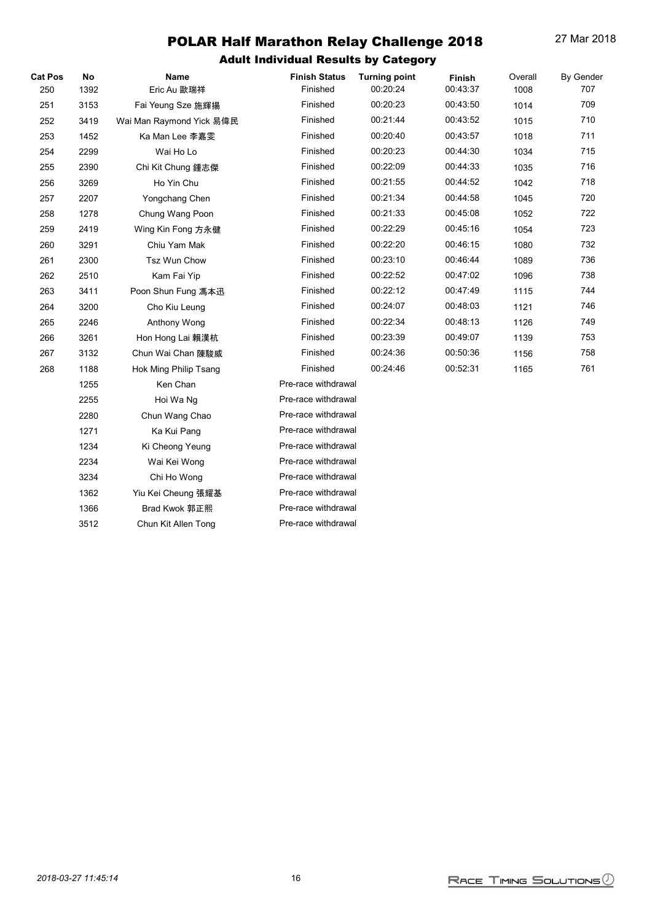| <b>Cat Pos</b><br>250 | No<br>1392 | Name<br>Eric Au 歐瑞祥      | <b>Finish Status</b><br>Finished | <b>Turning point</b><br>00:20:24 | Finish<br>00:43:37 | Overall<br>1008 | By Gender<br>707 |
|-----------------------|------------|--------------------------|----------------------------------|----------------------------------|--------------------|-----------------|------------------|
| 251                   | 3153       | Fai Yeung Sze 施輝揚        | Finished                         | 00:20:23                         | 00:43:50           | 1014            | 709              |
| 252                   | 3419       | Wai Man Raymond Yick 易偉民 | Finished                         | 00:21:44                         | 00:43:52           | 1015            | 710              |
| 253                   | 1452       | Ka Man Lee 李嘉雯           | Finished                         | 00:20:40                         | 00:43:57           | 1018            | 711              |
| 254                   | 2299       | Wai Ho Lo                | Finished                         | 00:20:23                         | 00:44:30           | 1034            | 715              |
| 255                   | 2390       | Chi Kit Chung 鍾志傑        | Finished                         | 00:22:09                         | 00:44:33           | 1035            | 716              |
| 256                   | 3269       | Ho Yin Chu               | Finished                         | 00:21:55                         | 00:44:52           | 1042            | 718              |
| 257                   | 2207       | Yongchang Chen           | Finished                         | 00:21:34                         | 00:44:58           | 1045            | 720              |
| 258                   | 1278       | Chung Wang Poon          | Finished                         | 00:21:33                         | 00:45:08           | 1052            | 722              |
| 259                   | 2419       | Wing Kin Fong 方永健        | Finished                         | 00:22:29                         | 00:45:16           | 1054            | 723              |
| 260                   | 3291       | Chiu Yam Mak             | Finished                         | 00:22:20                         | 00:46:15           | 1080            | 732              |
| 261                   | 2300       | Tsz Wun Chow             | Finished                         | 00:23:10                         | 00:46:44           | 1089            | 736              |
| 262                   | 2510       | Kam Fai Yip              | Finished                         | 00:22:52                         | 00:47:02           | 1096            | 738              |
| 263                   | 3411       | Poon Shun Fung 馮本迅       | Finished                         | 00:22:12                         | 00:47:49           | 1115            | 744              |
| 264                   | 3200       | Cho Kiu Leung            | Finished                         | 00:24:07                         | 00:48:03           | 1121            | 746              |
| 265                   | 2246       | Anthony Wong             | Finished                         | 00:22:34                         | 00:48:13           | 1126            | 749              |
| 266                   | 3261       | Hon Hong Lai 賴漢杭         | Finished                         | 00:23:39                         | 00:49:07           | 1139            | 753              |
| 267                   | 3132       | Chun Wai Chan 陳駿威        | Finished                         | 00:24:36                         | 00:50:36           | 1156            | 758              |
| 268                   | 1188       | Hok Ming Philip Tsang    | Finished                         | 00:24:46                         | 00:52:31           | 1165            | 761              |
|                       | 1255       | Ken Chan                 | Pre-race withdrawal              |                                  |                    |                 |                  |
|                       | 2255       | Hoi Wa Ng                | Pre-race withdrawal              |                                  |                    |                 |                  |
|                       | 2280       | Chun Wang Chao           | Pre-race withdrawal              |                                  |                    |                 |                  |
|                       | 1271       | Ka Kui Pang              | Pre-race withdrawal              |                                  |                    |                 |                  |
|                       | 1234       | Ki Cheong Yeung          | Pre-race withdrawal              |                                  |                    |                 |                  |
|                       | 2234       | Wai Kei Wong             | Pre-race withdrawal              |                                  |                    |                 |                  |
|                       | 3234       | Chi Ho Wong              | Pre-race withdrawal              |                                  |                    |                 |                  |
|                       | 1362       | Yiu Kei Cheung 張耀基       | Pre-race withdrawal              |                                  |                    |                 |                  |
|                       | 1366       | Brad Kwok 郭正熙            | Pre-race withdrawal              |                                  |                    |                 |                  |
|                       | 3512       | Chun Kit Allen Tong      | Pre-race withdrawal              |                                  |                    |                 |                  |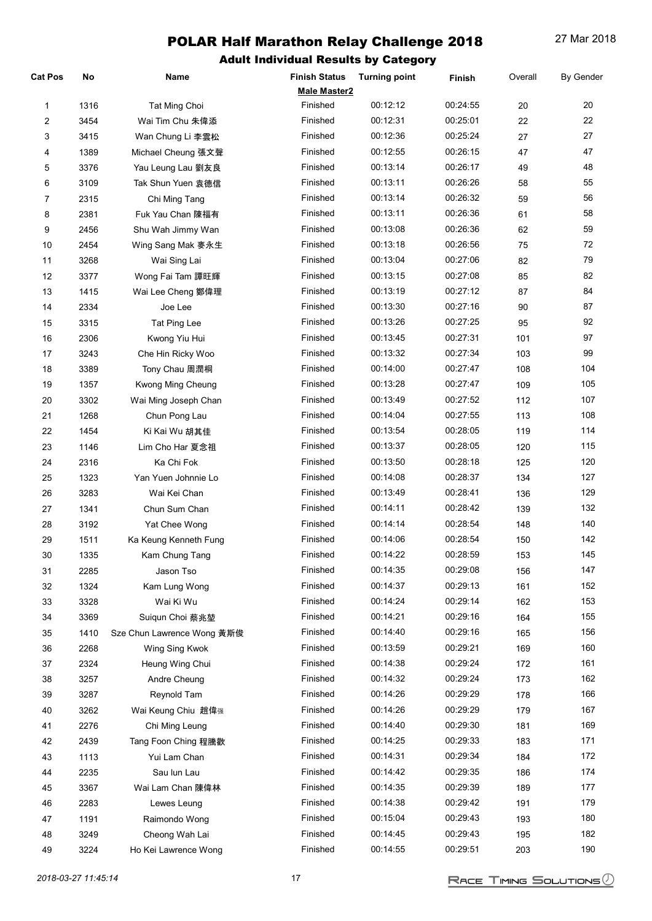| <b>Cat Pos</b> | No   | Name                       | <b>Finish Status</b> | <b>Turning point</b> | Finish   | Overall | <b>By Gender</b> |
|----------------|------|----------------------------|----------------------|----------------------|----------|---------|------------------|
|                |      |                            | <b>Male Master2</b>  |                      |          |         |                  |
| 1              | 1316 | Tat Ming Choi              | Finished             | 00:12:12             | 00:24:55 | 20      | 20               |
| 2              | 3454 | Wai Tim Chu 朱偉添            | Finished             | 00:12:31             | 00:25:01 | 22      | 22               |
| 3              | 3415 | Wan Chung Li 李雲松           | Finished             | 00:12:36             | 00:25:24 | 27      | 27               |
| 4              | 1389 | Michael Cheung 張文聲         | Finished             | 00:12:55             | 00:26:15 | 47      | 47               |
| 5              | 3376 | Yau Leung Lau 劉友良          | Finished             | 00:13:14             | 00:26:17 | 49      | 48               |
| 6              | 3109 | Tak Shun Yuen 袁德信          | Finished             | 00:13:11             | 00:26:26 | 58      | 55               |
| $\overline{7}$ | 2315 | Chi Ming Tang              | Finished             | 00:13:14             | 00:26:32 | 59      | 56               |
| 8              | 2381 | Fuk Yau Chan 陳福有           | Finished             | 00:13:11             | 00:26:36 | 61      | 58               |
| 9              | 2456 | Shu Wah Jimmy Wan          | Finished             | 00:13:08             | 00:26:36 | 62      | 59               |
| 10             | 2454 | Wing Sang Mak 麥永生          | Finished             | 00:13:18             | 00:26:56 | 75      | 72               |
| 11             | 3268 | Wai Sing Lai               | Finished             | 00:13:04             | 00:27:06 | 82      | 79               |
| 12             | 3377 | Wong Fai Tam 譚旺輝           | Finished             | 00:13:15             | 00:27:08 | 85      | 82               |
| 13             | 1415 | Wai Lee Cheng 鄭偉理          | Finished             | 00:13:19             | 00:27:12 | 87      | 84               |
| 14             | 2334 | Joe Lee                    | Finished             | 00:13:30             | 00:27:16 | 90      | 87               |
| 15             | 3315 | Tat Ping Lee               | Finished             | 00:13:26             | 00:27:25 | 95      | 92               |
| 16             | 2306 | Kwong Yiu Hui              | Finished             | 00:13:45             | 00:27:31 | 101     | 97               |
| 17             | 3243 | Che Hin Ricky Woo          | Finished             | 00:13:32             | 00:27:34 | 103     | 99               |
| 18             | 3389 | Tony Chau 周潤桐              | Finished             | 00:14:00             | 00:27:47 | 108     | 104              |
| 19             | 1357 | Kwong Ming Cheung          | Finished             | 00:13:28             | 00:27:47 | 109     | 105              |
| $20\,$         | 3302 | Wai Ming Joseph Chan       | Finished             | 00:13:49             | 00:27:52 | 112     | 107              |
| 21             | 1268 | Chun Pong Lau              | Finished             | 00:14:04             | 00:27:55 | 113     | 108              |
| 22             | 1454 | Ki Kai Wu 胡其佳              | Finished             | 00:13:54             | 00:28:05 | 119     | 114              |
| 23             | 1146 | Lim Cho Har 夏念祖            | Finished             | 00:13:37             | 00:28:05 | 120     | 115              |
| 24             | 2316 | Ka Chi Fok                 | Finished             | 00:13:50             | 00:28:18 | 125     | 120              |
| 25             | 1323 | Yan Yuen Johnnie Lo        | Finished             | 00:14:08             | 00:28:37 | 134     | 127              |
| 26             | 3283 | Wai Kei Chan               | Finished             | 00:13:49             | 00:28:41 | 136     | 129              |
| 27             | 1341 | Chun Sum Chan              | Finished             | 00:14:11             | 00:28:42 | 139     | 132              |
| 28             | 3192 | Yat Chee Wong              | Finished             | 00:14:14             | 00:28:54 | 148     | 140              |
| 29             | 1511 | Ka Keung Kenneth Fung      | Finished             | 00:14:06             | 00:28:54 | 150     | 142              |
| 30             | 1335 | Kam Chung Tang             | Finished             | 00:14:22             | 00:28:59 | 153     | 145              |
| 31             | 2285 | Jason Tso                  | Finished             | 00:14:35             | 00:29:08 | 156     | 147              |
| 32             | 1324 | Kam Lung Wong              | Finished             | 00:14:37             | 00:29:13 | 161     | 152              |
| 33             | 3328 | Wai Ki Wu                  | Finished             | 00:14:24             | 00:29:14 | 162     | 153              |
| 34             | 3369 | Suigun Choi 蔡兆堃            | Finished             | 00:14:21             | 00:29:16 | 164     | 155              |
| 35             | 1410 | Sze Chun Lawrence Wong 黃斯俊 | Finished             | 00:14:40             | 00:29:16 | 165     | 156              |
| 36             | 2268 | Wing Sing Kwok             | Finished             | 00:13:59             | 00:29:21 | 169     | 160              |
| 37             | 2324 | Heung Wing Chui            | Finished             | 00:14:38             | 00:29:24 | 172     | 161              |
| 38             | 3257 | Andre Cheung               | Finished             | 00:14:32             | 00:29:24 | 173     | 162              |
| 39             | 3287 | Reynold Tam                | Finished             | 00:14:26             | 00:29:29 | 178     | 166              |
| 40             | 3262 | Wai Keung Chiu 趙偉强         | Finished             | 00:14:26             | 00:29:29 | 179     | 167              |
| 41             | 2276 | Chi Ming Leung             | Finished             | 00:14:40             | 00:29:30 | 181     | 169              |
| 42             | 2439 | Tang Foon Ching 程騰歡        | Finished             | 00:14:25             | 00:29:33 | 183     | 171              |
| 43             | 1113 | Yui Lam Chan               | Finished             | 00:14:31             | 00:29:34 | 184     | 172              |
| 44             | 2235 | Sau lun Lau                | Finished             | 00:14:42             | 00:29:35 | 186     | 174              |
| 45             | 3367 | Wai Lam Chan 陳偉林           | Finished             | 00:14:35             | 00:29:39 | 189     | 177              |
| 46             | 2283 | Lewes Leung                | Finished             | 00:14:38             | 00:29:42 | 191     | 179              |
| 47             | 1191 | Raimondo Wong              | Finished             | 00:15:04             | 00:29:43 | 193     | 180              |
| 48             | 3249 | Cheong Wah Lai             | Finished             | 00:14:45             | 00:29:43 | 195     | 182              |
| 49             | 3224 | Ho Kei Lawrence Wong       | Finished             | 00:14:55             | 00:29:51 | 203     | 190              |
|                |      |                            |                      |                      |          |         |                  |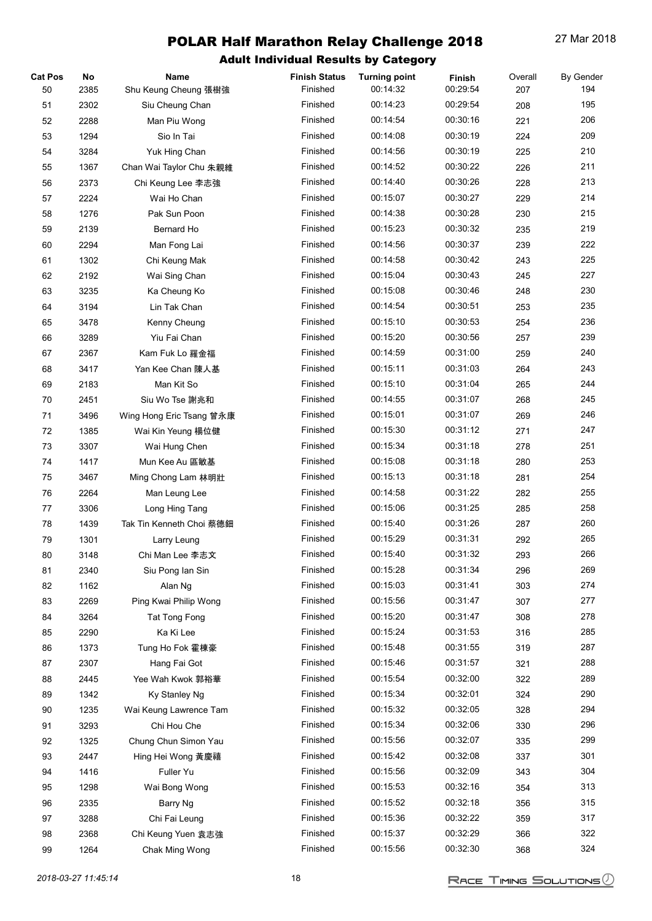| <b>Cat Pos</b> | No   | Name                     | <b>Finish Status</b> | <b>Turning point</b> | Finish   | Overall | <b>By Gender</b> |
|----------------|------|--------------------------|----------------------|----------------------|----------|---------|------------------|
| 50             | 2385 | Shu Keung Cheung 張樹強     | Finished             | 00:14:32             | 00:29:54 | 207     | 194              |
| 51             | 2302 | Siu Cheung Chan          | Finished             | 00:14:23             | 00:29:54 | 208     | 195              |
| 52             | 2288 | Man Piu Wong             | Finished             | 00:14:54             | 00:30:16 | 221     | 206              |
| 53             | 1294 | Sio In Tai               | Finished             | 00:14:08             | 00:30:19 | 224     | 209              |
| 54             | 3284 | Yuk Hing Chan            | Finished             | 00:14:56             | 00:30:19 | 225     | 210              |
| 55             | 1367 | Chan Wai Taylor Chu 朱親維  | Finished             | 00:14:52             | 00:30:22 | 226     | 211              |
| 56             | 2373 | Chi Keung Lee 李志強        | Finished             | 00:14:40             | 00:30:26 | 228     | 213              |
| 57             | 2224 | Wai Ho Chan              | Finished             | 00:15:07             | 00:30:27 | 229     | 214              |
| 58             | 1276 | Pak Sun Poon             | Finished             | 00:14:38             | 00:30:28 | 230     | 215              |
| 59             | 2139 | Bernard Ho               | Finished             | 00:15:23             | 00:30:32 | 235     | 219              |
| 60             | 2294 | Man Fong Lai             | Finished             | 00:14:56             | 00:30:37 | 239     | 222              |
| 61             | 1302 | Chi Keung Mak            | Finished             | 00:14:58             | 00:30:42 | 243     | 225              |
| 62             | 2192 | Wai Sing Chan            | Finished             | 00:15:04             | 00:30:43 | 245     | 227              |
| 63             | 3235 | Ka Cheung Ko             | Finished             | 00:15:08             | 00:30:46 | 248     | 230              |
| 64             | 3194 | Lin Tak Chan             | Finished             | 00:14:54             | 00:30:51 | 253     | 235              |
| 65             | 3478 | Kenny Cheung             | Finished             | 00:15:10             | 00:30:53 | 254     | 236              |
| 66             | 3289 | Yiu Fai Chan             | Finished             | 00:15:20             | 00:30:56 | 257     | 239              |
| 67             | 2367 | Kam Fuk Lo 羅金福           | Finished             | 00:14:59             | 00:31:00 | 259     | 240              |
| 68             | 3417 | Yan Kee Chan 陳人基         | Finished             | 00:15:11             | 00:31:03 | 264     | 243              |
| 69             | 2183 | Man Kit So               | Finished             | 00:15:10             | 00:31:04 | 265     | 244              |
| 70             | 2451 |                          | Finished             | 00:14:55             | 00:31:07 | 268     | 245              |
|                |      | Siu Wo Tse 謝兆和           | Finished             | 00:15:01             | 00:31:07 |         | 246              |
| 71             | 3496 | Wing Hong Eric Tsang 曾永康 |                      |                      | 00:31:12 | 269     | 247              |
| 72             | 1385 | Wai Kin Yeung 楊位健        | Finished             | 00:15:30             |          | 271     |                  |
| 73             | 3307 | Wai Hung Chen            | Finished             | 00:15:34             | 00:31:18 | 278     | 251              |
| 74             | 1417 | Mun Kee Au 區敏基           | Finished             | 00:15:08             | 00:31:18 | 280     | 253              |
| 75             | 3467 | Ming Chong Lam 林明壯       | Finished             | 00:15:13             | 00:31:18 | 281     | 254              |
| 76             | 2264 | Man Leung Lee            | Finished             | 00:14:58             | 00:31:22 | 282     | 255              |
| 77             | 3306 | Long Hing Tang           | Finished             | 00:15:06             | 00:31:25 | 285     | 258              |
| 78             | 1439 | Tak Tin Kenneth Choi 蔡德鈿 | Finished             | 00:15:40             | 00:31:26 | 287     | 260              |
| 79             | 1301 | Larry Leung              | Finished             | 00:15:29             | 00:31:31 | 292     | 265              |
| 80             | 3148 | Chi Man Lee 李志文          | Finished             | 00:15:40             | 00:31:32 | 293     | 266              |
| 81             | 2340 | Siu Pong lan Sin         | Finished             | 00:15:28             | 00:31:34 | 296     | 269              |
| 82             | 1162 | Alan Ng                  | Finished             | 00:15:03             | 00:31:41 | 303     | 274              |
| 83             | 2269 | Ping Kwai Philip Wong    | Finished             | 00:15:56             | 00:31:47 | 307     | 277              |
| 84             | 3264 | <b>Tat Tong Fong</b>     | Finished             | 00:15:20             | 00:31:47 | 308     | 278              |
| 85             | 2290 | Ka Ki Lee                | Finished             | 00:15:24             | 00:31:53 | 316     | 285              |
| 86             | 1373 | Tung Ho Fok 霍棟豪          | Finished             | 00:15:48             | 00:31:55 | 319     | 287              |
| 87             | 2307 | Hang Fai Got             | Finished             | 00:15:46             | 00:31:57 | 321     | 288              |
| 88             | 2445 | Yee Wah Kwok 郭裕華         | Finished             | 00:15:54             | 00:32:00 | 322     | 289              |
| 89             | 1342 | Ky Stanley Ng            | Finished             | 00:15:34             | 00:32:01 | 324     | 290              |
| 90             | 1235 | Wai Keung Lawrence Tam   | Finished             | 00:15:32             | 00:32:05 | 328     | 294              |
| 91             | 3293 | Chi Hou Che              | Finished             | 00:15:34             | 00:32:06 | 330     | 296              |
| 92             | 1325 | Chung Chun Simon Yau     | Finished             | 00:15:56             | 00:32:07 | 335     | 299              |
| 93             | 2447 | Hing Hei Wong 黃慶禧        | Finished             | 00:15:42             | 00:32:08 | 337     | 301              |
| 94             | 1416 | Fuller Yu                | Finished             | 00:15:56             | 00:32:09 | 343     | 304              |
| 95             | 1298 | Wai Bong Wong            | Finished             | 00:15:53             | 00:32:16 | 354     | 313              |
| 96             | 2335 | Barry Ng                 | Finished             | 00:15:52             | 00:32:18 | 356     | 315              |
| 97             | 3288 | Chi Fai Leung            | Finished             | 00:15:36             | 00:32:22 | 359     | 317              |
| 98             | 2368 | Chi Keung Yuen 袁志強       | Finished             | 00:15:37             | 00:32:29 | 366     | 322              |
| 99             | 1264 | Chak Ming Wong           | Finished             | 00:15:56             | 00:32:30 | 368     | 324              |
|                |      |                          |                      |                      |          |         |                  |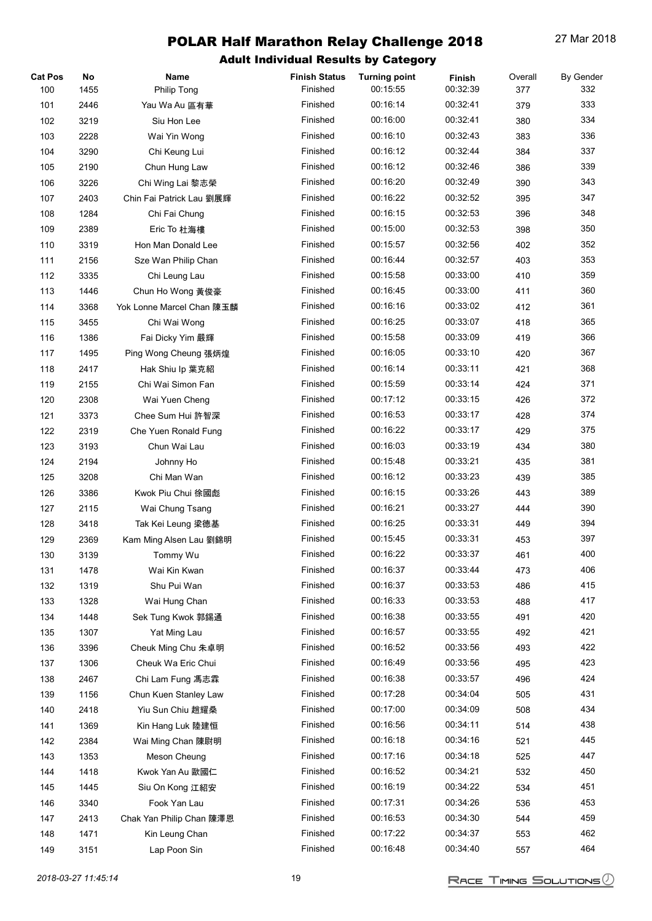| <b>Cat Pos</b> | No   | Name                      | <b>Finish Status</b> | <b>Turning point</b> | Finish   | Overall | <b>By Gender</b> |
|----------------|------|---------------------------|----------------------|----------------------|----------|---------|------------------|
| 100            | 1455 | Philip Tong               | Finished             | 00:15:55             | 00:32:39 | 377     | 332              |
| 101            | 2446 | Yau Wa Au 區有華             | Finished             | 00:16:14             | 00:32:41 | 379     | 333              |
| 102            | 3219 | Siu Hon Lee               | Finished             | 00:16:00             | 00:32:41 | 380     | 334              |
| 103            | 2228 | Wai Yin Wong              | Finished             | 00:16:10             | 00:32:43 | 383     | 336              |
| 104            | 3290 | Chi Keung Lui             | Finished             | 00:16:12             | 00:32:44 | 384     | 337              |
| 105            | 2190 | Chun Hung Law             | Finished             | 00:16:12             | 00:32:46 | 386     | 339              |
| 106            | 3226 | Chi Wing Lai 黎志榮          | Finished             | 00:16:20             | 00:32:49 | 390     | 343              |
| 107            | 2403 | Chin Fai Patrick Lau 劉展輝  | Finished             | 00:16:22             | 00:32:52 | 395     | 347              |
| 108            | 1284 | Chi Fai Chung             | Finished             | 00:16:15             | 00:32:53 | 396     | 348              |
| 109            | 2389 | Eric To 杜海樓               | Finished             | 00:15:00             | 00:32:53 | 398     | 350              |
| 110            | 3319 | Hon Man Donald Lee        | Finished             | 00:15:57             | 00:32:56 | 402     | 352              |
| 111            | 2156 | Sze Wan Philip Chan       | Finished             | 00:16:44             | 00:32:57 | 403     | 353              |
| 112            | 3335 | Chi Leung Lau             | Finished             | 00:15:58             | 00:33:00 | 410     | 359              |
| 113            | 1446 | Chun Ho Wong 黃俊豪          | Finished             | 00:16:45             | 00:33:00 | 411     | 360              |
| 114            | 3368 | Yok Lonne Marcel Chan 陳玉麟 | Finished             | 00:16:16             | 00:33:02 | 412     | 361              |
| 115            | 3455 | Chi Wai Wong              | Finished             | 00:16:25             | 00:33:07 | 418     | 365              |
| 116            | 1386 | Fai Dicky Yim 嚴輝          | Finished             | 00:15:58             | 00:33:09 | 419     | 366              |
| 117            | 1495 | Ping Wong Cheung 張炳煌      | Finished             | 00:16:05             | 00:33:10 | 420     | 367              |
| 118            | 2417 | Hak Shiu Ip 葉克紹           | Finished             | 00:16:14             | 00:33:11 | 421     | 368              |
| 119            | 2155 | Chi Wai Simon Fan         | Finished             | 00:15:59             | 00:33:14 | 424     | 371              |
| 120            | 2308 | Wai Yuen Cheng            | Finished             | 00:17:12             | 00:33:15 | 426     | 372              |
| 121            | 3373 | Chee Sum Hui 許智深          | Finished             | 00:16:53             | 00:33:17 | 428     | 374              |
| 122            | 2319 | Che Yuen Ronald Fung      | Finished             | 00:16:22             | 00:33:17 | 429     | 375              |
| 123            | 3193 | Chun Wai Lau              | Finished             | 00:16:03             | 00:33:19 | 434     | 380              |
| 124            | 2194 | Johnny Ho                 | Finished             | 00:15:48             | 00:33:21 | 435     | 381              |
| 125            | 3208 | Chi Man Wan               | Finished             | 00:16:12             | 00:33:23 | 439     | 385              |
| 126            | 3386 | Kwok Piu Chui 徐國彪         | Finished             | 00:16:15             | 00:33:26 | 443     | 389              |
| 127            | 2115 | Wai Chung Tsang           | Finished             | 00:16:21             | 00:33:27 | 444     | 390              |
| 128            | 3418 | Tak Kei Leung 梁德基         | Finished             | 00:16:25             | 00:33:31 | 449     | 394              |
| 129            | 2369 | Kam Ming Alsen Lau 劉錦明    | Finished             | 00:15:45             | 00:33:31 | 453     | 397              |
| 130            | 3139 | Tommy Wu                  | Finished             | 00:16:22             | 00:33:37 | 461     | 400              |
| 131            | 1478 | Wai Kin Kwan              | Finished             | 00:16:37             | 00:33:44 | 473     | 406              |
| 132            | 1319 | Shu Pui Wan               | Finished             | 00:16:37             | 00:33:53 | 486     | 415              |
| 133            | 1328 | Wai Hung Chan             | Finished             | 00:16:33             | 00:33:53 | 488     | 417              |
| 134            | 1448 | Sek Tung Kwok 郭錫通         | Finished             | 00:16:38             | 00:33:55 | 491     | 420              |
| 135            | 1307 | Yat Ming Lau              | Finished             | 00:16:57             | 00:33:55 | 492     | 421              |
| 136            | 3396 | Cheuk Ming Chu 朱卓明        | Finished             | 00:16:52             | 00:33:56 | 493     | 422              |
| 137            | 1306 | Cheuk Wa Eric Chui        | Finished             | 00:16:49             | 00:33:56 | 495     | 423              |
| 138            | 2467 | Chi Lam Fung 馮志霖          | Finished             | 00:16:38             | 00:33:57 | 496     | 424              |
| 139            | 1156 | Chun Kuen Stanley Law     | Finished             | 00:17:28             | 00:34:04 | 505     | 431              |
| 140            | 2418 | Yiu Sun Chiu 趙耀桑          | Finished             | 00:17:00             | 00:34:09 | 508     | 434              |
| 141            | 1369 | Kin Hang Luk 陸建恒          | Finished             | 00:16:56             | 00:34:11 | 514     | 438              |
| 142            | 2384 | Wai Ming Chan 陳尉明         | Finished             | 00:16:18             | 00:34:16 | 521     | 445              |
| 143            | 1353 | Meson Cheung              | Finished             | 00:17:16             | 00:34:18 | 525     | 447              |
| 144            | 1418 | Kwok Yan Au 歐國仁           | Finished             | 00:16:52             | 00:34:21 | 532     | 450              |
| 145            | 1445 | Siu On Kong 江紹安           | Finished             | 00:16:19             | 00:34:22 | 534     | 451              |
| 146            | 3340 | Fook Yan Lau              | Finished             | 00:17:31             | 00:34:26 | 536     | 453              |
| 147            | 2413 | Chak Yan Philip Chan 陳澤恩  | Finished             | 00:16:53             | 00:34:30 | 544     | 459              |
| 148            | 1471 | Kin Leung Chan            | Finished             | 00:17:22             | 00:34:37 | 553     | 462              |
| 149            | 3151 | Lap Poon Sin              | Finished             | 00:16:48             | 00:34:40 | 557     | 464              |
|                |      |                           |                      |                      |          |         |                  |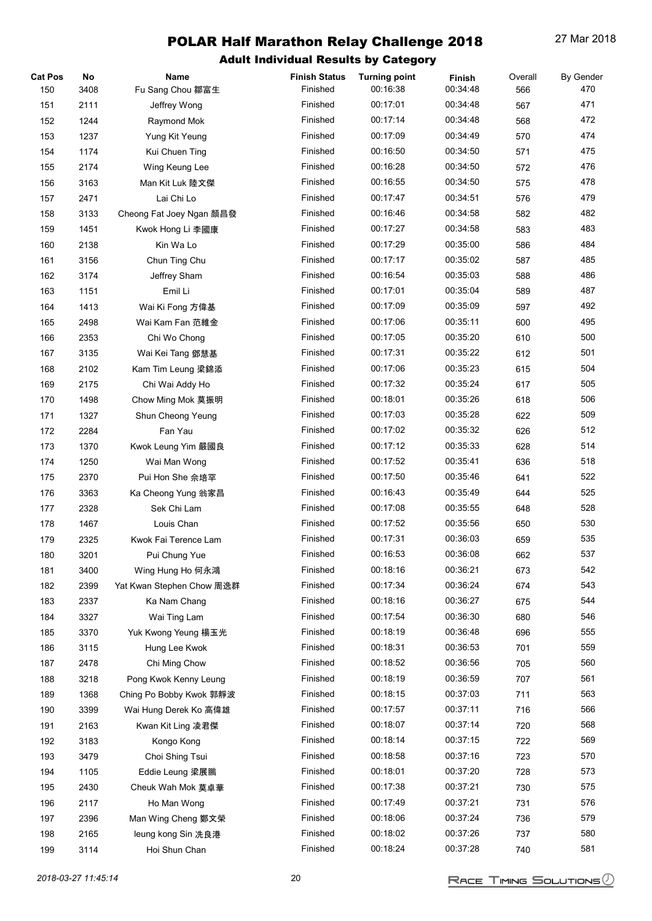| <b>Cat Pos</b> | No   | Name                      | <b>Finish Status</b> | <b>Turning point</b> | Finish   | Overall | <b>By Gender</b> |
|----------------|------|---------------------------|----------------------|----------------------|----------|---------|------------------|
| 150            | 3408 | Fu Sang Chou 鄒富生          | Finished             | 00:16:38             | 00:34:48 | 566     | 470              |
| 151            | 2111 | Jeffrey Wong              | Finished             | 00:17:01             | 00:34:48 | 567     | 471              |
| 152            | 1244 | Raymond Mok               | Finished             | 00:17:14             | 00:34:48 | 568     | 472              |
| 153            | 1237 | Yung Kit Yeung            | Finished             | 00:17:09             | 00:34:49 | 570     | 474              |
| 154            | 1174 | Kui Chuen Ting            | Finished             | 00:16:50             | 00:34:50 | 571     | 475              |
| 155            | 2174 | Wing Keung Lee            | Finished             | 00:16:28             | 00:34:50 | 572     | 476              |
| 156            | 3163 | Man Kit Luk 陸文傑           | Finished             | 00:16:55             | 00:34:50 | 575     | 478              |
| 157            | 2471 | Lai Chi Lo                | Finished             | 00:17:47             | 00:34:51 | 576     | 479              |
| 158            | 3133 | Cheong Fat Joey Ngan 顏昌發  | Finished             | 00:16:46             | 00:34:58 | 582     | 482              |
| 159            | 1451 | Kwok Hong Li 李國康          | Finished             | 00:17:27             | 00:34:58 | 583     | 483              |
| 160            | 2138 | Kin Wa Lo                 | Finished             | 00:17:29             | 00:35:00 | 586     | 484              |
| 161            | 3156 | Chun Ting Chu             | Finished             | 00:17:17             | 00:35:02 | 587     | 485              |
| 162            | 3174 | Jeffrey Sham              | Finished             | 00:16:54             | 00:35:03 | 588     | 486              |
| 163            | 1151 | Emil Li                   | Finished             | 00:17:01             | 00:35:04 | 589     | 487              |
| 164            | 1413 | Wai Ki Fong 方偉基           | Finished             | 00:17:09             | 00:35:09 | 597     | 492              |
| 165            | 2498 | Wai Kam Fan 范維金           | Finished             | 00:17:06             | 00:35:11 | 600     | 495              |
| 166            | 2353 | Chi Wo Chong              | Finished             | 00:17:05             | 00:35:20 | 610     | 500              |
| 167            | 3135 | Wai Kei Tang 鄧慧基          | Finished             | 00:17:31             | 00:35:22 | 612     | 501              |
| 168            | 2102 | Kam Tim Leung 梁錦添         | Finished             | 00:17:06             | 00:35:23 | 615     | 504              |
| 169            | 2175 | Chi Wai Addy Ho           | Finished             | 00:17:32             | 00:35:24 | 617     | 505              |
| 170            | 1498 | Chow Ming Mok 莫振明         | Finished             | 00:18:01             | 00:35:26 | 618     | 506              |
| 171            | 1327 | Shun Cheong Yeung         | Finished             | 00:17:03             | 00:35:28 | 622     | 509              |
| 172            | 2284 | Fan Yau                   | Finished             | 00:17:02             | 00:35:32 | 626     | 512              |
| 173            | 1370 | Kwok Leung Yim 嚴國良        | Finished             | 00:17:12             | 00:35:33 | 628     | 514              |
| 174            | 1250 | Wai Man Wong              | Finished             | 00:17:52             | 00:35:41 | 636     | 518              |
| 175            | 2370 | Pui Hon She 佘培罕           | Finished             | 00:17:50             | 00:35:46 | 641     | 522              |
| 176            | 3363 | Ka Cheong Yung 翁家昌        | Finished             | 00:16:43             | 00:35:49 | 644     | 525              |
| 177            | 2328 | Sek Chi Lam               | Finished             | 00:17:08             | 00:35:55 | 648     | 528              |
| 178            | 1467 | Louis Chan                | Finished             | 00:17:52             | 00:35:56 | 650     | 530              |
| 179            | 2325 | Kwok Fai Terence Lam      | Finished             | 00:17:31             | 00:36:03 | 659     | 535              |
| 180            | 3201 | Pui Chung Yue             | Finished             | 00:16:53             | 00:36:08 | 662     | 537              |
| 181            | 3400 | Wing Hung Ho 何永鴻          | Finished             | 00:18:16             | 00:36:21 | 673     | 542              |
| 182            | 2399 | Yat Kwan Stephen Chow 周逸群 | Finished             | 00:17:34             | 00:36:24 | 674     | 543              |
| 183            | 2337 | Ka Nam Chang              | Finished             | 00:18:16             | 00:36:27 | 675     | 544              |
| 184            | 3327 | Wai Ting Lam              | Finished             | 00:17:54             | 00:36:30 | 680     | 546              |
| 185            | 3370 | Yuk Kwong Yeung 楊玉光       | Finished             | 00:18:19             | 00:36:48 | 696     | 555              |
| 186            | 3115 | Hung Lee Kwok             | Finished             | 00:18:31             | 00:36:53 | 701     | 559              |
| 187            | 2478 | Chi Ming Chow             | Finished             | 00:18:52             | 00:36:56 | 705     | 560              |
| 188            | 3218 | Pong Kwok Kenny Leung     | Finished             | 00:18:19             | 00:36:59 | 707     | 561              |
| 189            | 1368 | Ching Po Bobby Kwok 郭靜波   | Finished             | 00:18:15             | 00:37:03 | 711     | 563              |
| 190            | 3399 | Wai Hung Derek Ko 高偉雄     | Finished             | 00:17:57             | 00:37:11 | 716     | 566              |
| 191            | 2163 | Kwan Kit Ling 凌君傑         | Finished             | 00:18:07             | 00:37:14 | 720     | 568              |
| 192            | 3183 | Kongo Kong                | Finished             | 00:18:14             | 00:37:15 | 722     | 569              |
| 193            | 3479 | Choi Shing Tsui           | Finished             | 00:18:58             | 00:37:16 | 723     | 570              |
| 194            | 1105 | Eddie Leung 梁展鵬           | Finished             | 00:18:01             | 00:37:20 | 728     | 573              |
| 195            | 2430 | Cheuk Wah Mok 莫卓華         | Finished             | 00:17:38             | 00:37:21 | 730     | 575              |
| 196            | 2117 | Ho Man Wong               | Finished             | 00:17:49             | 00:37:21 | 731     | 576              |
| 197            | 2396 | Man Wing Cheng 鄭文榮        | Finished             | 00:18:06             | 00:37:24 | 736     | 579              |
| 198            | 2165 | leung kong Sin 冼良港        | Finished             | 00:18:02             | 00:37:26 | 737     | 580              |
| 199            | 3114 | Hoi Shun Chan             | Finished             | 00:18:24             | 00:37:28 | 740     | 581              |
|                |      |                           |                      |                      |          |         |                  |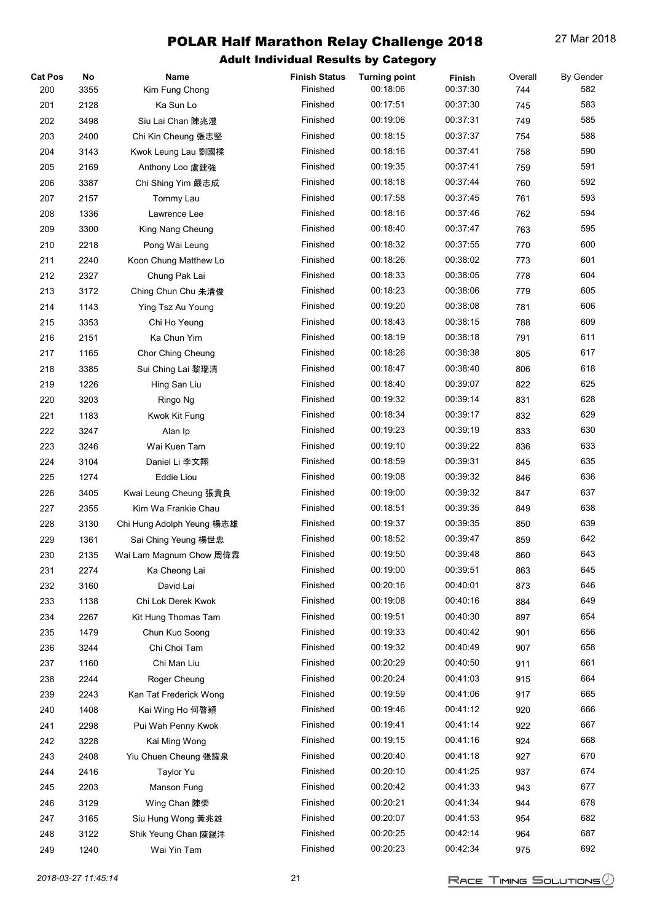| <b>Cat Pos</b> | No   | Name                      | <b>Finish Status</b> | <b>Turning point</b> | Finish   | Overall    | <b>By Gender</b> |
|----------------|------|---------------------------|----------------------|----------------------|----------|------------|------------------|
| 200            | 3355 | Kim Fung Chong            | Finished             | 00:18:06             | 00:37:30 | 744        | 582              |
| 201            | 2128 | Ka Sun Lo                 | Finished             | 00:17:51             | 00:37:30 | 745        | 583              |
| 202            | 3498 | Siu Lai Chan 陳兆澧          | Finished             | 00:19:06             | 00:37:31 | 749        | 585              |
| 203            | 2400 | Chi Kin Cheung 張志堅        | Finished             | 00:18:15             | 00:37:37 | 754        | 588              |
| 204            | 3143 | Kwok Leung Lau 劉國樑        | Finished             | 00:18:16             | 00:37:41 | 758        | 590              |
| 205            | 2169 | Anthony Loo 盧建強           | Finished             | 00:19:35             | 00:37:41 | 759        | 591              |
| 206            | 3387 | Chi Shing Yim 嚴志成         | Finished             | 00:18:18             | 00:37:44 | 760        | 592              |
| 207            | 2157 | Tommy Lau                 | Finished             | 00:17:58             | 00:37:45 | 761        | 593              |
| 208            | 1336 | Lawrence Lee              | Finished             | 00:18:16             | 00:37:46 | 762        | 594              |
| 209            | 3300 | King Nang Cheung          | Finished             | 00:18:40             | 00:37:47 | 763        | 595              |
| 210            | 2218 | Pong Wai Leung            | Finished             | 00:18:32             | 00:37:55 | 770        | 600              |
| 211            | 2240 | Koon Chung Matthew Lo     | Finished             | 00:18:26             | 00:38:02 | 773        | 601              |
| 212            | 2327 | Chung Pak Lai             | Finished             | 00:18:33             | 00:38:05 | 778        | 604              |
| 213            | 3172 | Ching Chun Chu 朱清俊        | Finished             | 00:18:23             | 00:38:06 | 779        | 605              |
| 214            | 1143 | Ying Tsz Au Young         | Finished             | 00:19:20             | 00:38:08 | 781        | 606              |
| 215            | 3353 | Chi Ho Yeung              | Finished             | 00:18:43             | 00:38:15 | 788        | 609              |
| 216            | 2151 | Ka Chun Yim               | Finished             | 00:18:19             | 00:38:18 | 791        | 611              |
| 217            | 1165 | Chor Ching Cheung         | Finished             | 00:18:26             | 00:38:38 | 805        | 617              |
| 218            | 3385 | Sui Ching Lai 黎瑞清         | Finished             | 00:18:47             | 00:38:40 | 806        | 618              |
| 219            | 1226 | Hing San Liu              | Finished             | 00:18:40             | 00:39:07 | 822        | 625              |
| 220            | 3203 | Ringo Ng                  | Finished             | 00:19:32             | 00:39:14 | 831        | 628              |
| 221            | 1183 | Kwok Kit Fung             | Finished             | 00:18:34             | 00:39:17 | 832        | 629              |
| 222            | 3247 | Alan Ip                   | Finished             | 00:19:23             | 00:39:19 | 833        | 630              |
| 223            | 3246 | Wai Kuen Tam              | Finished             | 00:19:10             | 00:39:22 | 836        | 633              |
| 224            | 3104 | Daniel Li 李文翔             | Finished             | 00:18:59             | 00:39:31 | 845        | 635              |
| 225            | 1274 | <b>Eddie Liou</b>         | Finished             | 00:19:08             | 00:39:32 | 846        | 636              |
| 226            | 3405 | Kwai Leung Cheung 張貴良     | Finished             | 00:19:00             | 00:39:32 | 847        | 637              |
| 227            | 2355 | Kim Wa Frankie Chau       | Finished             | 00:18:51             | 00:39:35 | 849        | 638              |
| 228            | 3130 | Chi Hung Adolph Yeung 楊志雄 | Finished             | 00:19:37             | 00:39:35 | 850        | 639              |
| 229            | 1361 | Sai Ching Yeung 楊世忠       | Finished             | 00:18:52             | 00:39:47 | 859        | 642              |
| 230            | 2135 | Wai Lam Magnum Chow 周偉霖   | Finished             | 00:19:50             | 00:39:48 | 860        | 643              |
| 231            | 2274 | Ka Cheong Lai             | Finished             | 00:19:00             | 00:39:51 | 863        | 645              |
| 232            | 3160 | David Lai                 | Finished             | 00:20:16             | 00:40:01 | 873        | 646              |
| 233            | 1138 | Chi Lok Derek Kwok        | Finished             | 00:19:08             | 00:40:16 | 884        | 649              |
| 234            | 2267 | Kit Hung Thomas Tam       | Finished             | 00:19:51             | 00:40:30 | 897        | 654              |
| 235            | 1479 | Chun Kuo Soong            | Finished             | 00:19:33             | 00:40:42 | 901        | 656              |
| 236            | 3244 | Chi Choi Tam              | Finished             | 00:19:32             | 00:40:49 | 907        | 658              |
| 237            | 1160 | Chi Man Liu               | Finished             | 00:20:29             | 00:40:50 | 911        | 661              |
| 238            | 2244 | Roger Cheung              | Finished             | 00:20:24             | 00:41:03 | 915        | 664              |
| 239            |      | Kan Tat Frederick Wong    | Finished             | 00:19:59             | 00:41:06 | 917        | 665              |
|                | 2243 |                           | Finished             | 00:19:46             | 00:41:12 |            | 666              |
| 240            | 1408 | Kai Wing Ho 何啓穎           | Finished             | 00:19:41             | 00:41:14 | 920        | 667              |
| 241            | 2298 | Pui Wah Penny Kwok        | Finished             | 00:19:15             | 00:41:16 | 922<br>924 | 668              |
| 242            | 3228 | Kai Ming Wong             | Finished             | 00:20:40             | 00:41:18 |            | 670              |
| 243            | 2408 | Yiu Chuen Cheung 張耀泉      |                      |                      |          | 927        |                  |
| 244            | 2416 | Taylor Yu                 | Finished             | 00:20:10             | 00:41:25 | 937        | 674              |
| 245            | 2203 | Manson Fung               | Finished             | 00:20:42             | 00:41:33 | 943        | 677              |
| 246            | 3129 | Wing Chan 陳榮              | Finished             | 00:20:21             | 00:41:34 | 944        | 678              |
| 247            | 3165 | Siu Hung Wong 黃兆雄         | Finished             | 00:20:07             | 00:41:53 | 954        | 682              |
| 248            | 3122 | Shik Yeung Chan 陳錫洋       | Finished             | 00:20:25             | 00:42:14 | 964        | 687              |
| 249            | 1240 | Wai Yin Tam               | Finished             | 00:20:23             | 00:42:34 | 975        | 692              |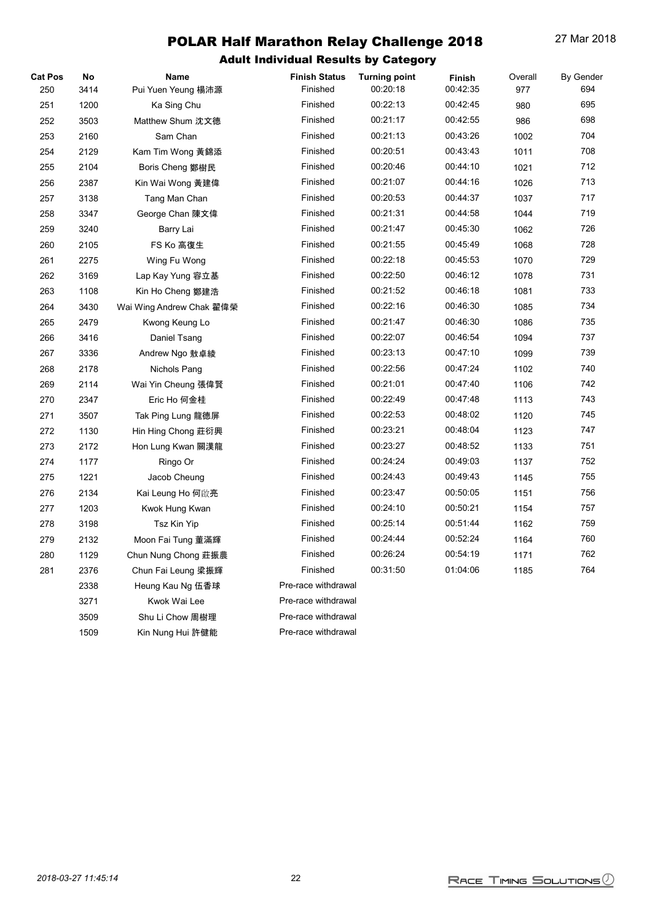| <b>Cat Pos</b> | No   | Name                     | <b>Finish Status</b> | <b>Turning point</b> | Finish   | Overall | By Gender |
|----------------|------|--------------------------|----------------------|----------------------|----------|---------|-----------|
| 250            | 3414 | Pui Yuen Yeung 楊沛源       | Finished             | 00:20:18             | 00:42:35 | 977     | 694       |
| 251            | 1200 | Ka Sing Chu              | Finished             | 00:22:13             | 00:42:45 | 980     | 695       |
| 252            | 3503 | Matthew Shum 沈文德         | Finished             | 00:21:17             | 00:42:55 | 986     | 698       |
| 253            | 2160 | Sam Chan                 | Finished             | 00:21:13             | 00:43:26 | 1002    | 704       |
| 254            | 2129 | Kam Tim Wong 黃錦添         | Finished             | 00:20:51             | 00:43:43 | 1011    | 708       |
| 255            | 2104 | Boris Cheng 鄭樹民          | Finished             | 00:20:46             | 00:44:10 | 1021    | 712       |
| 256            | 2387 | Kin Wai Wong 黃建偉         | Finished             | 00:21:07             | 00:44:16 | 1026    | 713       |
| 257            | 3138 | Tang Man Chan            | Finished             | 00:20:53             | 00:44:37 | 1037    | 717       |
| 258            | 3347 | George Chan 陳文偉          | Finished             | 00:21:31             | 00:44:58 | 1044    | 719       |
| 259            | 3240 | Barry Lai                | Finished             | 00:21:47             | 00:45:30 | 1062    | 726       |
| 260            | 2105 | FS Ko 高復生                | Finished             | 00:21:55             | 00:45:49 | 1068    | 728       |
| 261            | 2275 | Wing Fu Wong             | Finished             | 00:22:18             | 00:45:53 | 1070    | 729       |
| 262            | 3169 | Lap Kay Yung 容立基         | Finished             | 00:22:50             | 00:46:12 | 1078    | 731       |
| 263            | 1108 | Kin Ho Cheng 鄭建浩         | Finished             | 00:21:52             | 00:46:18 | 1081    | 733       |
| 264            | 3430 | Wai Wing Andrew Chak 翟偉榮 | Finished             | 00:22:16             | 00:46:30 | 1085    | 734       |
| 265            | 2479 | Kwong Keung Lo           | Finished             | 00:21:47             | 00:46:30 | 1086    | 735       |
| 266            | 3416 | Daniel Tsang             | Finished             | 00:22:07             | 00:46:54 | 1094    | 737       |
| 267            | 3336 | Andrew Ngo 敖卓綾           | Finished             | 00:23:13             | 00:47:10 | 1099    | 739       |
| 268            | 2178 | Nichols Pang             | Finished             | 00:22:56             | 00:47:24 | 1102    | 740       |
| 269            | 2114 | Wai Yin Cheung 張偉賢       | Finished             | 00:21:01             | 00:47:40 | 1106    | 742       |
| 270            | 2347 | Eric Ho 何金桂              | Finished             | 00:22:49             | 00:47:48 | 1113    | 743       |
| 271            | 3507 | Tak Ping Lung 龍德屏        | Finished             | 00:22:53             | 00:48:02 | 1120    | 745       |
| 272            | 1130 | Hin Hing Chong 莊衍興       | Finished             | 00:23:21             | 00:48:04 | 1123    | 747       |
| 273            | 2172 | Hon Lung Kwan 關漢龍        | Finished             | 00:23:27             | 00:48:52 | 1133    | 751       |
| 274            | 1177 | Ringo Or                 | Finished             | 00:24:24             | 00:49:03 | 1137    | 752       |
| 275            | 1221 | Jacob Cheung             | Finished             | 00:24:43             | 00:49:43 | 1145    | 755       |
| 276            | 2134 | Kai Leung Ho 何啟亮         | Finished             | 00:23:47             | 00:50:05 | 1151    | 756       |
| 277            | 1203 | Kwok Hung Kwan           | Finished             | 00:24:10             | 00:50:21 | 1154    | 757       |
| 278            | 3198 | Tsz Kin Yip              | Finished             | 00:25:14             | 00:51:44 | 1162    | 759       |
| 279            | 2132 | Moon Fai Tung 董滿輝        | Finished             | 00:24:44             | 00:52:24 | 1164    | 760       |
| 280            | 1129 | Chun Nung Chong 莊振農      | Finished             | 00:26:24             | 00:54:19 | 1171    | 762       |
| 281            | 2376 | Chun Fai Leung 梁振輝       | Finished             | 00:31:50             | 01:04:06 | 1185    | 764       |
|                | 2338 | Heung Kau Ng 伍香球         | Pre-race withdrawal  |                      |          |         |           |
|                | 3271 | Kwok Wai Lee             | Pre-race withdrawal  |                      |          |         |           |
|                | 3509 | Shu Li Chow 周樹理          | Pre-race withdrawal  |                      |          |         |           |
|                | 1509 | Kin Nung Hui 許健能         | Pre-race withdrawal  |                      |          |         |           |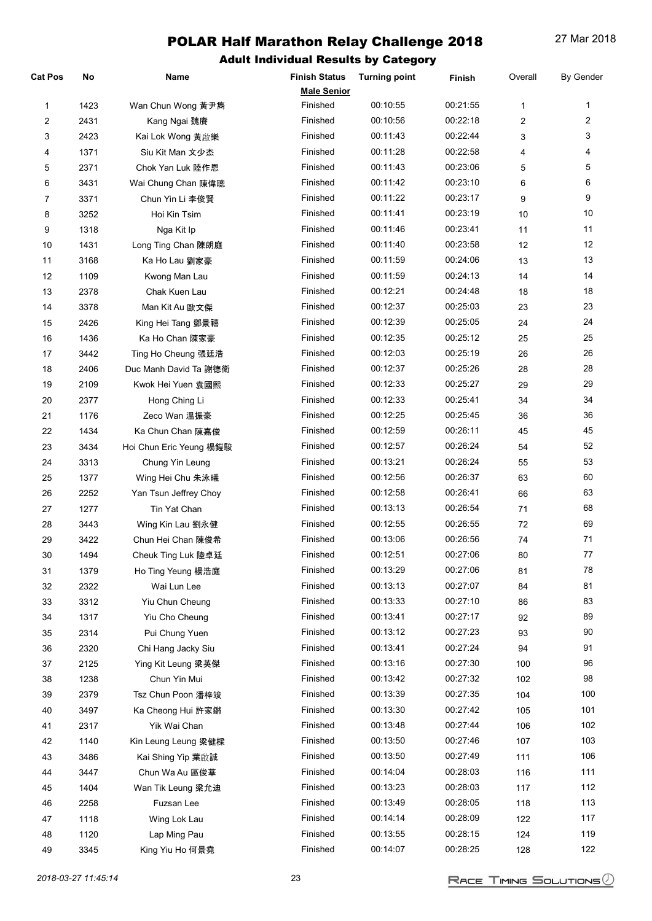| Cat Pos        | No   | Name                    | <b>Finish Status</b> | <b>Turning point</b> | Finish   | Overall      | <b>By Gender</b> |
|----------------|------|-------------------------|----------------------|----------------------|----------|--------------|------------------|
|                |      |                         | <b>Male Senior</b>   |                      |          |              |                  |
| 1              | 1423 | Wan Chun Wong 黃尹雋       | Finished             | 00:10:55             | 00:21:55 | $\mathbf{1}$ | 1                |
| 2              | 2431 | Kang Ngai 魏賡            | Finished             | 00:10:56             | 00:22:18 | 2            | $\overline{2}$   |
| 3              | 2423 | Kai Lok Wong 黃啟樂        | Finished             | 00:11:43             | 00:22:44 | 3            | 3                |
| 4              | 1371 | Siu Kit Man 文少杰         | Finished             | 00:11:28             | 00:22:58 | 4            | 4                |
| 5              | 2371 | Chok Yan Luk 陸作恩        | Finished             | 00:11:43             | 00:23:06 | 5            | 5                |
| 6              | 3431 | Wai Chung Chan 陳偉聰      | Finished             | 00:11:42             | 00:23:10 | 6            | 6                |
| $\overline{7}$ | 3371 | Chun Yin Li 李俊賢         | Finished             | 00:11:22             | 00:23:17 | 9            | 9                |
| 8              | 3252 | Hoi Kin Tsim            | Finished             | 00:11:41             | 00:23:19 | 10           | 10               |
| 9              | 1318 | Nga Kit Ip              | Finished             | 00:11:46             | 00:23:41 | 11           | 11               |
| 10             | 1431 | Long Ting Chan 陳朗庭      | Finished             | 00:11:40             | 00:23:58 | 12           | 12               |
| 11             | 3168 | Ka Ho Lau 劉家豪           | Finished             | 00:11:59             | 00:24:06 | 13           | 13               |
| 12             | 1109 | Kwong Man Lau           | Finished             | 00:11:59             | 00:24:13 | 14           | 14               |
| 13             | 2378 | Chak Kuen Lau           | Finished             | 00:12:21             | 00:24:48 | 18           | 18               |
| 14             | 3378 | Man Kit Au 歐文傑          | Finished             | 00:12:37             | 00:25:03 | 23           | 23               |
| 15             | 2426 | King Hei Tang 鄧景禧       | Finished             | 00:12:39             | 00:25:05 | 24           | 24               |
| 16             | 1436 | Ka Ho Chan 陳家豪          | Finished             | 00:12:35             | 00:25:12 | 25           | 25               |
| 17             | 3442 | Ting Ho Cheung 張廷浩      | Finished             | 00:12:03             | 00:25:19 | 26           | 26               |
| 18             | 2406 | Duc Manh David Ta 謝德衛   | Finished             | 00:12:37             | 00:25:26 | 28           | 28               |
| 19             | 2109 | Kwok Hei Yuen 袁國熙       | Finished             | 00:12:33             | 00:25:27 | 29           | 29               |
| 20             | 2377 | Hong Ching Li           | Finished             | 00:12:33             | 00:25:41 | 34           | 34               |
| 21             | 1176 | Zeco Wan 溫振豪            | Finished             | 00:12:25             | 00:25:45 | 36           | 36               |
| 22             | 1434 | Ka Chun Chan 陳嘉俊        | Finished             | 00:12:59             | 00:26:11 | 45           | 45               |
| 23             | 3434 | Hoi Chun Eric Yeung 楊鎧駿 | Finished             | 00:12:57             | 00:26:24 | 54           | 52               |
| 24             | 3313 | Chung Yin Leung         | Finished             | 00:13:21             | 00:26:24 | 55           | 53               |
| 25             | 1377 | Wing Hei Chu 朱泳曦        | Finished             | 00:12:56             | 00:26:37 | 63           | 60               |
| 26             | 2252 | Yan Tsun Jeffrey Choy   | Finished             | 00:12:58             | 00:26:41 | 66           | 63               |
| 27             | 1277 | Tin Yat Chan            | Finished             | 00:13:13             | 00:26:54 | 71           | 68               |
| 28             | 3443 | Wing Kin Lau 劉永健        | Finished             | 00:12:55             | 00:26:55 | 72           | 69               |
| 29             | 3422 | Chun Hei Chan 陳俊希       | Finished             | 00:13:06             | 00:26:56 | 74           | 71               |
| 30             | 1494 | Cheuk Ting Luk 陸卓廷      | Finished             | 00:12:51             | 00:27:06 | 80           | 77               |
| 31             | 1379 | Ho Ting Yeung 楊浩庭       | Finished             | 00:13:29             | 00:27:06 | 81           | 78               |
| 32             | 2322 | Wai Lun Lee             | Finished             | 00:13:13             | 00:27:07 | 84           | 81               |
| 33             | 3312 | Yiu Chun Cheung         | Finished             | 00:13:33             | 00:27:10 | 86           | 83               |
| 34             | 1317 | Yiu Cho Cheung          | Finished             | 00:13:41             | 00:27:17 | 92           | 89               |
| 35             | 2314 | Pui Chung Yuen          | Finished             | 00:13:12             | 00:27:23 | 93           | 90               |
| 36             | 2320 | Chi Hang Jacky Siu      | Finished             | 00:13:41             | 00:27:24 | 94           | 91               |
| 37             | 2125 | Ying Kit Leung 梁英傑      | Finished             | 00:13:16             | 00:27:30 | 100          | 96               |
| 38             | 1238 | Chun Yin Mui            | Finished             | 00:13:42             | 00:27:32 | 102          | 98               |
| 39             | 2379 | Tsz Chun Poon 潘梓竣       | Finished             | 00:13:39             | 00:27:35 | 104          | 100              |
| 40             | 3497 | Ka Cheong Hui 許家鏘       | Finished             | 00:13:30             | 00:27:42 | 105          | 101              |
| 41             | 2317 | Yik Wai Chan            | Finished             | 00:13:48             | 00:27:44 | 106          | 102              |
| 42             | 1140 | Kin Leung Leung 梁健樑     | Finished             | 00:13:50             | 00:27:46 | 107          | 103              |
| 43             | 3486 | Kai Shing Yip 葉啟誠       | Finished             | 00:13:50             | 00:27:49 | 111          | 106              |
| 44             | 3447 | Chun Wa Au 區俊華          | Finished             | 00:14:04             | 00:28:03 | 116          | 111              |
| 45             | 1404 | Wan Tik Leung 梁允迪       | Finished             | 00:13:23             | 00:28:03 | 117          | 112              |
| 46             | 2258 | Fuzsan Lee              | Finished             | 00:13:49             | 00:28:05 | 118          | 113              |
| 47             | 1118 | Wing Lok Lau            | Finished             | 00:14:14             | 00:28:09 | 122          | 117              |
| 48             | 1120 | Lap Ming Pau            | Finished             | 00:13:55             | 00:28:15 | 124          | 119              |
| 49             | 3345 | King Yiu Ho 何景堯         | Finished             | 00:14:07             | 00:28:25 | 128          | 122              |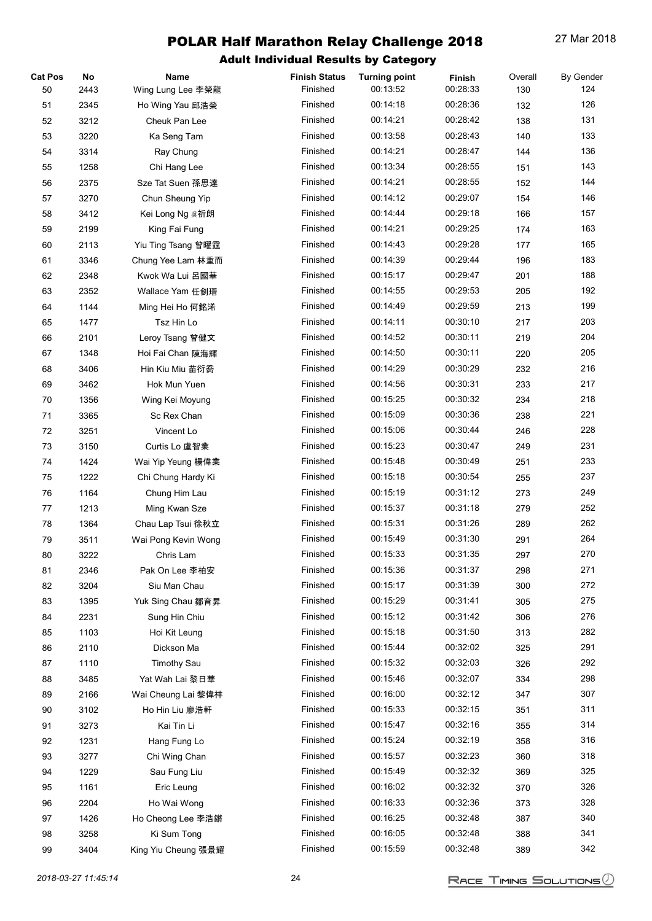| <b>Cat Pos</b> | No   | Name                        | <b>Finish Status</b> | <b>Turning point</b> | Finish   | Overall | <b>By Gender</b> |
|----------------|------|-----------------------------|----------------------|----------------------|----------|---------|------------------|
| 50             | 2443 | Wing Lung Lee 李榮龍           | Finished             | 00:13:52             | 00:28:33 | 130     | 124              |
| 51             | 2345 | Ho Wing Yau 邱浩榮             | Finished             | 00:14:18             | 00:28:36 | 132     | 126              |
| 52             | 3212 | Cheuk Pan Lee               | Finished             | 00:14:21             | 00:28:42 | 138     | 131              |
| 53             | 3220 | Ka Seng Tam                 | Finished             | 00:13:58             | 00:28:43 | 140     | 133              |
| 54             | 3314 | Ray Chung                   | Finished             | 00:14:21             | 00:28:47 | 144     | 136              |
| 55             | 1258 | Chi Hang Lee                | Finished             | 00:13:34             | 00:28:55 | 151     | 143              |
| 56             | 2375 | Sze Tat Suen 孫思達            | Finished             | 00:14:21             | 00:28:55 | 152     | 144              |
| 57             | 3270 | Chun Sheung Yip             | Finished             | 00:14:12             | 00:29:07 | 154     | 146              |
| 58             | 3412 | Kei Long Ng <sub>吳</sub> 祈朗 | Finished             | 00:14:44             | 00:29:18 | 166     | 157              |
| 59             | 2199 | King Fai Fung               | Finished             | 00:14:21             | 00:29:25 | 174     | 163              |
| 60             | 2113 | Yiu Ting Tsang 曾曜霆          | Finished             | 00:14:43             | 00:29:28 | 177     | 165              |
| 61             | 3346 | Chung Yee Lam 林重而           | Finished             | 00:14:39             | 00:29:44 | 196     | 183              |
| 62             | 2348 | Kwok Wa Lui 呂國華             | Finished             | 00:15:17             | 00:29:47 | 201     | 188              |
| 63             | 2352 | Wallace Yam 任釗瑨             | Finished             | 00:14:55             | 00:29:53 | 205     | 192              |
| 64             | 1144 | Ming Hei Ho 何銘浠             | Finished             | 00:14:49             | 00:29:59 | 213     | 199              |
| 65             | 1477 | Tsz Hin Lo                  | Finished             | 00:14:11             | 00:30:10 | 217     | 203              |
| 66             | 2101 | Leroy Tsang 曾健文             | Finished             | 00:14:52             | 00:30:11 | 219     | 204              |
| 67             | 1348 | Hoi Fai Chan 陳海輝            | Finished             | 00:14:50             | 00:30:11 | 220     | 205              |
| 68             | 3406 | Hin Kiu Miu 苗衍喬             | Finished             | 00:14:29             | 00:30:29 | 232     | 216              |
| 69             | 3462 | Hok Mun Yuen                | Finished             | 00:14:56             | 00:30:31 | 233     | 217              |
| 70             | 1356 | Wing Kei Moyung             | Finished             | 00:15:25             | 00:30:32 | 234     | 218              |
| 71             | 3365 | Sc Rex Chan                 | Finished             | 00:15:09             | 00:30:36 | 238     | 221              |
| 72             | 3251 | Vincent Lo                  | Finished             | 00:15:06             | 00:30:44 | 246     | 228              |
|                |      |                             | Finished             | 00:15:23             | 00:30:47 |         | 231              |
| 73             | 3150 | Curtis Lo 盧智業               |                      |                      |          | 249     |                  |
| 74             | 1424 | Wai Yip Yeung 楊偉業           | Finished             | 00:15:48             | 00:30:49 | 251     | 233              |
| 75             | 1222 | Chi Chung Hardy Ki          | Finished             | 00:15:18             | 00:30:54 | 255     | 237              |
| 76             | 1164 | Chung Him Lau               | Finished             | 00:15:19             | 00:31:12 | 273     | 249              |
| 77             | 1213 | Ming Kwan Sze               | Finished             | 00:15:37             | 00:31:18 | 279     | 252              |
| 78             | 1364 | Chau Lap Tsui 徐秋立           | Finished             | 00:15:31             | 00:31:26 | 289     | 262              |
| 79             | 3511 | Wai Pong Kevin Wong         | Finished             | 00:15:49             | 00:31:30 | 291     | 264              |
| 80             | 3222 | Chris Lam                   | Finished             | 00:15:33             | 00:31:35 | 297     | 270              |
| 81             | 2346 | Pak On Lee 李柏安              | Finished             | 00:15:36             | 00:31:37 | 298     | 271              |
| 82             | 3204 | Siu Man Chau                | Finished             | 00:15:17             | 00:31:39 | 300     | 272              |
| 83             | 1395 | Yuk Sing Chau 鄒育昇           | Finished             | 00:15:29             | 00:31:41 | 305     | 275              |
| 84             | 2231 | Sung Hin Chiu               | Finished             | 00:15:12             | 00:31:42 | 306     | 276              |
| 85             | 1103 | Hoi Kit Leung               | Finished             | 00:15:18             | 00:31:50 | 313     | 282              |
| 86             | 2110 | Dickson Ma                  | Finished             | 00:15:44             | 00:32:02 | 325     | 291              |
| 87             | 1110 | <b>Timothy Sau</b>          | Finished             | 00:15:32             | 00:32:03 | 326     | 292              |
| 88             | 3485 | Yat Wah Lai 黎日華             | Finished             | 00:15:46             | 00:32:07 | 334     | 298              |
| 89             | 2166 | Wai Cheung Lai 黎偉祥          | Finished             | 00:16:00             | 00:32:12 | 347     | 307              |
| 90             | 3102 | Ho Hin Liu 廖浩軒              | Finished             | 00:15:33             | 00:32:15 | 351     | 311              |
| 91             | 3273 | Kai Tin Li                  | Finished             | 00:15:47             | 00:32:16 | 355     | 314              |
| 92             | 1231 | Hang Fung Lo                | Finished             | 00:15:24             | 00:32:19 | 358     | 316              |
| 93             | 3277 | Chi Wing Chan               | Finished             | 00:15:57             | 00:32:23 | 360     | 318              |
| 94             | 1229 | Sau Fung Liu                | Finished             | 00:15:49             | 00:32:32 | 369     | 325              |
| 95             | 1161 | Eric Leung                  | Finished             | 00:16:02             | 00:32:32 | 370     | 326              |
| 96             | 2204 | Ho Wai Wong                 | Finished             | 00:16:33             | 00:32:36 | 373     | 328              |
| 97             | 1426 | Ho Cheong Lee 李浩鏘           | Finished             | 00:16:25             | 00:32:48 | 387     | 340              |
| 98             | 3258 | Ki Sum Tong                 | Finished             | 00:16:05             | 00:32:48 | 388     | 341              |
| 99             | 3404 | King Yiu Cheung 張景耀         | Finished             | 00:15:59             | 00:32:48 | 389     | 342              |
|                |      |                             |                      |                      |          |         |                  |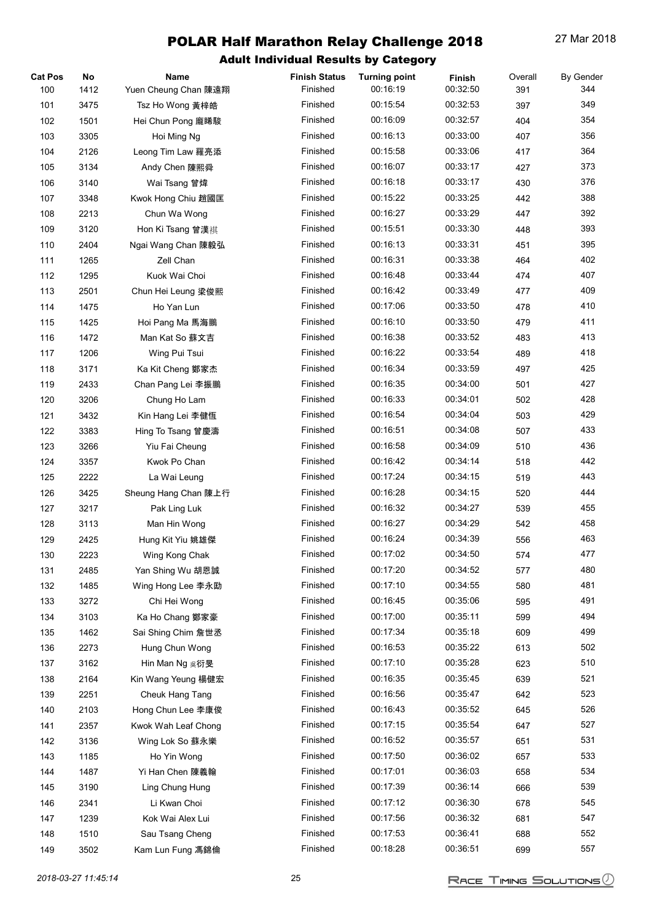| <b>Cat Pos</b> | No   | Name                 | <b>Finish Status</b> | <b>Turning point</b> | Finish   | Overall | <b>By Gender</b> |
|----------------|------|----------------------|----------------------|----------------------|----------|---------|------------------|
| 100            | 1412 | Yuen Cheung Chan 陳遠翔 | Finished             | 00:16:19             | 00:32:50 | 391     | 344              |
| 101            | 3475 | Tsz Ho Wong 黃梓皓      | Finished             | 00:15:54             | 00:32:53 | 397     | 349              |
| 102            | 1501 | Hei Chun Pong 龐睎駿    | Finished             | 00:16:09             | 00:32:57 | 404     | 354              |
| 103            | 3305 | Hoi Ming Ng          | Finished             | 00:16:13             | 00:33:00 | 407     | 356              |
| 104            | 2126 | Leong Tim Law 羅亮添    | Finished             | 00:15:58             | 00:33:06 | 417     | 364              |
| 105            | 3134 | Andy Chen 陳熙舜        | Finished             | 00:16:07             | 00:33:17 | 427     | 373              |
| 106            | 3140 | Wai Tsang 曾煒         | Finished             | 00:16:18             | 00:33:17 | 430     | 376              |
| 107            | 3348 | Kwok Hong Chiu 趙國匡   | Finished             | 00:15:22             | 00:33:25 | 442     | 388              |
| 108            | 2213 | Chun Wa Wong         | Finished             | 00:16:27             | 00:33:29 | 447     | 392              |
| 109            | 3120 | Hon Ki Tsang 曾漢祺     | Finished             | 00:15:51             | 00:33:30 | 448     | 393              |
| 110            | 2404 | Ngai Wang Chan 陳毅弘   | Finished             | 00:16:13             | 00:33:31 | 451     | 395              |
| 111            | 1265 | Zell Chan            | Finished             | 00:16:31             | 00:33:38 | 464     | 402              |
| 112            | 1295 | Kuok Wai Choi        | Finished             | 00:16:48             | 00:33:44 | 474     | 407              |
| 113            | 2501 | Chun Hei Leung 梁俊熙   | Finished             | 00:16:42             | 00:33:49 | 477     | 409              |
| 114            | 1475 | Ho Yan Lun           | Finished             | 00:17:06             | 00:33:50 | 478     | 410              |
| 115            | 1425 | Hoi Pang Ma 馬海鵬      | Finished             | 00:16:10             | 00:33:50 | 479     | 411              |
| 116            | 1472 | Man Kat So 蘇文吉       | Finished             | 00:16:38             | 00:33:52 | 483     | 413              |
| 117            | 1206 | Wing Pui Tsui        | Finished             | 00:16:22             | 00:33:54 | 489     | 418              |
| 118            | 3171 | Ka Kit Cheng 鄭家杰     | Finished             | 00:16:34             | 00:33:59 | 497     | 425              |
| 119            | 2433 | Chan Pang Lei 李振鵬    | Finished             | 00:16:35             | 00:34:00 | 501     | 427              |
| 120            | 3206 | Chung Ho Lam         | Finished             | 00:16:33             | 00:34:01 | 502     | 428              |
| 121            | 3432 | Kin Hang Lei 李健恆     | Finished             | 00:16:54             | 00:34:04 | 503     | 429              |
| 122            | 3383 | Hing To Tsang 曾慶濤    | Finished             | 00:16:51             | 00:34:08 | 507     | 433              |
|                |      |                      | Finished             | 00:16:58             | 00:34:09 | 510     | 436              |
| 123            | 3266 | Yiu Fai Cheung       | Finished             | 00:16:42             | 00:34:14 |         | 442              |
| 124            | 3357 | Kwok Po Chan         |                      |                      |          | 518     |                  |
| 125            | 2222 | La Wai Leung         | Finished             | 00:17:24             | 00:34:15 | 519     | 443              |
| 126            | 3425 | Sheung Hang Chan 陳上行 | Finished             | 00:16:28             | 00:34:15 | 520     | 444              |
| 127            | 3217 | Pak Ling Luk         | Finished             | 00:16:32             | 00:34:27 | 539     | 455              |
| 128            | 3113 | Man Hin Wong         | Finished             | 00:16:27             | 00:34:29 | 542     | 458              |
| 129            | 2425 | Hung Kit Yiu 姚雄傑     | Finished             | 00:16:24             | 00:34:39 | 556     | 463              |
| 130            | 2223 | Wing Kong Chak       | Finished             | 00:17:02             | 00:34:50 | 574     | 477              |
| 131            | 2485 | Yan Shing Wu 胡恩誠     | Finished             | 00:17:20             | 00:34:52 | 577     | 480              |
| 132            | 1485 | Wing Hong Lee 李永劻    | Finished             | 00:17:10             | 00:34:55 | 580     | 481              |
| 133            | 3272 | Chi Hei Wong         | Finished             | 00:16:45             | 00:35:06 | 595     | 491              |
| 134            | 3103 | Ka Ho Chang 鄭家豪      | Finished             | 00:17:00             | 00:35:11 | 599     | 494              |
| 135            | 1462 | Sai Shing Chim 詹世丞   | Finished             | 00:17:34             | 00:35:18 | 609     | 499              |
| 136            | 2273 | Hung Chun Wong       | Finished             | 00:16:53             | 00:35:22 | 613     | 502              |
| 137            | 3162 | Hin Man Ng 吳衍旻       | Finished             | 00:17:10             | 00:35:28 | 623     | 510              |
| 138            | 2164 | Kin Wang Yeung 楊健宏   | Finished             | 00:16:35             | 00:35:45 | 639     | 521              |
| 139            | 2251 | Cheuk Hang Tang      | Finished             | 00:16:56             | 00:35:47 | 642     | 523              |
| 140            | 2103 | Hong Chun Lee 李康俊    | Finished             | 00:16:43             | 00:35:52 | 645     | 526              |
| 141            | 2357 | Kwok Wah Leaf Chong  | Finished             | 00:17:15             | 00:35:54 | 647     | 527              |
| 142            | 3136 | Wing Lok So 蘇永樂      | Finished             | 00:16:52             | 00:35:57 | 651     | 531              |
| 143            | 1185 | Ho Yin Wong          | Finished             | 00:17:50             | 00:36:02 | 657     | 533              |
| 144            | 1487 | Yi Han Chen 陳義翰      | Finished             | 00:17:01             | 00:36:03 | 658     | 534              |
| 145            | 3190 | Ling Chung Hung      | Finished             | 00:17:39             | 00:36:14 | 666     | 539              |
| 146            | 2341 | Li Kwan Choi         | Finished             | 00:17:12             | 00:36:30 | 678     | 545              |
| 147            | 1239 | Kok Wai Alex Lui     | Finished             | 00:17:56             | 00:36:32 | 681     | 547              |
| 148            | 1510 | Sau Tsang Cheng      | Finished             | 00:17:53             | 00:36:41 | 688     | 552              |
| 149            | 3502 | Kam Lun Fung 馮錦倫     | Finished             | 00:18:28             | 00:36:51 | 699     | 557              |
|                |      |                      |                      |                      |          |         |                  |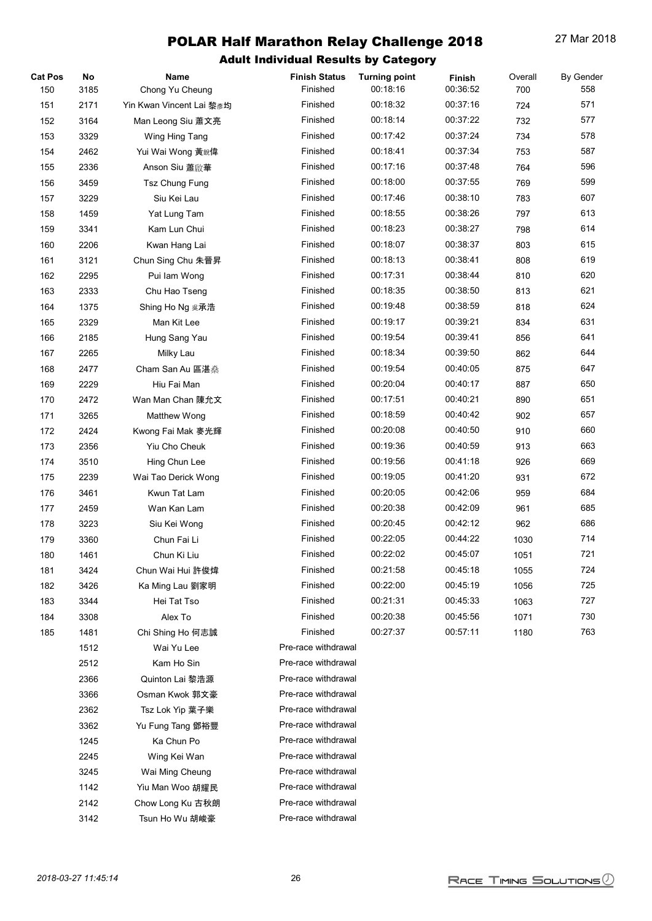| <b>Cat Pos</b> | No   | <b>Name</b>              | <b>Finish Status</b> | <b>Turning point</b> | Finish   | Overall | <b>By Gender</b> |
|----------------|------|--------------------------|----------------------|----------------------|----------|---------|------------------|
| 150            | 3185 | Chong Yu Cheung          | Finished             | 00:18:16             | 00:36:52 | 700     | 558              |
| 151            | 2171 | Yin Kwan Vincent Lai 黎彦均 | Finished             | 00:18:32             | 00:37:16 | 724     | 571              |
| 152            | 3164 | Man Leong Siu 蕭文亮        | Finished             | 00:18:14             | 00:37:22 | 732     | 577              |
| 153            | 3329 | Wing Hing Tang           | Finished             | 00:17:42             | 00:37:24 | 734     | 578              |
| 154            | 2462 | Yui Wai Wong 黃銳偉         | Finished             | 00:18:41             | 00:37:34 | 753     | 587              |
| 155            | 2336 | Anson Siu 蕭啟華            | Finished             | 00:17:16             | 00:37:48 | 764     | 596              |
| 156            | 3459 | Tsz Chung Fung           | Finished             | 00:18:00             | 00:37:55 | 769     | 599              |
| 157            | 3229 | Siu Kei Lau              | Finished             | 00:17:46             | 00:38:10 | 783     | 607              |
| 158            | 1459 | Yat Lung Tam             | Finished             | 00:18:55             | 00:38:26 | 797     | 613              |
| 159            | 3341 | Kam Lun Chui             | Finished             | 00:18:23             | 00:38:27 | 798     | 614              |
| 160            | 2206 | Kwan Hang Lai            | Finished             | 00:18:07             | 00:38:37 | 803     | 615              |
| 161            | 3121 | Chun Sing Chu 朱晉昇        | Finished             | 00:18:13             | 00:38:41 | 808     | 619              |
| 162            | 2295 | Pui lam Wong             | Finished             | 00:17:31             | 00:38:44 | 810     | 620              |
| 163            | 2333 | Chu Hao Tseng            | Finished             | 00:18:35             | 00:38:50 | 813     | 621              |
| 164            | 1375 | Shing Ho Ng 吳承浩          | Finished             | 00:19:48             | 00:38:59 | 818     | 624              |
| 165            | 2329 | Man Kit Lee              | Finished             | 00:19:17             | 00:39:21 | 834     | 631              |
| 166            | 2185 | Hung Sang Yau            | Finished             | 00:19:54             | 00:39:41 | 856     | 641              |
| 167            | 2265 | Milky Lau                | Finished             | 00:18:34             | 00:39:50 | 862     | 644              |
| 168            | 2477 | Cham San Au 區湛桑          | Finished             | 00:19:54             | 00:40:05 | 875     | 647              |
| 169            | 2229 | Hiu Fai Man              | Finished             | 00:20:04             | 00:40:17 | 887     | 650              |
| 170            | 2472 | Wan Man Chan 陳允文         | Finished             | 00:17:51             | 00:40:21 | 890     | 651              |
| 171            | 3265 | Matthew Wong             | Finished             | 00:18:59             | 00:40:42 | 902     | 657              |
| 172            | 2424 | Kwong Fai Mak 麥光輝        | Finished             | 00:20:08             | 00:40:50 | 910     | 660              |
| 173            | 2356 | Yiu Cho Cheuk            | Finished             | 00:19:36             | 00:40:59 | 913     | 663              |
| 174            | 3510 | Hing Chun Lee            | Finished             | 00:19:56             | 00:41:18 | 926     | 669              |
| 175            | 2239 | Wai Tao Derick Wong      | Finished             | 00:19:05             | 00:41:20 | 931     | 672              |
| 176            | 3461 | Kwun Tat Lam             | Finished             | 00:20:05             | 00:42:06 | 959     | 684              |
| 177            | 2459 | Wan Kan Lam              | Finished             | 00:20:38             | 00:42:09 | 961     | 685              |
| 178            | 3223 | Siu Kei Wong             | Finished             | 00:20:45             | 00:42:12 | 962     | 686              |
| 179            | 3360 | Chun Fai Li              | Finished             | 00:22:05             | 00:44:22 | 1030    | 714              |
| 180            | 1461 | Chun Ki Liu              | Finished             | 00:22:02             | 00:45:07 | 1051    | 721              |
| 181            | 3424 | Chun Wai Hui 許俊煒         | Finished             | 00:21:58             | 00:45:18 | 1055    | 724              |
| 182            | 3426 | Ka Ming Lau 劉家明          | Finished             | 00:22:00             | 00:45:19 | 1056    | 725              |
| 183            | 3344 | Hei Tat Tso              | Finished             | 00:21:31             | 00:45:33 | 1063    | 727              |
| 184            | 3308 | Alex To                  | Finished             | 00:20:38             | 00:45:56 | 1071    | 730              |
| 185            | 1481 | Chi Shing Ho 何志誠         | Finished             | 00:27:37             | 00:57:11 | 1180    | 763              |
|                | 1512 | Wai Yu Lee               | Pre-race withdrawal  |                      |          |         |                  |
|                | 2512 | Kam Ho Sin               | Pre-race withdrawal  |                      |          |         |                  |
|                | 2366 | Quinton Lai 黎浩源          | Pre-race withdrawal  |                      |          |         |                  |
|                | 3366 | Osman Kwok 郭文豪           | Pre-race withdrawal  |                      |          |         |                  |
|                | 2362 | Tsz Lok Yip 葉子樂          | Pre-race withdrawal  |                      |          |         |                  |
|                | 3362 | Yu Fung Tang 鄧裕豐         | Pre-race withdrawal  |                      |          |         |                  |
|                | 1245 | Ka Chun Po               | Pre-race withdrawal  |                      |          |         |                  |
|                | 2245 | Wing Kei Wan             | Pre-race withdrawal  |                      |          |         |                  |
|                | 3245 | Wai Ming Cheung          | Pre-race withdrawal  |                      |          |         |                  |
|                | 1142 | Yiu Man Woo 胡耀民          | Pre-race withdrawal  |                      |          |         |                  |
|                | 2142 | Chow Long Ku 古秋朗         | Pre-race withdrawal  |                      |          |         |                  |
|                | 3142 | Tsun Ho Wu 胡峻豪           | Pre-race withdrawal  |                      |          |         |                  |